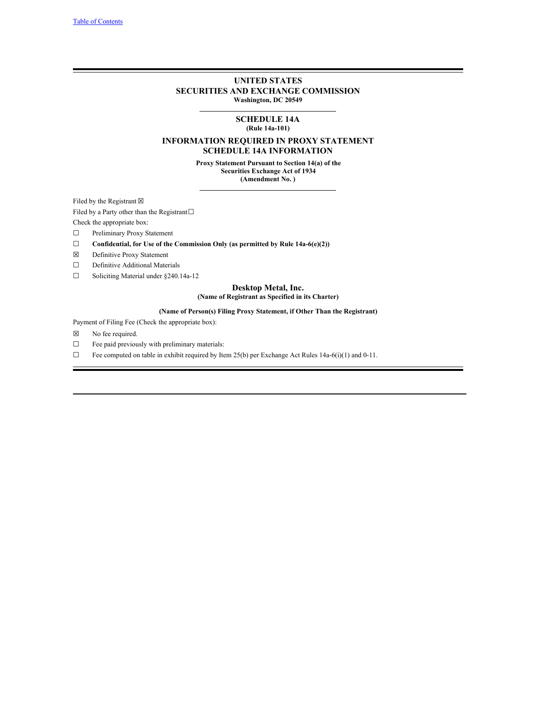# **UNITED STATES SECURITIES AND EXCHANGE COMMISSION Washington, DC 20549**

# **SCHEDULE 14A (Rule 14a-101)**

# **INFORMATION REQUIRED IN PROXY STATEMENT SCHEDULE 14A INFORMATION**

**Proxy Statement Pursuant to Section 14(a) of the Securities Exchange Act of 1934 (Amendment No. )**

Filed by the Registrant  $\boxtimes$ 

Filed by a Party other than the Registrant $□$ 

Check the appropriate box:

☐ Preliminary Proxy Statement

- ☐ **Confidential, for Use of the Commission Only (as permitted by Rule 14a-6(e)(2))**
- ☒ Definitive Proxy Statement
- ☐ Definitive Additional Materials
- ☐ Soliciting Material under §240.14a-12

# **Desktop Metal, Inc.**

# **(Name of Registrant as Specified in its Charter)**

# **(Name of Person(s) Filing Proxy Statement, if Other Than the Registrant)**

Payment of Filing Fee (Check the appropriate box):

- ☒ No fee required.
- ☐ Fee paid previously with preliminary materials:
- $\Box$  Fee computed on table in exhibit required by Item 25(b) per Exchange Act Rules 14a-6(i)(1) and 0-11.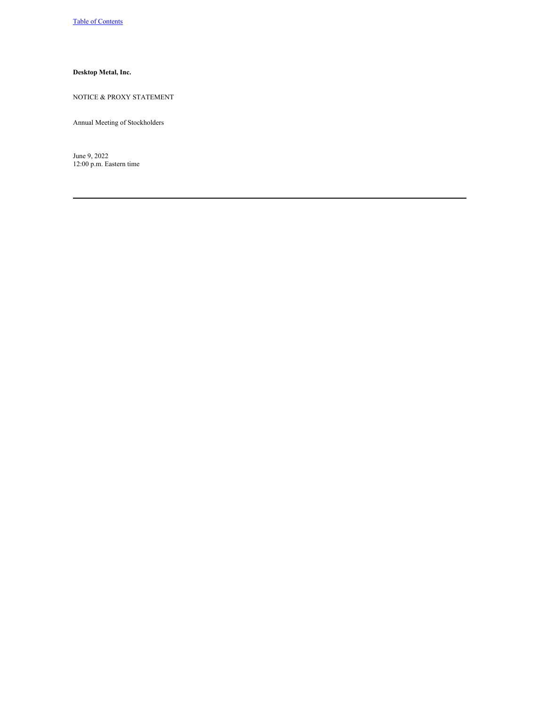# **Desktop Metal, Inc.**

# NOTICE & PROXY STATEMENT

Annual Meeting of Stockholders

June 9, 2022 12:00 p.m. Eastern time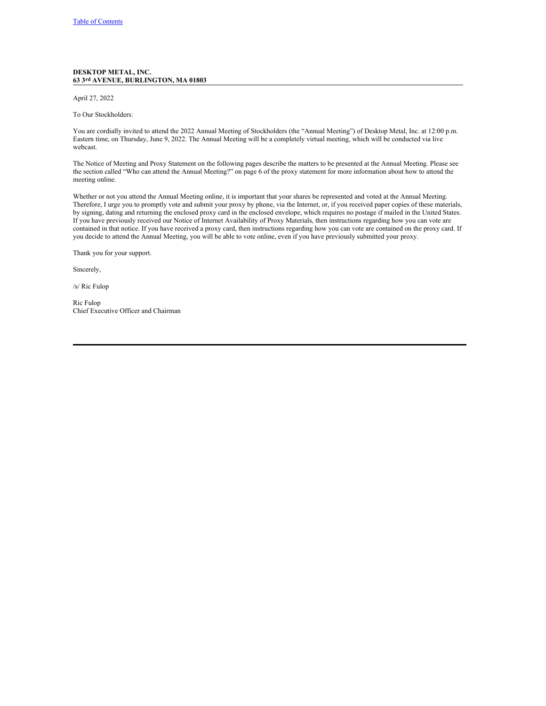## **DESKTOP METAL, INC. 63 3rd AVENUE, BURLINGTON, MA 01803**

## April 27, 2022

To Our Stockholders:

You are cordially invited to attend the 2022 Annual Meeting of Stockholders (the "Annual Meeting") of Desktop Metal, Inc. at 12:00 p.m. Eastern time, on Thursday, June 9, 2022. The Annual Meeting will be a completely virtual meeting, which will be conducted via live webcast.

The Notice of Meeting and Proxy Statement on the following pages describe the matters to be presented at the Annual Meeting. Please see the section called "Who can attend the Annual Meeting?" on page 6 of the proxy statement for more information about how to attend the meeting online.

Whether or not you attend the Annual Meeting online, it is important that your shares be represented and voted at the Annual Meeting. Therefore, I urge you to promptly vote and submit your proxy by phone, via the Internet, or, if you received paper copies of these materials, by signing, dating and returning the enclosed proxy card in the enclosed envelope, which requires no postage if mailed in the United States. If you have previously received our Notice of Internet Availability of Proxy Materials, then instructions regarding how you can vote are contained in that notice. If you have received a proxy card, then instructions regarding how you can vote are contained on the proxy card. If you decide to attend the Annual Meeting, you will be able to vote online, even if you have previously submitted your proxy.

Thank you for your support.

Sincerely,

/s/ Ric Fulop

Ric Fulop Chief Executive Officer and Chairman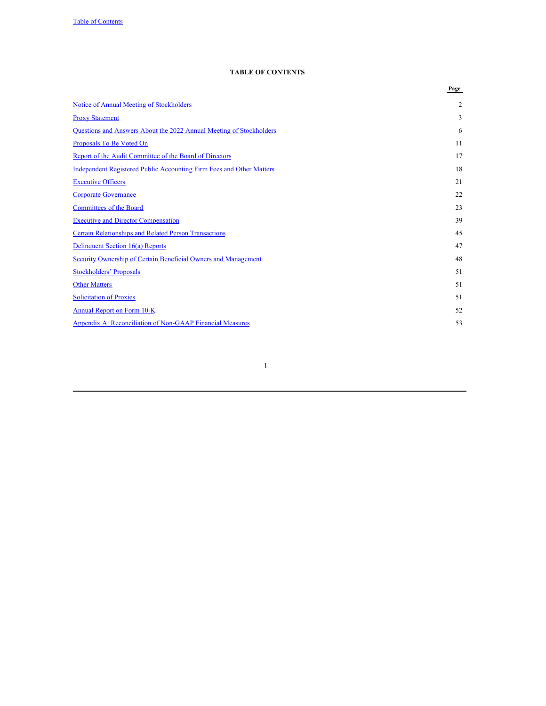# <span id="page-3-0"></span>**TABLE OF CONTENTS**

|                                                                             | Page |
|-----------------------------------------------------------------------------|------|
| Notice of Annual Meeting of Stockholders                                    | 2    |
| <b>Proxy Statement</b>                                                      | 3    |
| Questions and Answers About the 2022 Annual Meeting of Stockholders         | 6    |
| Proposals To Be Voted On                                                    | 11   |
| Report of the Audit Committee of the Board of Directors                     | 17   |
| <b>Independent Registered Public Accounting Firm Fees and Other Matters</b> | 18   |
| <b>Executive Officers</b>                                                   | 21   |
| <b>Corporate Governance</b>                                                 | 22   |
| <b>Committees of the Board</b>                                              | 23   |
| <b>Executive and Director Compensation</b>                                  | 39   |
| <b>Certain Relationships and Related Person Transactions</b>                | 45   |
| Delinquent Section 16(a) Reports                                            | 47   |
| Security Ownership of Certain Beneficial Owners and Management              | 48   |
| <b>Stockholders' Proposals</b>                                              | 51   |
| <b>Other Matters</b>                                                        | 51   |
| <b>Solicitation of Proxies</b>                                              | 51   |
| <b>Annual Report on Form 10-K</b>                                           | 52   |
| <b>Appendix A: Reconciliation of Non-GAAP Financial Measures</b>            | 53   |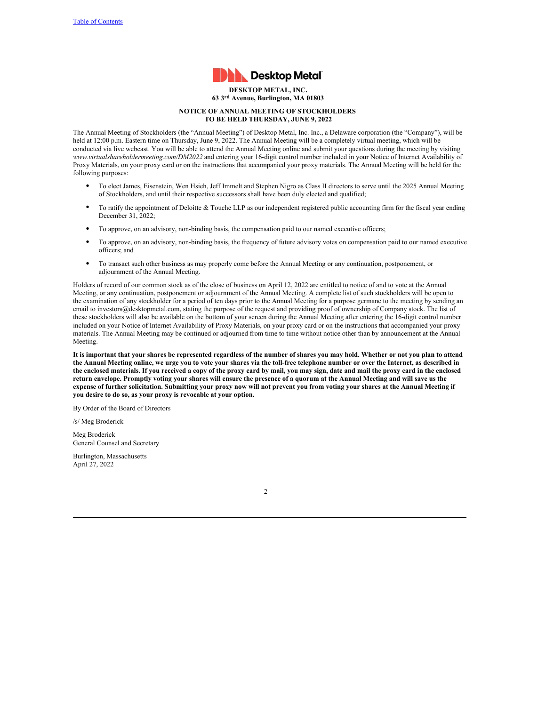

<span id="page-4-0"></span>**DESKTOP METAL, INC. 63 3rd Avenue, Burlington, MA 01803**

# **NOTICE OF ANNUAL MEETING OF STOCKHOLDERS TO BE HELD THURSDAY, JUNE 9, 2022**

The Annual Meeting of Stockholders (the "Annual Meeting") of Desktop Metal, Inc. Inc., a Delaware corporation (the "Company"), will be held at 12:00 p.m. Eastern time on Thursday, June 9, 2022. The Annual Meeting will be a completely virtual meeting, which will be conducted via live webcast. You will be able to attend the Annual Meeting online and submit your questions during the meeting by visiting *www.virtualshareholdermeeting.com/DM2022* and entering your 16-digit control number included in your Notice of Internet Availability of Proxy Materials, on your proxy card or on the instructions that accompanied your proxy materials. The Annual Meeting will be held for the following purposes:

- To elect James, Eisenstein, Wen Hsieh, Jeff Immelt and Stephen Nigro as Class II directors to serve until the 2025 Annual Meeting of Stockholders, and until their respective successors shall have been duly elected and qualified;
- To ratify the appointment of Deloitte  $&$  Touche LLP as our independent registered public accounting firm for the fiscal year ending December 31, 2022;
- To approve, on an advisory, non-binding basis, the compensation paid to our named executive officers;
- To approve, on an advisory, non-binding basis, the frequency of future advisory votes on compensation paid to our named executive officers; and
- To transact such other business as may properly come before the Annual Meeting or any continuation, postponement, or adjournment of the Annual Meeting.

Holders of record of our common stock as of the close of business on April 12, 2022 are entitled to notice of and to vote at the Annual Meeting, or any continuation, postponement or adjournment of the Annual Meeting. A complete list of such stockholders will be open to the examination of any stockholder for a period of ten days prior to the Annual Meeting for a purpose germane to the meeting by sending an email to investors@desktopmetal.com, stating the purpose of the request and providing proof of ownership of Company stock. The list of these stockholders will also be available on the bottom of your screen during the Annual Meeting after entering the 16-digit control number included on your Notice of Internet Availability of Proxy Materials, on your proxy card or on the instructions that accompanied your proxy materials. The Annual Meeting may be continued or adjourned from time to time without notice other than by announcement at the Annual Meeting.

It is important that your shares be represented regardless of the number of shares you may hold. Whether or not you plan to attend the Annual Meeting online, we urge you to vote your shares via the toll-free telephone number or over the Internet, as described in the enclosed materials. If you received a copy of the proxy card by mail, you may sign, date and mail the proxy card in the enclosed return envelope. Promptly voting your shares will ensure the presence of a quorum at the Annual Meeting and will save us the expense of further solicitation. Submitting your proxy now will not prevent you from voting your shares at the Annual Meeting if **you desire to do so, as your proxy is revocable at your option.**

By Order of the Board of Directors

/s/ Meg Broderick

Meg Broderick General Counsel and Secretary

Burlington, Massachusetts April 27, 2022

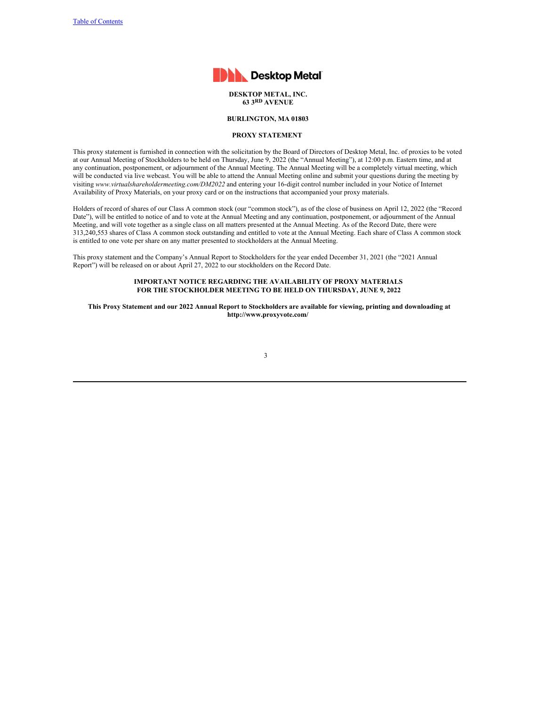

### **DESKTOP METAL, INC. 63 3RD AVENUE**

# **BURLINGTON, MA 01803**

# <span id="page-5-0"></span>**PROXY STATEMENT**

This proxy statement is furnished in connection with the solicitation by the Board of Directors of Desktop Metal, Inc. of proxies to be voted at our Annual Meeting of Stockholders to be held on Thursday, June 9, 2022 (the "Annual Meeting"), at 12:00 p.m. Eastern time, and at any continuation, postponement, or adjournment of the Annual Meeting. The Annual Meeting will be a completely virtual meeting, which will be conducted via live webcast. You will be able to attend the Annual Meeting online and submit your questions during the meeting by visiting *www.virtualshareholdermeeting.com/DM2022* and entering your 16-digit control number included in your Notice of Internet Availability of Proxy Materials, on your proxy card or on the instructions that accompanied your proxy materials.

Holders of record of shares of our Class A common stock (our "common stock"), as of the close of business on April 12, 2022 (the "Record Date"), will be entitled to notice of and to vote at the Annual Meeting and any continuation, postponement, or adjournment of the Annual Meeting, and will vote together as a single class on all matters presented at the Annual Meeting. As of the Record Date, there were 313,240,553 shares of Class A common stock outstanding and entitled to vote at the Annual Meeting. Each share of Class A common stock is entitled to one vote per share on any matter presented to stockholders at the Annual Meeting.

This proxy statement and the Company's Annual Report to Stockholders for the year ended December 31, 2021 (the "2021 Annual Report") will be released on or about April 27, 2022 to our stockholders on the Record Date.

# **IMPORTANT NOTICE REGARDING THE AVAILABILITY OF PROXY MATERIALS FOR THE STOCKHOLDER MEETING TO BE HELD ON THURSDAY, JUNE 9, 2022**

This Proxy Statement and our 2022 Annual Report to Stockholders are available for viewing, printing and downloading at **http://www.proxyvote.com/**

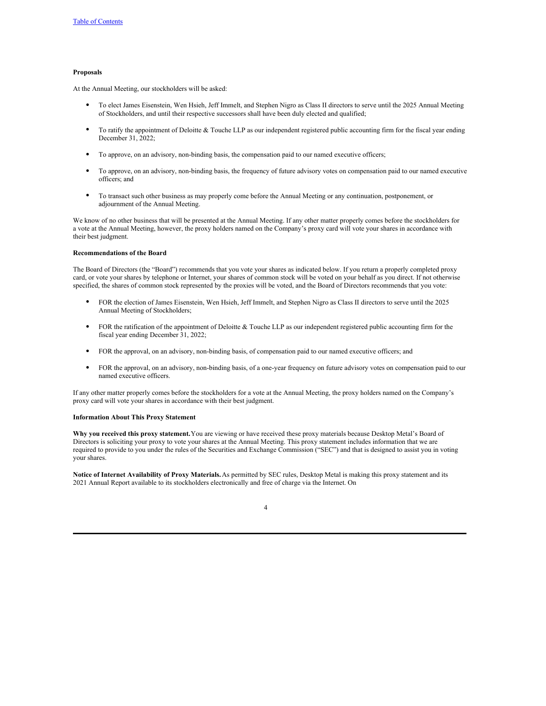# **Proposals**

At the Annual Meeting, our stockholders will be asked:

- To elect James Eisenstein, Wen Hsieh, Jeff Immelt, and Stephen Nigro as Class II directors to serve until the 2025 Annual Meeting of Stockholders, and until their respective successors shall have been duly elected and qualified;
- To ratify the appointment of Deloitte  $&$  Touche LLP as our independent registered public accounting firm for the fiscal year ending December 31, 2022;
- To approve, on an advisory, non-binding basis, the compensation paid to our named executive officers;
- To approve, on an advisory, non-binding basis, the frequency of future advisory votes on compensation paid to our named executive officers; and
- To transact such other business as may properly come before the Annual Meeting or any continuation, postponement, or adjournment of the Annual Meeting.

We know of no other business that will be presented at the Annual Meeting. If any other matter properly comes before the stockholders for a vote at the Annual Meeting, however, the proxy holders named on the Company's proxy card will vote your shares in accordance with their best judgment.

#### **Recommendations of the Board**

The Board of Directors (the "Board") recommends that you vote your shares as indicated below. If you return a properly completed proxy card, or vote your shares by telephone or Internet, your shares of common stock will be voted on your behalf as you direct. If not otherwise specified, the shares of common stock represented by the proxies will be voted, and the Board of Directors recommends that you vote:

- FOR the election of James Eisenstein, Wen Hsieh, Jeff Immelt, and Stephen Nigro as Class II directors to serve until the 2025 Annual Meeting of Stockholders;
- FOR the ratification of the appointment of Deloitte & Touche LLP as our independent registered public accounting firm for the fiscal year ending December 31, 2022;
- FOR the approval, on an advisory, non-binding basis, of compensation paid to our named executive officers; and
- FOR the approval, on an advisory, non-binding basis, of a one-year frequency on future advisory votes on compensation paid to our named executive officers.

If any other matter properly comes before the stockholders for a vote at the Annual Meeting, the proxy holders named on the Company's proxy card will vote your shares in accordance with their best judgment.

#### **Information About This Proxy Statement**

**Why you received this proxy statement.**You are viewing or have received these proxy materials because Desktop Metal's Board of Directors is soliciting your proxy to vote your shares at the Annual Meeting. This proxy statement includes information that we are required to provide to you under the rules of the Securities and Exchange Commission ("SEC") and that is designed to assist you in voting your shares.

**Notice of Internet Availability of Proxy Materials.**As permitted by SEC rules, Desktop Metal is making this proxy statement and its 2021 Annual Report available to its stockholders electronically and free of charge via the Internet. On

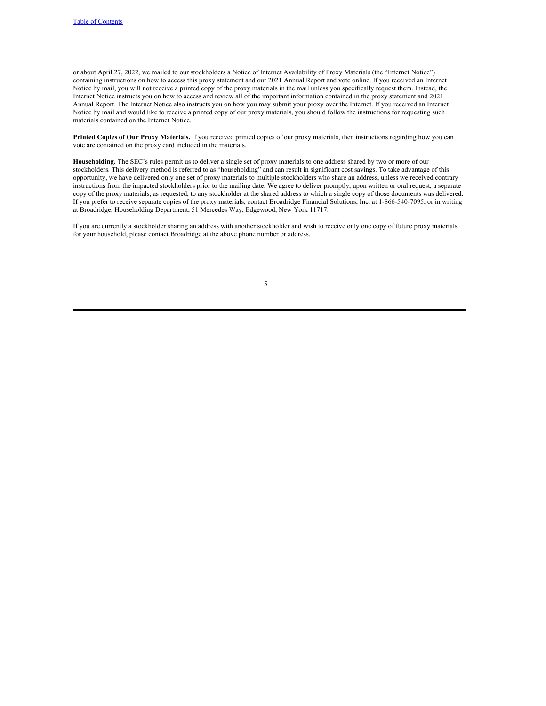or about April 27, 2022, we mailed to our stockholders a Notice of Internet Availability of Proxy Materials (the "Internet Notice") containing instructions on how to access this proxy statement and our 2021 Annual Report and vote online. If you received an Internet Notice by mail, you will not receive a printed copy of the proxy materials in the mail unless you specifically request them. Instead, the Internet Notice instructs you on how to access and review all of the important information contained in the proxy statement and 2021 Annual Report. The Internet Notice also instructs you on how you may submit your proxy over the Internet. If you received an Internet Notice by mail and would like to receive a printed copy of our proxy materials, you should follow the instructions for requesting such materials contained on the Internet Notice.

**Printed Copies of Our Proxy Materials.** If you received printed copies of our proxy materials, then instructions regarding how you can vote are contained on the proxy card included in the materials.

**Householding.** The SEC's rules permit us to deliver a single set of proxy materials to one address shared by two or more of our stockholders. This delivery method is referred to as "householding" and can result in significant cost savings. To take advantage of this opportunity, we have delivered only one set of proxy materials to multiple stockholders who share an address, unless we received contrary instructions from the impacted stockholders prior to the mailing date. We agree to deliver promptly, upon written or oral request, a separate copy of the proxy materials, as requested, to any stockholder at the shared address to which a single copy of those documents was delivered. If you prefer to receive separate copies of the proxy materials, contact Broadridge Financial Solutions, Inc. at 1-866-540-7095, or in writing at Broadridge, Householding Department, 51 Mercedes Way, Edgewood, New York 11717.

If you are currently a stockholder sharing an address with another stockholder and wish to receive only one copy of future proxy materials for your household, please contact Broadridge at the above phone number or address.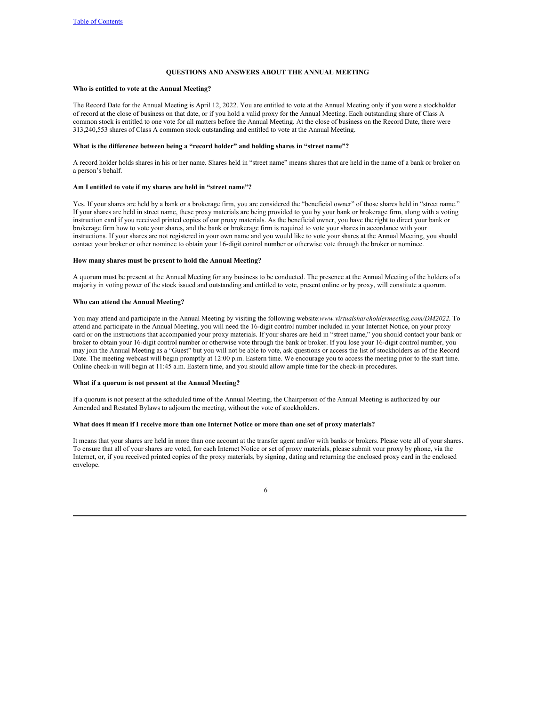# <span id="page-8-0"></span>**QUESTIONS AND ANSWERS ABOUT THE ANNUAL MEETING**

### **Who is entitled to vote at the Annual Meeting?**

The Record Date for the Annual Meeting is April 12, 2022. You are entitled to vote at the Annual Meeting only if you were a stockholder of record at the close of business on that date, or if you hold a valid proxy for the Annual Meeting. Each outstanding share of Class A common stock is entitled to one vote for all matters before the Annual Meeting. At the close of business on the Record Date, there were 313,240,553 shares of Class A common stock outstanding and entitled to vote at the Annual Meeting.

# **What is the difference between being a "record holder" and holding shares in "street name"?**

A record holder holds shares in his or her name. Shares held in "street name" means shares that are held in the name of a bank or broker on a person's behalf.

#### **Am I entitled to vote if my shares are held in "street name"?**

Yes. If your shares are held by a bank or a brokerage firm, you are considered the "beneficial owner" of those shares held in "street name." If your shares are held in street name, these proxy materials are being provided to you by your bank or brokerage firm, along with a voting instruction card if you received printed copies of our proxy materials. As the beneficial owner, you have the right to direct your bank or brokerage firm how to vote your shares, and the bank or brokerage firm is required to vote your shares in accordance with your instructions. If your shares are not registered in your own name and you would like to vote your shares at the Annual Meeting, you should contact your broker or other nominee to obtain your 16-digit control number or otherwise vote through the broker or nominee.

#### **How many shares must be present to hold the Annual Meeting?**

A quorum must be present at the Annual Meeting for any business to be conducted. The presence at the Annual Meeting of the holders of a majority in voting power of the stock issued and outstanding and entitled to vote, present online or by proxy, will constitute a quorum.

#### **Who can attend the Annual Meeting?**

You may attend and participate in the Annual Meeting by visiting the following website:*www.virtualshareholdermeeting.com/DM2022*. To attend and participate in the Annual Meeting, you will need the 16-digit control number included in your Internet Notice, on your proxy card or on the instructions that accompanied your proxy materials. If your shares are held in "street name," you should contact your bank or broker to obtain your 16-digit control number or otherwise vote through the bank or broker. If you lose your 16-digit control number, you may join the Annual Meeting as a "Guest" but you will not be able to vote, ask questions or access the list of stockholders as of the Record Date. The meeting webcast will begin promptly at 12:00 p.m. Eastern time. We encourage you to access the meeting prior to the start time. Online check-in will begin at 11:45 a.m. Eastern time, and you should allow ample time for the check-in procedures.

#### **What if a quorum is not present at the Annual Meeting?**

If a quorum is not present at the scheduled time of the Annual Meeting, the Chairperson of the Annual Meeting is authorized by our Amended and Restated Bylaws to adjourn the meeting, without the vote of stockholders.

#### What does it mean if I receive more than one Internet Notice or more than one set of proxy materials?

It means that your shares are held in more than one account at the transfer agent and/or with banks or brokers. Please vote all of your shares. To ensure that all of your shares are voted, for each Internet Notice or set of proxy materials, please submit your proxy by phone, via the Internet, or, if you received printed copies of the proxy materials, by signing, dating and returning the enclosed proxy card in the enclosed envelope.

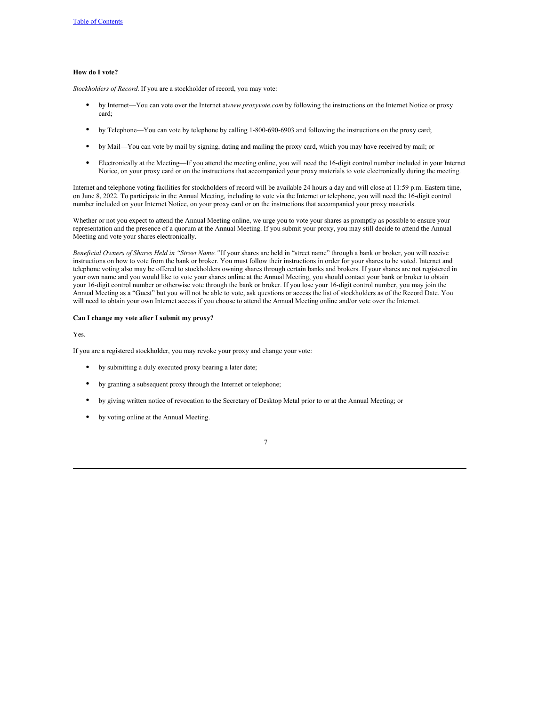# **How do I vote?**

*Stockholders of Record.* If you are a stockholder of record, you may vote:

- by Internet—You can vote over the Internet at*www.proxyvote.com* by following the instructions on the Internet Notice or proxy card;
- by Telephone—You can vote by telephone by calling 1-800-690-6903 and following the instructions on the proxy card;
- by Mail—You can vote by mail by signing, dating and mailing the proxy card, which you may have received by mail; or
- Electronically at the Meeting—If you attend the meeting online, you will need the 16-digit control number included in your Internet Notice, on your proxy card or on the instructions that accompanied your proxy materials to vote electronically during the meeting.

Internet and telephone voting facilities for stockholders of record will be available 24 hours a day and will close at 11:59 p.m. Eastern time, on June 8, 2022. To participate in the Annual Meeting, including to vote via the Internet or telephone, you will need the 16-digit control number included on your Internet Notice, on your proxy card or on the instructions that accompanied your proxy materials.

Whether or not you expect to attend the Annual Meeting online, we urge you to vote your shares as promptly as possible to ensure your representation and the presence of a quorum at the Annual Meeting. If you submit your proxy, you may still decide to attend the Annual Meeting and vote your shares electronically.

*Beneficial Owners of Shares Held in "Street Name."*If your shares are held in "street name" through a bank or broker, you will receive instructions on how to vote from the bank or broker. You must follow their instructions in order for your shares to be voted. Internet and telephone voting also may be offered to stockholders owning shares through certain banks and brokers. If your shares are not registered in your own name and you would like to vote your shares online at the Annual Meeting, you should contact your bank or broker to obtain your 16-digit control number or otherwise vote through the bank or broker. If you lose your 16-digit control number, you may join the Annual Meeting as a "Guest" but you will not be able to vote, ask questions or access the list of stockholders as of the Record Date. You will need to obtain your own Internet access if you choose to attend the Annual Meeting online and/or vote over the Internet.

# **Can I change my vote after I submit my proxy?**

Yes.

If you are a registered stockholder, you may revoke your proxy and change your vote:

- by submitting a duly executed proxy bearing a later date;
- by granting a subsequent proxy through the Internet or telephone;
- by giving written notice of revocation to the Secretary of Desktop Metal prior to or at the Annual Meeting; or
- by voting online at the Annual Meeting.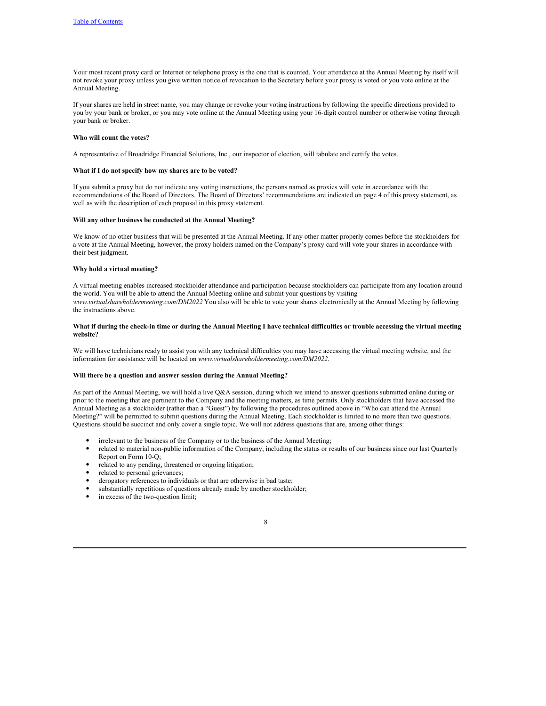Your most recent proxy card or Internet or telephone proxy is the one that is counted. Your attendance at the Annual Meeting by itself will not revoke your proxy unless you give written notice of revocation to the Secretary before your proxy is voted or you vote online at the Annual Meeting.

If your shares are held in street name, you may change or revoke your voting instructions by following the specific directions provided to you by your bank or broker, or you may vote online at the Annual Meeting using your 16-digit control number or otherwise voting through your bank or broker.

### **Who will count the votes?**

A representative of Broadridge Financial Solutions, Inc., our inspector of election, will tabulate and certify the votes.

#### **What if I do not specify how my shares are to be voted?**

If you submit a proxy but do not indicate any voting instructions, the persons named as proxies will vote in accordance with the recommendations of the Board of Directors. The Board of Directors' recommendations are indicated on page 4 of this proxy statement, as well as with the description of each proposal in this proxy statement.

# **Will any other business be conducted at the Annual Meeting?**

We know of no other business that will be presented at the Annual Meeting. If any other matter properly comes before the stockholders for a vote at the Annual Meeting, however, the proxy holders named on the Company's proxy card will vote your shares in accordance with their best judgment.

# **Why hold a virtual meeting?**

A virtual meeting enables increased stockholder attendance and participation because stockholders can participate from any location around the world. You will be able to attend the Annual Meeting online and submit your questions by visiting *www.virtualshareholdermeeting.com/DM2022* You also will be able to vote your shares electronically at the Annual Meeting by following the instructions above.

### What if during the check-in time or during the Annual Meeting I have technical difficulties or trouble accessing the virtual meeting **website?**

We will have technicians ready to assist you with any technical difficulties you may have accessing the virtual meeting website, and the information for assistance will be located on *www.virtualshareholdermeeting.com/DM2022*.

### **Will there be a question and answer session during the Annual Meeting?**

As part of the Annual Meeting, we will hold a live Q&A session, during which we intend to answer questions submitted online during or prior to the meeting that are pertinent to the Company and the meeting matters, as time permits. Only stockholders that have accessed the Annual Meeting as a stockholder (rather than a "Guest") by following the procedures outlined above in "Who can attend the Annual Meeting?" will be permitted to submit questions during the Annual Meeting. Each stockholder is limited to no more than two questions. Questions should be succinct and only cover a single topic. We will not address questions that are, among other things:

- irrelevant to the business of the Company or to the business of the Annual Meeting;
- related to material non-public information of the Company, including the status or results of our business since our last Quarterly Report on Form 10-Q;
- related to any pending, threatened or ongoing litigation;
- related to personal grievances;
- derogatory references to individuals or that are otherwise in bad taste;
- substantially repetitious of questions already made by another stockholder;
- in excess of the two-question limit;

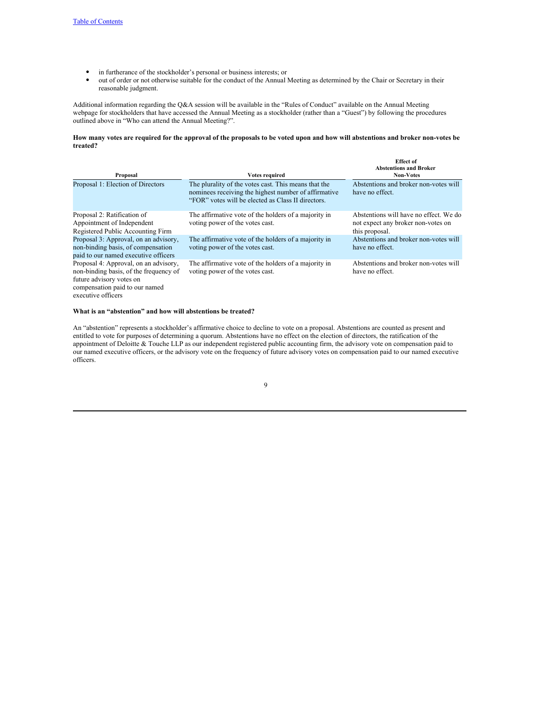- in furtherance of the stockholder's personal or business interests; or
- out of order or not otherwise suitable for the conduct of the Annual Meeting as determined by the Chair or Secretary in their reasonable judgment.

Additional information regarding the Q&A session will be available in the "Rules of Conduct" available on the Annual Meeting webpage for stockholders that have accessed the Annual Meeting as a stockholder (rather than a "Guest") by following the procedures outlined above in "Who can attend the Annual Meeting?".

How many votes are required for the approval of the proposals to be voted upon and how will abstentions and broker non-votes be **treated?**

| Proposal                                                                                                                                                            | Votes required                                                                                                                                                     | <b>Effect</b> of<br><b>Abstentions and Broker</b><br><b>Non-Votes</b>                          |
|---------------------------------------------------------------------------------------------------------------------------------------------------------------------|--------------------------------------------------------------------------------------------------------------------------------------------------------------------|------------------------------------------------------------------------------------------------|
| Proposal 1: Election of Directors                                                                                                                                   | The plurality of the votes cast. This means that the<br>nominees receiving the highest number of affirmative<br>"FOR" votes will be elected as Class II directors. | Abstentions and broker non-votes will<br>have no effect.                                       |
| Proposal 2: Ratification of<br>Appointment of Independent<br>Registered Public Accounting Firm                                                                      | The affirmative vote of the holders of a majority in<br>voting power of the votes cast.                                                                            | Abstentions will have no effect. We do<br>not expect any broker non-votes on<br>this proposal. |
| Proposal 3: Approval, on an advisory,<br>non-binding basis, of compensation<br>paid to our named executive officers                                                 | The affirmative vote of the holders of a majority in<br>voting power of the votes cast.                                                                            | Abstentions and broker non-votes will<br>have no effect.                                       |
| Proposal 4: Approval, on an advisory,<br>non-binding basis, of the frequency of<br>future advisory votes on<br>compensation paid to our named<br>executive officers | The affirmative vote of the holders of a majority in<br>voting power of the votes cast.                                                                            | Abstentions and broker non-votes will<br>have no effect.                                       |

### **What is an "abstention" and how will abstentions be treated?**

An "abstention" represents a stockholder's affirmative choice to decline to vote on a proposal. Abstentions are counted as present and entitled to vote for purposes of determining a quorum. Abstentions have no effect on the election of directors, the ratification of the appointment of Deloitte & Touche LLP as our independent registered public accounting firm, the advisory vote on compensation paid to our named executive officers, or the advisory vote on the frequency of future advisory votes on compensation paid to our named executive officers.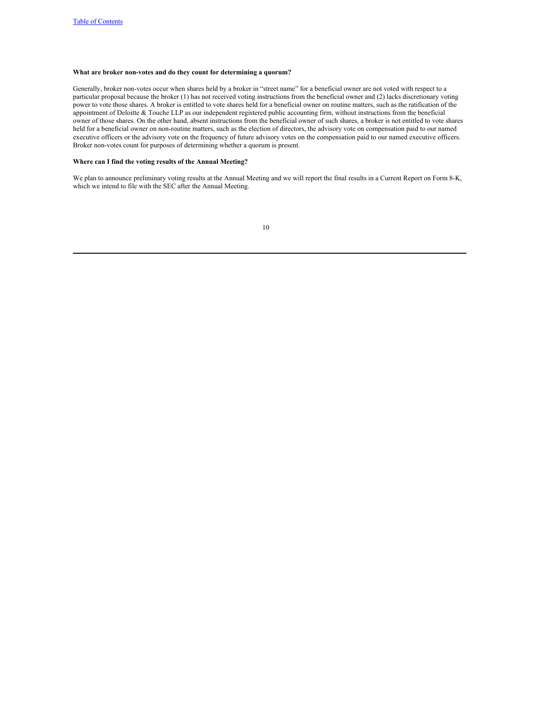# **What are broker non-votes and do they count for determining a quorum?**

Generally, broker non-votes occur when shares held by a broker in "street name" for a beneficial owner are not voted with respect to a particular proposal because the broker (1) has not received voting instructions from the beneficial owner and (2) lacks discretionary voting power to vote those shares. A broker is entitled to vote shares held for a beneficial owner on routine matters, such as the ratification of the appointment of Deloitte & Touche LLP as our independent registered public accounting firm, without instructions from the beneficial owner of those shares. On the other hand, absent instructions from the beneficial owner of such shares, a broker is not entitled to vote shares held for a beneficial owner on non-routine matters, such as the election of directors, the advisory vote on compensation paid to our named executive officers or the advisory vote on the frequency of future advisory votes on the compensation paid to our named executive officers. Broker non-votes count for purposes of determining whether a quorum is present.

# **Where can I find the voting results of the Annual Meeting?**

We plan to announce preliminary voting results at the Annual Meeting and we will report the final results in a Current Report on Form 8-K, which we intend to file with the SEC after the Annual Meeting.

| I            |  |
|--------------|--|
| ٦<br>×<br>۰. |  |
|              |  |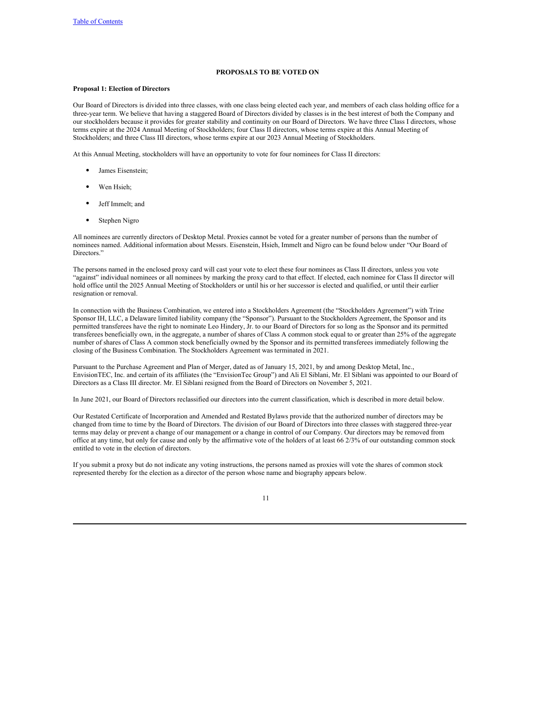# <span id="page-13-0"></span>**PROPOSALS TO BE VOTED ON**

### **Proposal 1: Election of Directors**

Our Board of Directors is divided into three classes, with one class being elected each year, and members of each class holding office for a three-year term. We believe that having a staggered Board of Directors divided by classes is in the best interest of both the Company and our stockholders because it provides for greater stability and continuity on our Board of Directors. We have three Class I directors, whose terms expire at the 2024 Annual Meeting of Stockholders; four Class II directors, whose terms expire at this Annual Meeting of Stockholders; and three Class III directors, whose terms expire at our 2023 Annual Meeting of Stockholders.

At this Annual Meeting, stockholders will have an opportunity to vote for four nominees for Class II directors:

- James Eisenstein;
- Wen Hsieh;
- Jeff Immelt; and
- Stephen Nigro

All nominees are currently directors of Desktop Metal. Proxies cannot be voted for a greater number of persons than the number of nominees named. Additional information about Messrs. Eisenstein, Hsieh, Immelt and Nigro can be found below under "Our Board of Directors."

The persons named in the enclosed proxy card will cast your vote to elect these four nominees as Class II directors, unless you vote "against" individual nominees or all nominees by marking the proxy card to that effect. If elected, each nominee for Class II director will hold office until the 2025 Annual Meeting of Stockholders or until his or her successor is elected and qualified, or until their earlier resignation or removal.

In connection with the Business Combination, we entered into a Stockholders Agreement (the "Stockholders Agreement") with Trine Sponsor IH, LLC, a Delaware limited liability company (the "Sponsor"). Pursuant to the Stockholders Agreement, the Sponsor and its permitted transferees have the right to nominate Leo Hindery, Jr. to our Board of Directors for so long as the Sponsor and its permitted transferees beneficially own, in the aggregate, a number of shares of Class A common stock equal to or greater than 25% of the aggregate number of shares of Class A common stock beneficially owned by the Sponsor and its permitted transferees immediately following the closing of the Business Combination. The Stockholders Agreement was terminated in 2021.

Pursuant to the Purchase Agreement and Plan of Merger, dated as of January 15, 2021, by and among Desktop Metal, Inc., EnvisionTEC, Inc. and certain of its affiliates (the "EnvisionTec Group") and Ali El Siblani, Mr. El Siblani was appointed to our Board of Directors as a Class III director. Mr. El Siblani resigned from the Board of Directors on November 5, 2021.

In June 2021, our Board of Directors reclassified our directors into the current classification, which is described in more detail below.

Our Restated Certificate of Incorporation and Amended and Restated Bylaws provide that the authorized number of directors may be changed from time to time by the Board of Directors. The division of our Board of Directors into three classes with staggered three-year terms may delay or prevent a change of our management or a change in control of our Company. Our directors may be removed from office at any time, but only for cause and only by the affirmative vote of the holders of at least 66 2/3% of our outstanding common stock entitled to vote in the election of directors.

If you submit a proxy but do not indicate any voting instructions, the persons named as proxies will vote the shares of common stock represented thereby for the election as a director of the person whose name and biography appears below.

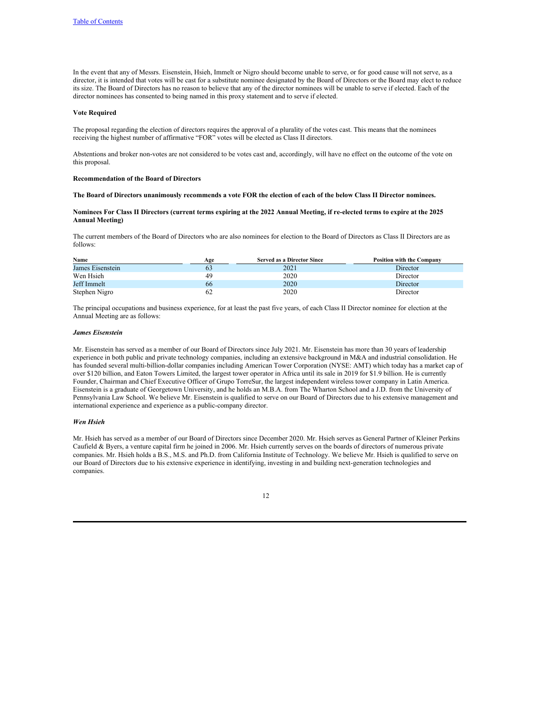In the event that any of Messrs. Eisenstein, Hsieh, Immelt or Nigro should become unable to serve, or for good cause will not serve, as a director, it is intended that votes will be cast for a substitute nominee designated by the Board of Directors or the Board may elect to reduce its size. The Board of Directors has no reason to believe that any of the director nominees will be unable to serve if elected. Each of the director nominees has consented to being named in this proxy statement and to serve if elected.

#### **Vote Required**

The proposal regarding the election of directors requires the approval of a plurality of the votes cast. This means that the nominees receiving the highest number of affirmative "FOR" votes will be elected as Class II directors.

Abstentions and broker non-votes are not considered to be votes cast and, accordingly, will have no effect on the outcome of the vote on this proposal.

### **Recommendation of the Board of Directors**

The Board of Directors unanimously recommends a vote FOR the election of each of the below Class II Director nominees.

# Nominees For Class II Directors (current terms expiring at the 2022 Annual Meeting, if re-elected terms to expire at the 2025 **Annual Meeting)**

The current members of the Board of Directors who are also nominees for election to the Board of Directors as Class II Directors are as follows:

| Name             | Age | <b>Served as a Director Since</b> | <b>Position with the Company</b> |
|------------------|-----|-----------------------------------|----------------------------------|
| James Eisenstein | 63  | 2021                              | Director                         |
| Wen Hsieh        | 49  | 2020                              | Director                         |
| Jeff Immelt      | 66  | 2020                              | Director                         |
| Stephen Nigro    | 62  | 2020                              | Director                         |

The principal occupations and business experience, for at least the past five years, of each Class II Director nominee for election at the Annual Meeting are as follows:

# *James Eisenstein*

Mr. Eisenstein has served as a member of our Board of Directors since July 2021. Mr. Eisenstein has more than 30 years of leadership experience in both public and private technology companies, including an extensive background in M&A and industrial consolidation. He has founded several multi-billion-dollar companies including American Tower Corporation (NYSE: AMT) which today has a market cap of over \$120 billion, and Eaton Towers Limited, the largest tower operator in Africa until its sale in 2019 for \$1.9 billion. He is currently Founder, Chairman and Chief Executive Officer of Grupo TorreSur, the largest independent wireless tower company in Latin America. Eisenstein is a graduate of Georgetown University, and he holds an M.B.A. from The Wharton School and a J.D. from the University of Pennsylvania Law School. We believe Mr. Eisenstein is qualified to serve on our Board of Directors due to his extensive management and international experience and experience as a public-company director.

### *Wen Hsieh*

Mr. Hsieh has served as a member of our Board of Directors since December 2020. Mr. Hsieh serves as General Partner of Kleiner Perkins Caufield & Byers, a venture capital firm he joined in 2006. Mr. Hsieh currently serves on the boards of directors of numerous private companies. Mr. Hsieh holds a B.S., M.S. and Ph.D. from California Institute of Technology. We believe Mr. Hsieh is qualified to serve on our Board of Directors due to his extensive experience in identifying, investing in and building next-generation technologies and companies.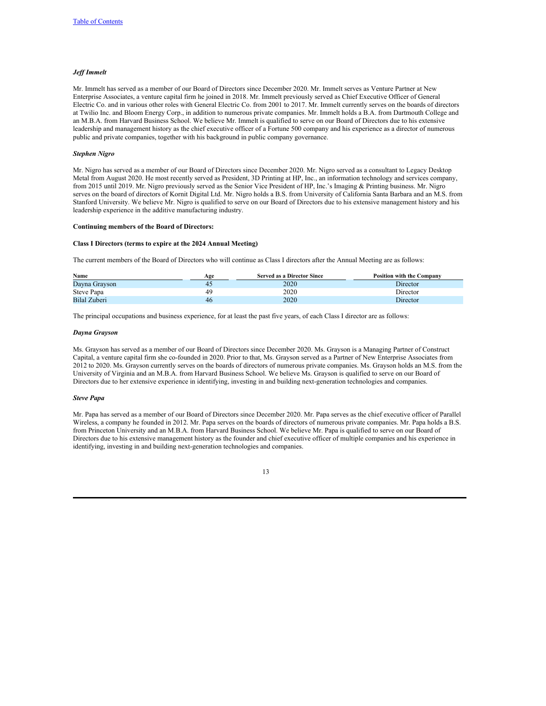# *Jef Immelt*

Mr. Immelt has served as a member of our Board of Directors since December 2020. Mr. Immelt serves as Venture Partner at New Enterprise Associates, a venture capital firm he joined in 2018. Mr. Immelt previously served as Chief Executive Officer of General Electric Co. and in various other roles with General Electric Co. from 2001 to 2017. Mr. Immelt currently serves on the boards of directors at Twilio Inc. and Bloom Energy Corp., in addition to numerous private companies. Mr. Immelt holds a B.A. from Dartmouth College and an M.B.A. from Harvard Business School. We believe Mr. Immelt is qualified to serve on our Board of Directors due to his extensive leadership and management history as the chief executive officer of a Fortune 500 company and his experience as a director of numerous public and private companies, together with his background in public company governance.

### *Stephen Nigro*

Mr. Nigro has served as a member of our Board of Directors since December 2020. Mr. Nigro served as a consultant to Legacy Desktop Metal from August 2020. He most recently served as President, 3D Printing at HP, Inc., an information technology and services company, from 2015 until 2019. Mr. Nigro previously served as the Senior Vice President of HP, Inc.'s Imaging & Printing business. Mr. Nigro serves on the board of directors of Kornit Digital Ltd. Mr. Nigro holds a B.S. from University of California Santa Barbara and an M.S. from Stanford University. We believe Mr. Nigro is qualified to serve on our Board of Directors due to his extensive management history and his leadership experience in the additive manufacturing industry.

# **Continuing members of the Board of Directors:**

### **Class I Directors (terms to expire at the 2024 Annual Meeting)**

The current members of the Board of Directors who will continue as Class I directors after the Annual Meeting are as follows:

| Name          | Age | <b>Served as a Director Since</b> | <b>Position with the Company</b> |
|---------------|-----|-----------------------------------|----------------------------------|
| Davna Gravson |     | 2020                              | Director                         |
| Steve Papa    | 49  | 2020                              | Director                         |
| Bilal Zuberi  | 46  | 2020                              | Director                         |

The principal occupations and business experience, for at least the past five years, of each Class I director are as follows:

#### *Dayna Grayson*

Ms. Grayson has served as a member of our Board of Directors since December 2020. Ms. Grayson is a Managing Partner of Construct Capital, a venture capital firm she co-founded in 2020. Prior to that, Ms. Grayson served as a Partner of New Enterprise Associates from 2012 to 2020. Ms. Grayson currently serves on the boards of directors of numerous private companies. Ms. Grayson holds an M.S. from the University of Virginia and an M.B.A. from Harvard Business School. We believe Ms. Grayson is qualified to serve on our Board of Directors due to her extensive experience in identifying, investing in and building next-generation technologies and companies.

# *Steve Papa*

Mr. Papa has served as a member of our Board of Directors since December 2020. Mr. Papa serves as the chief executive officer of Parallel Wireless, a company he founded in 2012. Mr. Papa serves on the boards of directors of numerous private companies. Mr. Papa holds a B.S. from Princeton University and an M.B.A. from Harvard Business School. We believe Mr. Papa is qualified to serve on our Board of Directors due to his extensive management history as the founder and chief executive officer of multiple companies and his experience in identifying, investing in and building next-generation technologies and companies.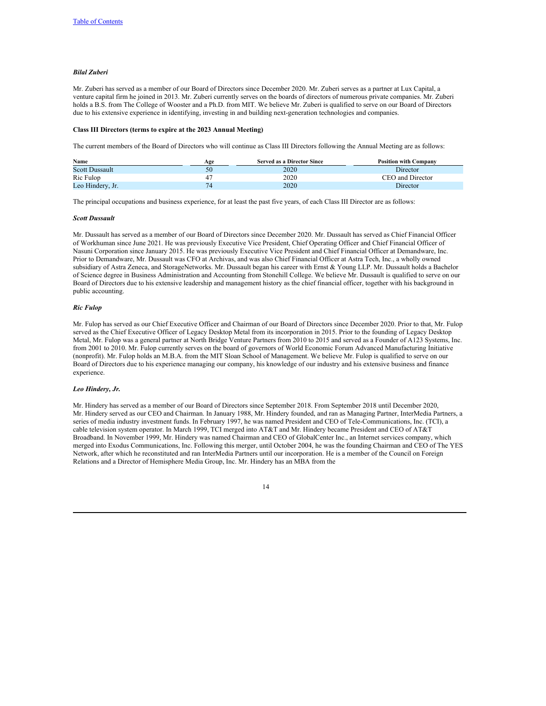# *Bilal Zuberi*

Mr. Zuberi has served as a member of our Board of Directors since December 2020. Mr. Zuberi serves as a partner at Lux Capital, a venture capital firm he joined in 2013. Mr. Zuberi currently serves on the boards of directors of numerous private companies. Mr. Zuberi holds a B.S. from The College of Wooster and a Ph.D. from MIT. We believe Mr. Zuberi is qualified to serve on our Board of Directors due to his extensive experience in identifying, investing in and building next-generation technologies and companies.

#### **Class III Directors (terms to expire at the 2023 Annual Meeting)**

The current members of the Board of Directors who will continue as Class III Directors following the Annual Meeting are as follows:

| Name                  | Age | <b>Served as a Director Since</b> | <b>Position with Company</b> |
|-----------------------|-----|-----------------------------------|------------------------------|
| <b>Scott Dussault</b> | 50  | 2020                              | Director                     |
| Ric Fulop             | 47  | 2020                              | CEO and Director             |
| Leo Hindery, Jr.      |     | 2020                              | Director                     |

The principal occupations and business experience, for at least the past five years, of each Class III Director are as follows:

#### *Scott Dussault*

Mr. Dussault has served as a member of our Board of Directors since December 2020. Mr. Dussault has served as Chief Financial Officer of Workhuman since June 2021. He was previously Executive Vice President, Chief Operating Officer and Chief Financial Officer of Nasuni Corporation since January 2015. He was previously Executive Vice President and Chief Financial Officer at Demandware, Inc. Prior to Demandware, Mr. Dussault was CFO at Archivas, and was also Chief Financial Officer at Astra Tech, Inc., a wholly owned subsidiary of Astra Zeneca, and StorageNetworks. Mr. Dussault began his career with Ernst & Young LLP. Mr. Dussault holds a Bachelor of Science degree in Business Administration and Accounting from Stonehill College. We believe Mr. Dussault is qualified to serve on our Board of Directors due to his extensive leadership and management history as the chief financial officer, together with his background in public accounting.

# *Ric Fulop*

Mr. Fulop has served as our Chief Executive Officer and Chairman of our Board of Directors since December 2020. Prior to that, Mr. Fulop served as the Chief Executive Officer of Legacy Desktop Metal from its incorporation in 2015. Prior to the founding of Legacy Desktop Metal, Mr. Fulop was a general partner at North Bridge Venture Partners from 2010 to 2015 and served as a Founder of A123 Systems, Inc. from 2001 to 2010. Mr. Fulop currently serves on the board of governors of World Economic Forum Advanced Manufacturing Initiative (nonprofit). Mr. Fulop holds an M.B.A. from the MIT Sloan School of Management. We believe Mr. Fulop is qualified to serve on our Board of Directors due to his experience managing our company, his knowledge of our industry and his extensive business and finance experience.

# *Leo Hindery, Jr.*

Mr. Hindery has served as a member of our Board of Directors since September 2018. From September 2018 until December 2020, Mr. Hindery served as our CEO and Chairman. In January 1988, Mr. Hindery founded, and ran as Managing Partner, InterMedia Partners, a series of media industry investment funds. In February 1997, he was named President and CEO of Tele-Communications, Inc. (TCI), a cable television system operator. In March 1999, TCI merged into AT&T and Mr. Hindery became President and CEO of AT&T Broadband. In November 1999, Mr. Hindery was named Chairman and CEO of GlobalCenter Inc., an Internet services company, which merged into Exodus Communications, Inc. Following this merger, until October 2004, he was the founding Chairman and CEO of The YES Network, after which he reconstituted and ran InterMedia Partners until our incorporation. He is a member of the Council on Foreign Relations and a Director of Hemisphere Media Group, Inc. Mr. Hindery has an MBA from the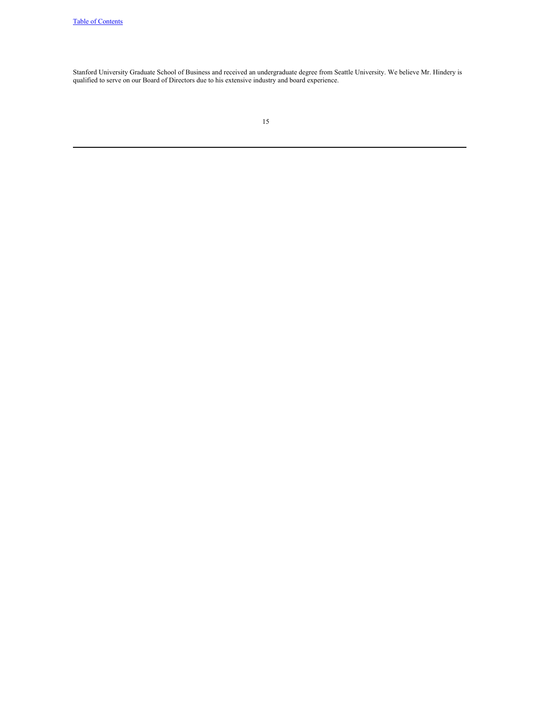Stanford University Graduate School of Business and received an undergraduate degree from Seattle University. We believe Mr. Hindery is qualified to serve on our Board of Directors due to his extensive industry and board experience.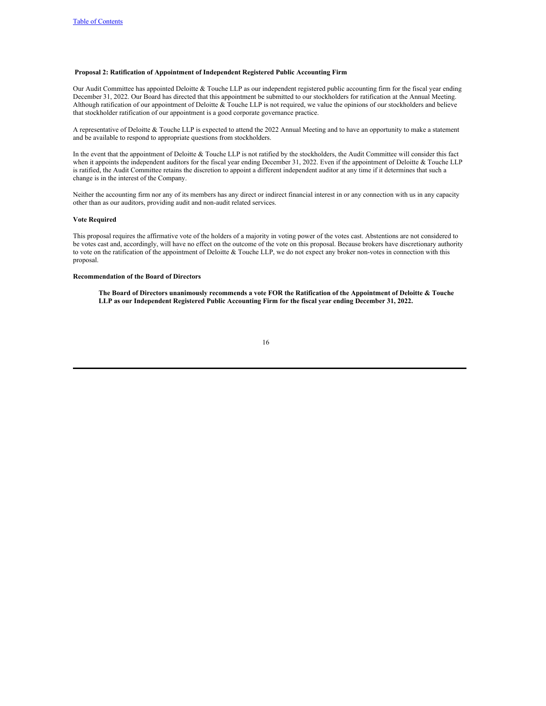## **Proposal 2: Ratification of Appointment of Independent Registered Public Accounting Firm**

Our Audit Committee has appointed Deloitte & Touche LLP as our independent registered public accounting firm for the fiscal year ending December 31, 2022. Our Board has directed that this appointment be submitted to our stockholders for ratification at the Annual Meeting. Although ratification of our appointment of Deloitte  $\&$  Touche LLP is not required, we value the opinions of our stockholders and believe that stockholder ratification of our appointment is a good corporate governance practice.

A representative of Deloitte & Touche LLP is expected to attend the 2022 Annual Meeting and to have an opportunity to make a statement and be available to respond to appropriate questions from stockholders.

In the event that the appointment of Deloitte & Touche LLP is not ratified by the stockholders, the Audit Committee will consider this fact when it appoints the independent auditors for the fiscal year ending December 31, 2022. Even if the appointment of Deloitte & Touche LLP is ratified, the Audit Committee retains the discretion to appoint a different independent auditor at any time if it determines that such a change is in the interest of the Company.

Neither the accounting firm nor any of its members has any direct or indirect financial interest in or any connection with us in any capacity other than as our auditors, providing audit and non-audit related services.

### **Vote Required**

This proposal requires the affirmative vote of the holders of a majority in voting power of the votes cast. Abstentions are not considered to be votes cast and, accordingly, will have no effect on the outcome of the vote on this proposal. Because brokers have discretionary authority to vote on the ratification of the appointment of Deloitte & Touche LLP, we do not expect any broker non-votes in connection with this proposal.

# **Recommendation of the Board of Directors**

The Board of Directors unanimously recommends a vote FOR the Ratification of the Appointment of Deloitte & Touche **LLP as our Independent Registered Public Accounting Firm for the fiscal year ending December 31, 2022.**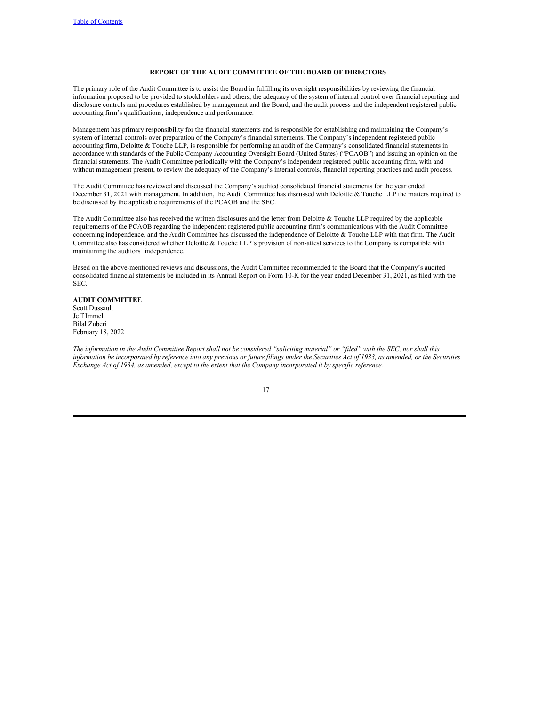# <span id="page-19-0"></span>**REPORT OF THE AUDIT COMMITTEE OF THE BOARD OF DIRECTORS**

The primary role of the Audit Committee is to assist the Board in fulfilling its oversight responsibilities by reviewing the financial information proposed to be provided to stockholders and others, the adequacy of the system of internal control over financial reporting and disclosure controls and procedures established by management and the Board, and the audit process and the independent registered public accounting firm's qualifications, independence and performance.

Management has primary responsibility for the financial statements and is responsible for establishing and maintaining the Company's system of internal controls over preparation of the Company's financial statements. The Company's independent registered public accounting firm, Deloitte & Touche LLP, is responsible for performing an audit of the Company's consolidated financial statements in accordance with standards of the Public Company Accounting Oversight Board (United States) ("PCAOB") and issuing an opinion on the financial statements. The Audit Committee periodically with the Company's independent registered public accounting firm, with and without management present, to review the adequacy of the Company's internal controls, financial reporting practices and audit process.

The Audit Committee has reviewed and discussed the Company's audited consolidated financial statements for the year ended December 31, 2021 with management. In addition, the Audit Committee has discussed with Deloitte & Touche LLP the matters required to be discussed by the applicable requirements of the PCAOB and the SEC.

The Audit Committee also has received the written disclosures and the letter from Deloitte  $&$  Touche LLP required by the applicable requirements of the PCAOB regarding the independent registered public accounting firm's communications with the Audit Committee concerning independence, and the Audit Committee has discussed the independence of Deloitte & Touche LLP with that firm. The Audit Committee also has considered whether Deloitte & Touche LLP's provision of non-attest services to the Company is compatible with maintaining the auditors' independence.

Based on the above-mentioned reviews and discussions, the Audit Committee recommended to the Board that the Company's audited consolidated financial statements be included in its Annual Report on Form 10-K for the year ended December 31, 2021, as filed with the SEC.

## **AUDIT COMMITTEE** Scott Dussault Jeff Immelt Bilal Zuberi February 18, 2022

The information in the Audit Committee Report shall not be considered "soliciting material" or "filed" with the SEC, nor shall this information be incorporated by reference into any previous or future filings under the Securities Act of 1933, as amended, or the Securities Exchange Act of 1934, as amended, except to the extent that the Company incorporated it by specific reference.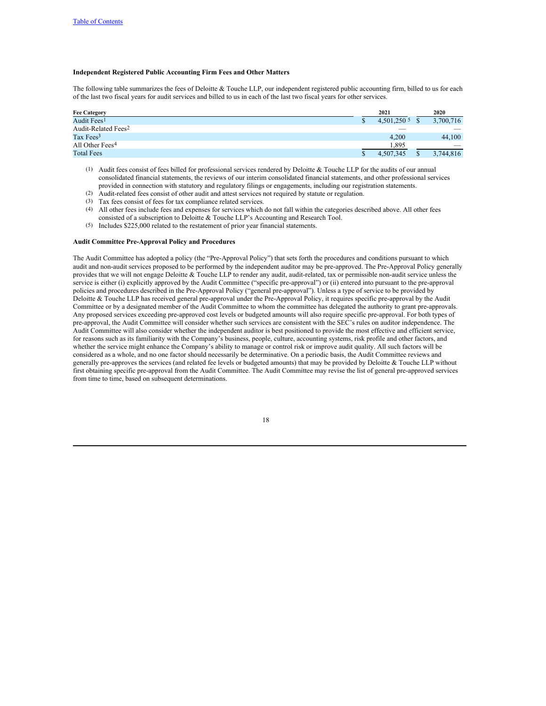# <span id="page-20-0"></span>**Independent Registered Public Accounting Firm Fees and Other Matters**

The following table summarizes the fees of Deloitte & Touche LLP, our independent registered public accounting firm, billed to us for each of the last two fiscal years for audit services and billed to us in each of the last two fiscal years for other services.

| <b>Fee Category</b>             | 2021                    |      | 2020                     |
|---------------------------------|-------------------------|------|--------------------------|
| Audit Fees <sup>1</sup>         | $4.501.250\text{ }^{5}$ | - \$ | 3,700,716                |
| Audit-Related Fees <sup>2</sup> |                         |      | $\overline{\phantom{a}}$ |
| Tax Fees <sup>3</sup>           | 4.200                   |      | 44,100                   |
| All Other Fees <sup>4</sup>     | 1.895                   |      | $\overline{\phantom{a}}$ |
| <b>Total Fees</b>               | 4.507.345               |      | 3.744.816                |

- (1) Audit fees consist of fees billed for professional services rendered by Deloitte & Touche LLP for the audits of our annual consolidated financial statements, the reviews of our interim consolidated financial statements, and other professional services provided in connection with statutory and regulatory filings or engagements, including our registration statements.
- (2) Audit-related fees consist of other audit and attest services not required by statute or regulation.
- (3) Tax fees consist of fees for tax compliance related services.
- (4) All other fees include fees and expenses for services which do not fall within the categories described above. All other fees consisted of a subscription to Deloitte & Touche LLP's Accounting and Research Tool.
- (5) Includes \$225,000 related to the restatement of prior year financial statements.

#### **Audit Committee Pre-Approval Policy and Procedures**

The Audit Committee has adopted a policy (the "Pre-Approval Policy") that sets forth the procedures and conditions pursuant to which audit and non-audit services proposed to be performed by the independent auditor may be pre-approved. The Pre-Approval Policy generally provides that we will not engage Deloitte & Touche LLP to render any audit, audit-related, tax or permissible non-audit service unless the service is either (i) explicitly approved by the Audit Committee ("specific pre-approval") or (ii) entered into pursuant to the pre-approval policies and procedures described in the Pre-Approval Policy ("general pre-approval"). Unless a type of service to be provided by Deloitte & Touche LLP has received general pre-approval under the Pre-Approval Policy, it requires specific pre-approval by the Audit Committee or by a designated member of the Audit Committee to whom the committee has delegated the authority to grant pre-approvals. Any proposed services exceeding pre-approved cost levels or budgeted amounts will also require specific pre-approval. For both types of pre-approval, the Audit Committee will consider whether such services are consistent with the SEC's rules on auditor independence. The Audit Committee will also consider whether the independent auditor is best positioned to provide the most effective and efficient service, for reasons such as its familiarity with the Company's business, people, culture, accounting systems, risk profile and other factors, and whether the service might enhance the Company's ability to manage or control risk or improve audit quality. All such factors will be considered as a whole, and no one factor should necessarily be determinative. On a periodic basis, the Audit Committee reviews and generally pre-approves the services (and related fee levels or budgeted amounts) that may be provided by Deloitte & Touche LLP without first obtaining specific pre-approval from the Audit Committee. The Audit Committee may revise the list of general pre-approved services from time to time, based on subsequent determinations.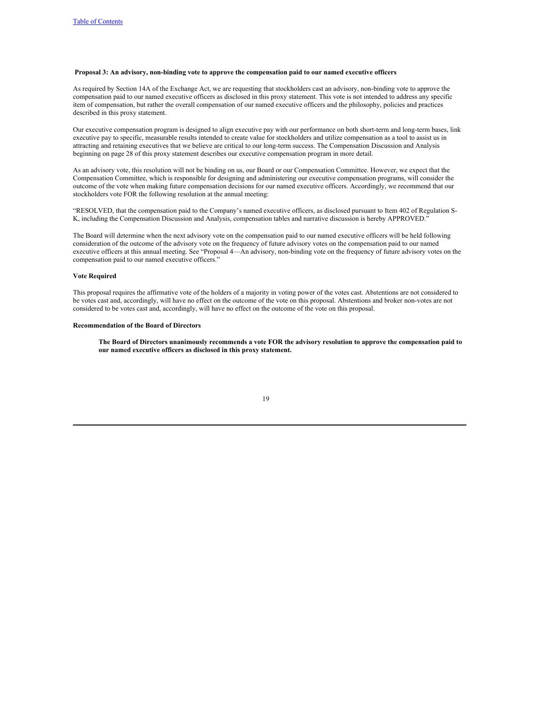# **Proposal 3: An advisory, non-binding vote to approve the compensation paid to our named executive officers**

As required by Section 14A of the Exchange Act, we are requesting that stockholders cast an advisory, non-binding vote to approve the compensation paid to our named executive officers as disclosed in this proxy statement. This vote is not intended to address any specific item of compensation, but rather the overall compensation of our named executive officers and the philosophy, policies and practices described in this proxy statement.

Our executive compensation program is designed to align executive pay with our performance on both short-term and long-term bases, link executive pay to specific, measurable results intended to create value for stockholders and utilize compensation as a tool to assist us in attracting and retaining executives that we believe are critical to our long-term success. The Compensation Discussion and Analysis beginning on page 28 of this proxy statement describes our executive compensation program in more detail.

As an advisory vote, this resolution will not be binding on us, our Board or our Compensation Committee. However, we expect that the Compensation Committee, which is responsible for designing and administering our executive compensation programs, will consider the outcome of the vote when making future compensation decisions for our named executive officers. Accordingly, we recommend that our stockholders vote FOR the following resolution at the annual meeting:

"RESOLVED, that the compensation paid to the Company's named executive officers, as disclosed pursuant to Item 402 of Regulation S-K, including the Compensation Discussion and Analysis, compensation tables and narrative discussion is hereby APPROVED."

The Board will determine when the next advisory vote on the compensation paid to our named executive officers will be held following consideration of the outcome of the advisory vote on the frequency of future advisory votes on the compensation paid to our named executive officers at this annual meeting. See "Proposal 4—An advisory, non-binding vote on the frequency of future advisory votes on the compensation paid to our named executive officers."

## **Vote Required**

This proposal requires the affirmative vote of the holders of a majority in voting power of the votes cast. Abstentions are not considered to be votes cast and, accordingly, will have no effect on the outcome of the vote on this proposal. Abstentions and broker non-votes are not considered to be votes cast and, accordingly, will have no effect on the outcome of the vote on this proposal.

### **Recommendation of the Board of Directors**

The Board of Directors unanimously recommends a vote FOR the advisory resolution to approve the compensation paid to **our named executive officers as disclosed in this proxy statement.**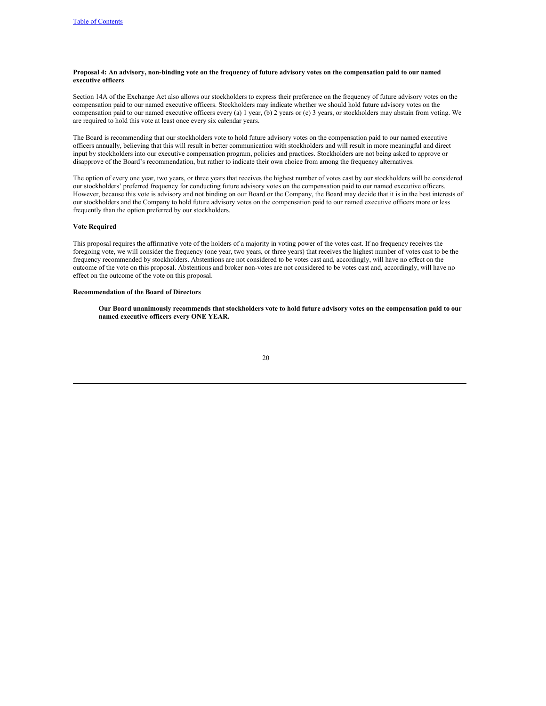# Proposal 4: An advisory, non-binding vote on the frequency of future advisory votes on the compensation paid to our named **executive officers**

Section 14A of the Exchange Act also allows our stockholders to express their preference on the frequency of future advisory votes on the compensation paid to our named executive officers. Stockholders may indicate whether we should hold future advisory votes on the compensation paid to our named executive officers every (a) 1 year, (b) 2 years or (c) 3 years, or stockholders may abstain from voting. We are required to hold this vote at least once every six calendar years.

The Board is recommending that our stockholders vote to hold future advisory votes on the compensation paid to our named executive officers annually, believing that this will result in better communication with stockholders and will result in more meaningful and direct input by stockholders into our executive compensation program, policies and practices. Stockholders are not being asked to approve or disapprove of the Board's recommendation, but rather to indicate their own choice from among the frequency alternatives.

The option of every one year, two years, or three years that receives the highest number of votes cast by our stockholders will be considered our stockholders' preferred frequency for conducting future advisory votes on the compensation paid to our named executive officers. However, because this vote is advisory and not binding on our Board or the Company, the Board may decide that it is in the best interests of our stockholders and the Company to hold future advisory votes on the compensation paid to our named executive officers more or less frequently than the option preferred by our stockholders.

#### **Vote Required**

This proposal requires the affirmative vote of the holders of a majority in voting power of the votes cast. If no frequency receives the foregoing vote, we will consider the frequency (one year, two years, or three years) that receives the highest number of votes cast to be the frequency recommended by stockholders. Abstentions are not considered to be votes cast and, accordingly, will have no effect on the outcome of the vote on this proposal. Abstentions and broker non-votes are not considered to be votes cast and, accordingly, will have no effect on the outcome of the vote on this proposal.

### **Recommendation of the Board of Directors**

Our Board unanimously recommends that stockholders vote to hold future advisory votes on the compensation paid to our **named executive officers every ONE YEAR.**

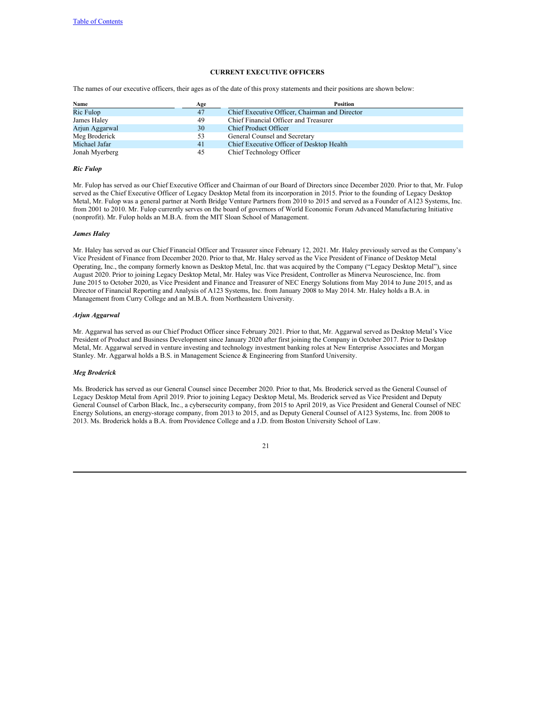# <span id="page-23-0"></span>**CURRENT EXECUTIVE OFFICERS**

The names of our executive officers, their ages as of the date of this proxy statements and their positions are shown below:

| Name           | Age | <b>Position</b>                                |
|----------------|-----|------------------------------------------------|
| Ric Fulop      | 47  | Chief Executive Officer, Chairman and Director |
| James Haley    | 49  | Chief Financial Officer and Treasurer          |
| Arjun Aggarwal | 30  | <b>Chief Product Officer</b>                   |
| Meg Broderick  | 53  | General Counsel and Secretary                  |
| Michael Jafar  | 41  | Chief Executive Officer of Desktop Health      |
| Jonah Myerberg | 45  | Chief Technology Officer                       |

#### *Ric Fulop*

Mr. Fulop has served as our Chief Executive Officer and Chairman of our Board of Directors since December 2020. Prior to that, Mr. Fulop served as the Chief Executive Officer of Legacy Desktop Metal from its incorporation in 2015. Prior to the founding of Legacy Desktop Metal, Mr. Fulop was a general partner at North Bridge Venture Partners from 2010 to 2015 and served as a Founder of A123 Systems, Inc. from 2001 to 2010. Mr. Fulop currently serves on the board of governors of World Economic Forum Advanced Manufacturing Initiative (nonprofit). Mr. Fulop holds an M.B.A. from the MIT Sloan School of Management.

# *James Haley*

Mr. Haley has served as our Chief Financial Officer and Treasurer since February 12, 2021. Mr. Haley previously served as the Company's Vice President of Finance from December 2020. Prior to that, Mr. Haley served as the Vice President of Finance of Desktop Metal Operating, Inc., the company formerly known as Desktop Metal, Inc. that was acquired by the Company ("Legacy Desktop Metal"), since August 2020. Prior to joining Legacy Desktop Metal, Mr. Haley was Vice President, Controller as Minerva Neuroscience, Inc. from June 2015 to October 2020, as Vice President and Finance and Treasurer of NEC Energy Solutions from May 2014 to June 2015, and as Director of Financial Reporting and Analysis of A123 Systems, Inc. from January 2008 to May 2014. Mr. Haley holds a B.A. in Management from Curry College and an M.B.A. from Northeastern University.

#### *Arjun Aggarwal*

Mr. Aggarwal has served as our Chief Product Officer since February 2021. Prior to that, Mr. Aggarwal served as Desktop Metal's Vice President of Product and Business Development since January 2020 after first joining the Company in October 2017. Prior to Desktop Metal, Mr. Aggarwal served in venture investing and technology investment banking roles at New Enterprise Associates and Morgan Stanley. Mr. Aggarwal holds a B.S. in Management Science & Engineering from Stanford University.

# *Meg Broderick*

Ms. Broderick has served as our General Counsel since December 2020. Prior to that, Ms. Broderick served as the General Counsel of Legacy Desktop Metal from April 2019. Prior to joining Legacy Desktop Metal, Ms. Broderick served as Vice President and Deputy General Counsel of Carbon Black, Inc., a cybersecurity company, from 2015 to April 2019, as Vice President and General Counsel of NEC Energy Solutions, an energy-storage company, from 2013 to 2015, and as Deputy General Counsel of A123 Systems, Inc. from 2008 to 2013. Ms. Broderick holds a B.A. from Providence College and a J.D. from Boston University School of Law.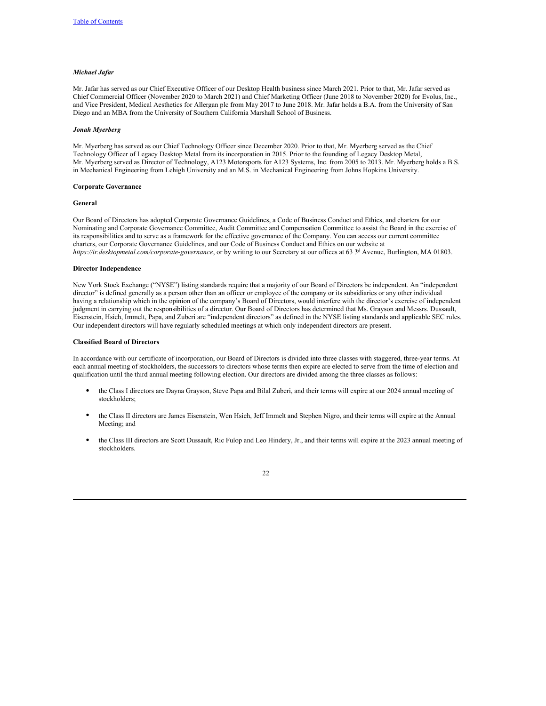# *Michael Jafar*

Mr. Jafar has served as our Chief Executive Officer of our Desktop Health business since March 2021. Prior to that, Mr. Jafar served as Chief Commercial Officer (November 2020 to March 2021) and Chief Marketing Officer (June 2018 to November 2020) for Evolus, Inc., and Vice President, Medical Aesthetics for Allergan plc from May 2017 to June 2018. Mr. Jafar holds a B.A. from the University of San Diego and an MBA from the University of Southern California Marshall School of Business.

#### *Jonah Myerberg*

Mr. Myerberg has served as our Chief Technology Officer since December 2020. Prior to that, Mr. Myerberg served as the Chief Technology Officer of Legacy Desktop Metal from its incorporation in 2015. Prior to the founding of Legacy Desktop Metal, Mr. Myerberg served as Director of Technology, A123 Motorsports for A123 Systems, Inc. from 2005 to 2013. Mr. Myerberg holds a B.S. in Mechanical Engineering from Lehigh University and an M.S. in Mechanical Engineering from Johns Hopkins University.

#### <span id="page-24-0"></span>**Corporate Governance**

#### **General**

Our Board of Directors has adopted Corporate Governance Guidelines, a Code of Business Conduct and Ethics, and charters for our Nominating and Corporate Governance Committee, Audit Committee and Compensation Committee to assist the Board in the exercise of its responsibilities and to serve as a framework for the effective governance of the Company. You can access our current committee charters, our Corporate Governance Guidelines, and our Code of Business Conduct and Ethics on our website at *https://ir.desktopmetal.com/corporate-governance*, or by writing to our Secretary at our offices at 63 <sup>3d</sup> Avenue, Burlington, MA 01803.

# **Director Independence**

New York Stock Exchange ("NYSE") listing standards require that a majority of our Board of Directors be independent. An "independent director" is defined generally as a person other than an officer or employee of the company or its subsidiaries or any other individual having a relationship which in the opinion of the company's Board of Directors, would interfere with the director's exercise of independent judgment in carrying out the responsibilities of a director. Our Board of Directors has determined that Ms. Grayson and Messrs. Dussault, Eisenstein, Hsieh, Immelt, Papa, and Zuberi are "independent directors" as defined in the NYSE listing standards and applicable SEC rules. Our independent directors will have regularly scheduled meetings at which only independent directors are present.

### **Classified Board of Directors**

In accordance with our certificate of incorporation, our Board of Directors is divided into three classes with staggered, three-year terms. At each annual meeting of stockholders, the successors to directors whose terms then expire are elected to serve from the time of election and qualification until the third annual meeting following election. Our directors are divided among the three classes as follows:

- the Class I directors are Dayna Grayson, Steve Papa and Bilal Zuberi, and their terms will expire at our 2024 annual meeting of stockholders;
- the Class II directors are James Eisenstein, Wen Hsieh, Jeff Immelt and Stephen Nigro, and their terms will expire at the Annual Meeting; and
- the Class III directors are Scott Dussault, Ric Fulop and Leo Hindery, Jr., and their terms will expire at the 2023 annual meeting of stockholders.

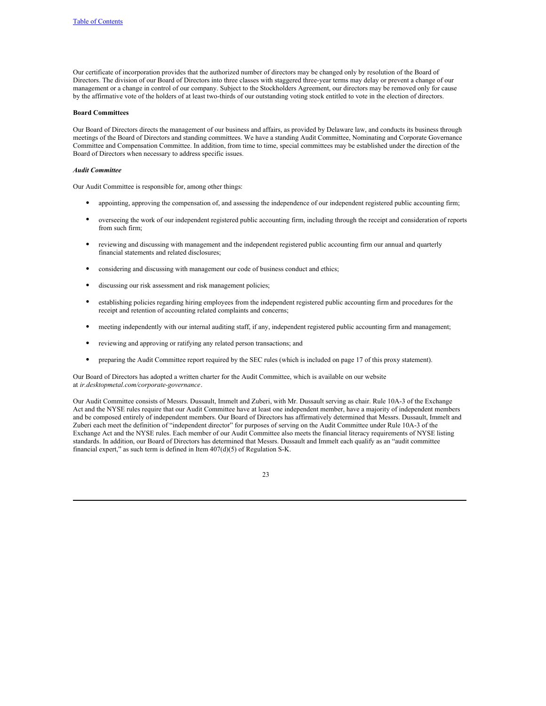Our certificate of incorporation provides that the authorized number of directors may be changed only by resolution of the Board of Directors. The division of our Board of Directors into three classes with staggered three-year terms may delay or prevent a change of our management or a change in control of our company. Subject to the Stockholders Agreement, our directors may be removed only for cause by the affirmative vote of the holders of at least two-thirds of our outstanding voting stock entitled to vote in the election of directors.

#### <span id="page-25-0"></span>**Board Committees**

Our Board of Directors directs the management of our business and affairs, as provided by Delaware law, and conducts its business through meetings of the Board of Directors and standing committees. We have a standing Audit Committee, Nominating and Corporate Governance Committee and Compensation Committee. In addition, from time to time, special committees may be established under the direction of the Board of Directors when necessary to address specific issues.

# *Audit Committee*

Our Audit Committee is responsible for, among other things:

- appointing, approving the compensation of, and assessing the independence of our independent registered public accounting firm;
- overseeing the work of our independent registered public accounting firm, including through the receipt and consideration of reports from such firm;
- reviewing and discussing with management and the independent registered public accounting firm our annual and quarterly financial statements and related disclosures;
- considering and discussing with management our code of business conduct and ethics;
- discussing our risk assessment and risk management policies;
- establishing policies regarding hiring employees from the independent registered public accounting firm and procedures for the receipt and retention of accounting related complaints and concerns;
- meeting independently with our internal auditing staff, if any, independent registered public accounting firm and management;
- reviewing and approving or ratifying any related person transactions; and
- preparing the Audit Committee report required by the SEC rules (which is included on page 17 of this proxy statement).

Our Board of Directors has adopted a written charter for the Audit Committee, which is available on our website at *ir.desktopmetal.com/corporate-governance*.

Our Audit Committee consists of Messrs. Dussault, Immelt and Zuberi, with Mr. Dussault serving as chair. Rule 10A-3 of the Exchange Act and the NYSE rules require that our Audit Committee have at least one independent member, have a majority of independent members and be composed entirely of independent members. Our Board of Directors has affirmatively determined that Messrs. Dussault, Immelt and Zuberi each meet the definition of "independent director" for purposes of serving on the Audit Committee under Rule 10A-3 of the Exchange Act and the NYSE rules. Each member of our Audit Committee also meets the financial literacy requirements of NYSE listing standards. In addition, our Board of Directors has determined that Messrs. Dussault and Immelt each qualify as an "audit committee financial expert," as such term is defined in Item  $407(d)(5)$  of Regulation S-K.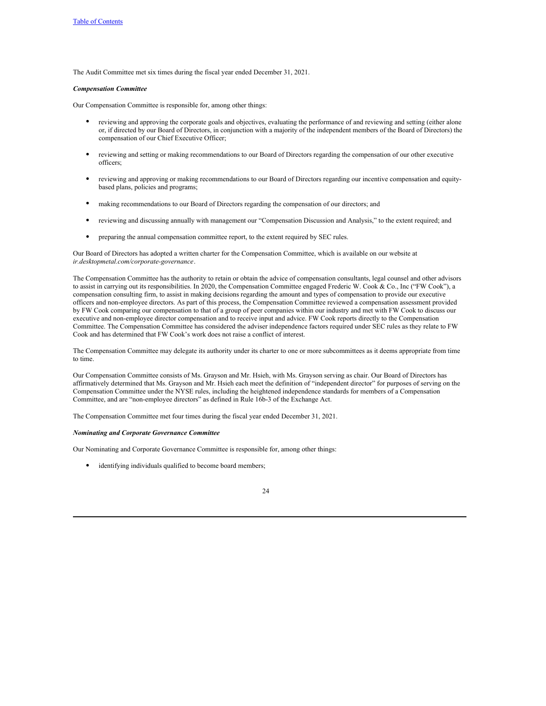The Audit Committee met six times during the fiscal year ended December 31, 2021.

#### *Compensation Committee*

Our Compensation Committee is responsible for, among other things:

- reviewing and approving the corporate goals and objectives, evaluating the performance of and reviewing and setting (either alone or, if directed by our Board of Directors, in conjunction with a majority of the independent members of the Board of Directors) the compensation of our Chief Executive Officer;
- reviewing and setting or making recommendations to our Board of Directors regarding the compensation of our other executive officers;
- reviewing and approving or making recommendations to our Board of Directors regarding our incentive compensation and equitybased plans, policies and programs;
- making recommendations to our Board of Directors regarding the compensation of our directors; and
- reviewing and discussing annually with management our "Compensation Discussion and Analysis," to the extent required; and
- preparing the annual compensation committee report, to the extent required by SEC rules.

Our Board of Directors has adopted a written charter for the Compensation Committee, which is available on our website at *ir.desktopmetal.com/corporate-governance*.

The Compensation Committee has the authority to retain or obtain the advice of compensation consultants, legal counsel and other advisors to assist in carrying out its responsibilities. In 2020, the Compensation Committee engaged Frederic W. Cook & Co., Inc ("FW Cook"), a compensation consulting firm, to assist in making decisions regarding the amount and types of compensation to provide our executive officers and non-employee directors. As part of this process, the Compensation Committee reviewed a compensation assessment provided by FW Cook comparing our compensation to that of a group of peer companies within our industry and met with FW Cook to discuss our executive and non-employee director compensation and to receive input and advice. FW Cook reports directly to the Compensation Committee. The Compensation Committee has considered the adviser independence factors required under SEC rules as they relate to FW Cook and has determined that FW Cook's work does not raise a conflict of interest.

The Compensation Committee may delegate its authority under its charter to one or more subcommittees as it deems appropriate from time to time.

Our Compensation Committee consists of Ms. Grayson and Mr. Hsieh, with Ms. Grayson serving as chair. Our Board of Directors has affirmatively determined that Ms. Grayson and Mr. Hsieh each meet the definition of "independent director" for purposes of serving on the Compensation Committee under the NYSE rules, including the heightened independence standards for members of a Compensation Committee, and are "non-employee directors" as defined in Rule 16b-3 of the Exchange Act.

The Compensation Committee met four times during the fiscal year ended December 31, 2021.

#### *Nominating and Corporate Governance Committee*

Our Nominating and Corporate Governance Committee is responsible for, among other things:

• identifying individuals qualified to become board members;

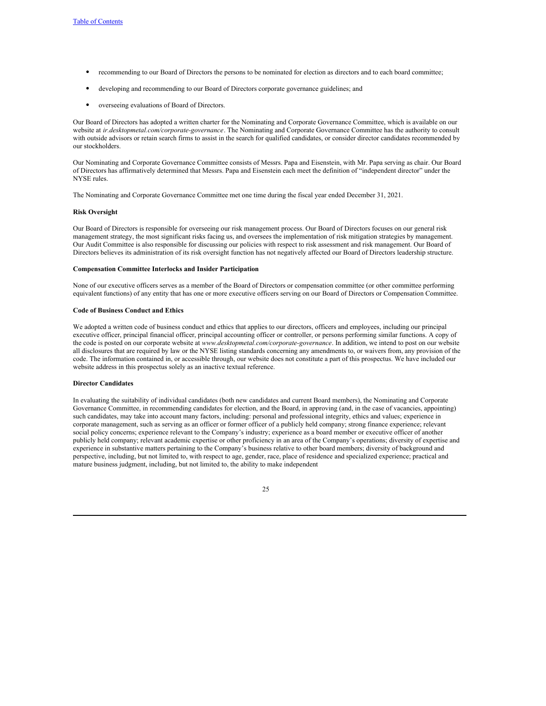- recommending to our Board of Directors the persons to be nominated for election as directors and to each board committee;
- developing and recommending to our Board of Directors corporate governance guidelines; and
- overseeing evaluations of Board of Directors.

Our Board of Directors has adopted a written charter for the Nominating and Corporate Governance Committee, which is available on our website at *ir.desktopmetal.com/corporate-governance*. The Nominating and Corporate Governance Committee has the authority to consult with outside advisors or retain search firms to assist in the search for qualified candidates, or consider director candidates recommended by our stockholders.

Our Nominating and Corporate Governance Committee consists of Messrs. Papa and Eisenstein, with Mr. Papa serving as chair. Our Board of Directors has affirmatively determined that Messrs. Papa and Eisenstein each meet the definition of "independent director" under the NYSE rules.

The Nominating and Corporate Governance Committee met one time during the fiscal year ended December 31, 2021.

#### **Risk Oversight**

Our Board of Directors is responsible for overseeing our risk management process. Our Board of Directors focuses on our general risk management strategy, the most significant risks facing us, and oversees the implementation of risk mitigation strategies by management. Our Audit Committee is also responsible for discussing our policies with respect to risk assessment and risk management. Our Board of Directors believes its administration of its risk oversight function has not negatively affected our Board of Directors leadership structure.

#### **Compensation Committee Interlocks and Insider Participation**

None of our executive officers serves as a member of the Board of Directors or compensation committee (or other committee performing equivalent functions) of any entity that has one or more executive officers serving on our Board of Directors or Compensation Committee.

### **Code of Business Conduct and Ethics**

We adopted a written code of business conduct and ethics that applies to our directors, officers and employees, including our principal executive officer, principal financial officer, principal accounting officer or controller, or persons performing similar functions. A copy of the code is posted on our corporate website at *www.desktopmetal.com/corporate-governance*. In addition, we intend to post on our website all disclosures that are required by law or the NYSE listing standards concerning any amendments to, or waivers from, any provision of the code. The information contained in, or accessible through, our website does not constitute a part of this prospectus. We have included our website address in this prospectus solely as an inactive textual reference.

# **Director Candidates**

In evaluating the suitability of individual candidates (both new candidates and current Board members), the Nominating and Corporate Governance Committee, in recommending candidates for election, and the Board, in approving (and, in the case of vacancies, appointing) such candidates, may take into account many factors, including: personal and professional integrity, ethics and values; experience in corporate management, such as serving as an officer or former officer of a publicly held company; strong finance experience; relevant social policy concerns; experience relevant to the Company's industry; experience as a board member or executive officer of another publicly held company; relevant academic expertise or other proficiency in an area of the Company's operations; diversity of expertise and experience in substantive matters pertaining to the Company's business relative to other board members; diversity of background and perspective, including, but not limited to, with respect to age, gender, race, place of residence and specialized experience; practical and mature business judgment, including, but not limited to, the ability to make independent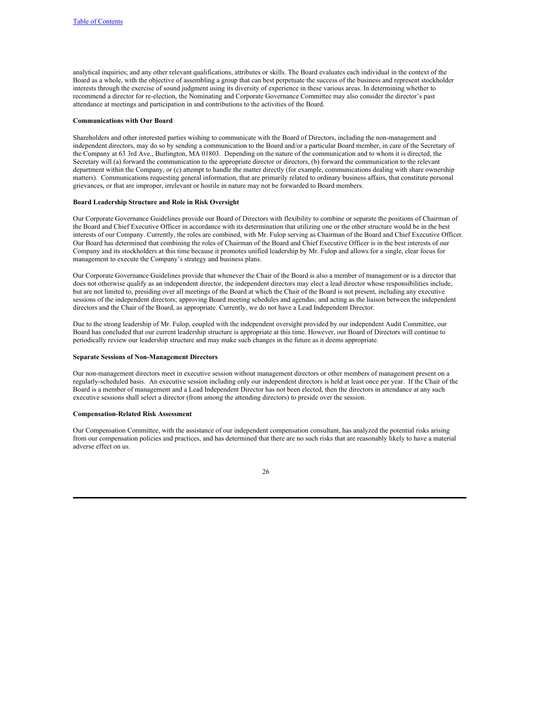analytical inquiries; and any other relevant qualifications, attributes or skills. The Board evaluates each individual in the context of the Board as a whole, with the objective of assembling a group that can best perpetuate the success of the business and represent stockholder interests through the exercise of sound judgment using its diversity of experience in these various areas. In determining whether to recommend a director for re-election, the Nominating and Corporate Governance Committee may also consider the director's past attendance at meetings and participation in and contributions to the activities of the Board.

#### **Communications with Our Board**

Shareholders and other interested parties wishing to communicate with the Board of Directors, including the non-management and independent directors, may do so by sending a communication to the Board and/or a particular Board member, in care of the Secretary of the Company at 63 3rd Ave., Burlington, MA 01803. Depending on the nature of the communication and to whom it is directed, the Secretary will (a) forward the communication to the appropriate director or directors, (b) forward the communication to the relevant department within the Company, or (c) attempt to handle the matter directly (for example, communications dealing with share ownership matters). Communications requesting general information, that are primarily related to ordinary business affairs, that constitute personal grievances, or that are improper, irrelevant or hostile in nature may not be forwarded to Board members.

#### **Board Leadership Structure and Role in Risk Oversight**

Our Corporate Governance Guidelines provide our Board of Directors with flexibility to combine or separate the positions of Chairman of the Board and Chief Executive Officer in accordance with its determination that utilizing one or the other structure would be in the best interests of our Company. Currently, the roles are combined, with Mr. Fulop serving as Chairman of the Board and Chief Executive Officer. Our Board has determined that combining the roles of Chairman of the Board and Chief Executive Officer is in the best interests of our Company and its stockholders at this time because it promotes unified leadership by Mr. Fulop and allows for a single, clear focus for management to execute the Company's strategy and business plans.

Our Corporate Governance Guidelines provide that whenever the Chair of the Board is also a member of management or is a director that does not otherwise qualify as an independent director, the independent directors may elect a lead director whose responsibilities include, but are not limited to, presiding over all meetings of the Board at which the Chair of the Board is not present, including any executive sessions of the independent directors; approving Board meeting schedules and agendas; and acting as the liaison between the independent directors and the Chair of the Board, as appropriate. Currently, we do not have a Lead Independent Director.

Due to the strong leadership of Mr. Fulop, coupled with the independent oversight provided by our independent Audit Committee, our Board has concluded that our current leadership structure is appropriate at this time. However, our Board of Directors will continue to periodically review our leadership structure and may make such changes in the future as it deems appropriate.

#### **Separate Sessions of Non-Management Directors**

Our non-management directors meet in executive session without management directors or other members of management present on a regularly-scheduled basis. An executive session including only our independent directors is held at least once per year. If the Chair of the Board is a member of management and a Lead Independent Director has not been elected, then the directors in attendance at any such executive sessions shall select a director (from among the attending directors) to preside over the session.

#### **Compensation-Related Risk Assessment**

Our Compensation Committee, with the assistance of our independent compensation consultant, has analyzed the potential risks arising from our compensation policies and practices, and has determined that there are no such risks that are reasonably likely to have a material adverse effect on us.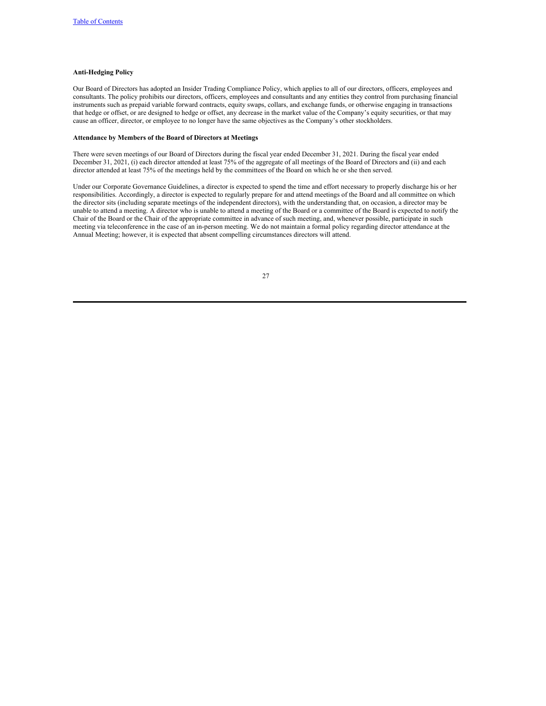# **Anti-Hedging Policy**

Our Board of Directors has adopted an Insider Trading Compliance Policy, which applies to all of our directors, officers, employees and consultants. The policy prohibits our directors, officers, employees and consultants and any entities they control from purchasing financial instruments such as prepaid variable forward contracts, equity swaps, collars, and exchange funds, or otherwise engaging in transactions that hedge or offset, or are designed to hedge or offset, any decrease in the market value of the Company's equity securities, or that may cause an officer, director, or employee to no longer have the same objectives as the Company's other stockholders.

# **Attendance by Members of the Board of Directors at Meetings**

There were seven meetings of our Board of Directors during the fiscal year ended December 31, 2021. During the fiscal year ended December 31, 2021, (i) each director attended at least 75% of the aggregate of all meetings of the Board of Directors and (ii) and each director attended at least 75% of the meetings held by the committees of the Board on which he or she then served.

Under our Corporate Governance Guidelines, a director is expected to spend the time and effort necessary to properly discharge his or her responsibilities. Accordingly, a director is expected to regularly prepare for and attend meetings of the Board and all committee on which the director sits (including separate meetings of the independent directors), with the understanding that, on occasion, a director may be unable to attend a meeting. A director who is unable to attend a meeting of the Board or a committee of the Board is expected to notify the Chair of the Board or the Chair of the appropriate committee in advance of such meeting, and, whenever possible, participate in such meeting via teleconference in the case of an in-person meeting. We do not maintain a formal policy regarding director attendance at the Annual Meeting; however, it is expected that absent compelling circumstances directors will attend.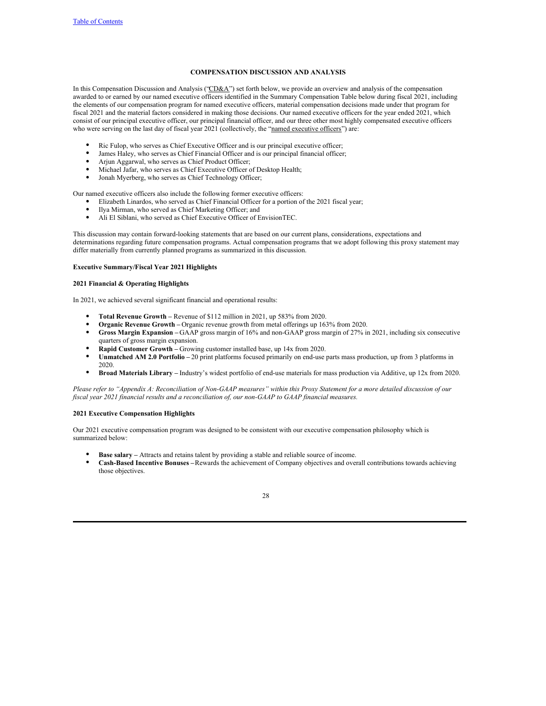# **COMPENSATION DISCUSSION AND ANALYSIS**

In this Compensation Discussion and Analysis ("CD&A") set forth below, we provide an overview and analysis of the compensation awarded to or earned by our named executive officers identified in the Summary Compensation Table below during fiscal 2021, including the elements of our compensation program for named executive officers, material compensation decisions made under that program for fiscal 2021 and the material factors considered in making those decisions. Our named executive officers for the year ended 2021, which consist of our principal executive officer, our principal financial officer, and our three other most highly compensated executive officers who were serving on the last day of fiscal year 2021 (collectively, the "named executive officers") are:

- Ric Fulop, who serves as Chief Executive Officer and is our principal executive officer;
- James Haley, who serves as Chief Financial Officer and is our principal financial officer;
- Arjun Aggarwal, who serves as Chief Product Officer;
- Michael Jafar, who serves as Chief Executive Officer of Desktop Health;
- Jonah Myerberg, who serves as Chief Technology Officer;

Our named executive officers also include the following former executive officers:

- Elizabeth Linardos, who served as Chief Financial Officer for a portion of the 2021 fiscal year;
- Ilya Mirman, who served as Chief Marketing Officer; and
- Ali El Siblani, who served as Chief Executive Officer of EnvisionTEC.

This discussion may contain forward-looking statements that are based on our current plans, considerations, expectations and determinations regarding future compensation programs. Actual compensation programs that we adopt following this proxy statement may differ materially from currently planned programs as summarized in this discussion.

### **Executive Summary/Fiscal Year 2021 Highlights**

### **2021 Financial & Operating Highlights**

In 2021, we achieved several significant financial and operational results:

- **Total Revenue Growth –** Revenue of \$112 million in 2021, up 583% from 2020.
- **Organic Revenue Growth –** Organic revenue growth from metal offerings up 163% from 2020.
- **Gross Margin Expansion –** GAAP gross margin of 16% and non-GAAP gross margin of 27% in 2021, including six consecutive quarters of gross margin expansion.
- **Rapid Customer Growth –** Growing customer installed base, up 14x from 2020.
- **Unmatched AM 2.0 Portfolio –** 20 print platforms focused primarily on end-use parts mass production, up from 3 platforms in 2020.
- **Broad Materials Library –** Industry's widest portfolio of end-use materials for mass production via Additive, up 12x from 2020.

Please refer to "Appendix A: Reconciliation of Non-GAAP measures" within this Proxy Statement for a more detailed discussion of our *fiscal year 2021 financial results and a reconciliation of, our non-GAAP to GAAP financial measures.*

#### **2021 Executive Compensation Highlights**

Our 2021 executive compensation program was designed to be consistent with our executive compensation philosophy which is summarized below:

- **Base salary** Attracts and retains talent by providing a stable and reliable source of income.
- **Cash-Based Incentive Bonuses –**Rewards the achievement of Company objectives and overall contributions towards achieving those objectives.

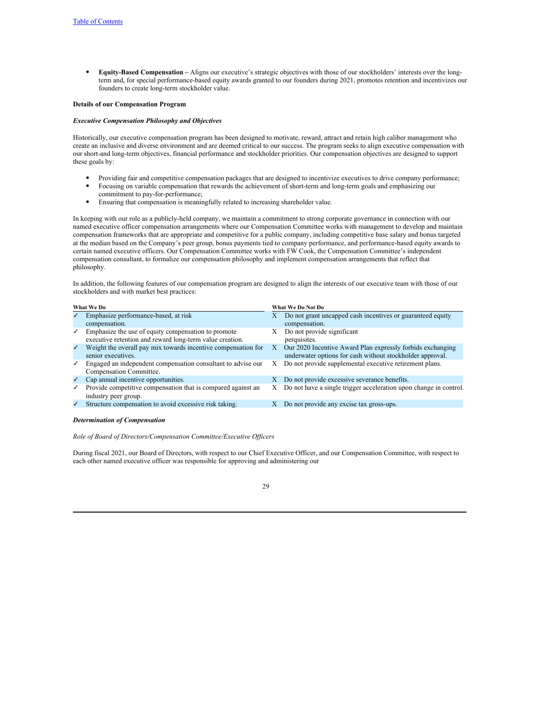● **Equity-Based Compensation –** Aligns our executive's strategic objectives with those of our stockholders' interests over the longterm and, for special performance-based equity awards granted to our founders during 2021, promotes retention and incentivizes our founders to create long-term stockholder value.

#### **Details of our Compensation Program**

### *Executive Compensation Philosophy and Objectives*

Historically, our executive compensation program has been designed to motivate, reward, attract and retain high caliber management who create an inclusive and diverse environment and are deemed critical to our success. The program seeks to align executive compensation with our short-and long-term objectives, financial performance and stockholder priorities. Our compensation objectives are designed to support these goals by:

- Providing fair and competitive compensation packages that are designed to incentivize executives to drive company performance; Focusing on variable compensation that rewards the achievement of short-term and long-term goals and emphasizing our
- commitment to pay-for-performance; Ensuring that compensation is meaningfully related to increasing shareholder value.

In keeping with our role as a publicly-held company, we maintain a commitment to strong corporate governance in connection with our named executive officer compensation arrangements where our Compensation Committee works with management to develop and maintain compensation frameworks that are appropriate and competitive for a public company, including competitive base salary and bonus targeted at the median based on the Company's peer group, bonus payments tied to company performance, and performance-based equity awards to certain named executive officers. Our Compensation Committee works with FW Cook, the Compensation Committee's independent compensation consultant, to formalize our compensation philosophy and implement compensation arrangements that reflect that philosophy.

In addition, the following features of our compensation program are designed to align the interests of our executive team with those of our stockholders and with market best practices:

| What We Do   |                                                                                                                 | What We Do Not Do |                                                                                                                         |  |
|--------------|-----------------------------------------------------------------------------------------------------------------|-------------------|-------------------------------------------------------------------------------------------------------------------------|--|
|              | Emphasize performance-based, at risk                                                                            | Х                 | Do not grant uncapped cash incentives or guaranteed equity                                                              |  |
|              | compensation.                                                                                                   |                   | compensation.                                                                                                           |  |
| $\checkmark$ | Emphasize the use of equity compensation to promote<br>executive retention and reward long-term value creation. | Х                 | Do not provide significant<br>perquisites.                                                                              |  |
| $\checkmark$ | Weight the overall pay mix towards incentive compensation for<br>senior executives.                             | X                 | Our 2020 Incentive Award Plan expressly forbids exchanging<br>underwater options for cash without stockholder approval. |  |
| $\checkmark$ | Engaged an independent compensation consultant to advise our<br>Compensation Committee.                         | X                 | Do not provide supplemental executive retirement plans.                                                                 |  |
| $\checkmark$ | Cap annual incentive opportunities.                                                                             | X                 | Do not provide excessive severance benefits.                                                                            |  |
| $\checkmark$ | Provide competitive compensation that is compared against an<br>industry peer group.                            | Х                 | Do not have a single trigger acceleration upon change in control.                                                       |  |
| $\checkmark$ | Structure compensation to avoid excessive risk taking.                                                          | X                 | Do not provide any excise tax gross-ups.                                                                                |  |
|              |                                                                                                                 |                   |                                                                                                                         |  |

#### *Determination of Compensation*

*Role of Board of Directors/Compensation Committee/Executive Of icers*

During fiscal 2021, our Board of Directors, with respect to our Chief Executive Officer, and our Compensation Committee, with respect to each other named executive officer was responsible for approving and administering our

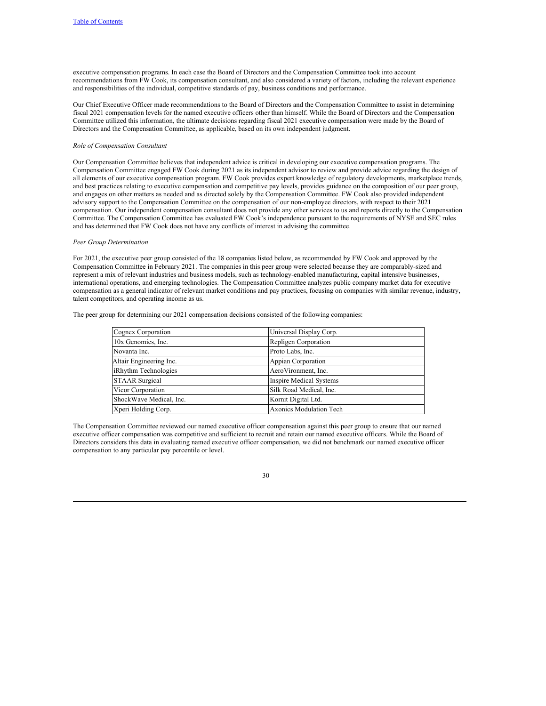executive compensation programs. In each case the Board of Directors and the Compensation Committee took into account recommendations from FW Cook, its compensation consultant, and also considered a variety of factors, including the relevant experience and responsibilities of the individual, competitive standards of pay, business conditions and performance.

Our Chief Executive Officer made recommendations to the Board of Directors and the Compensation Committee to assist in determining fiscal 2021 compensation levels for the named executive officers other than himself. While the Board of Directors and the Compensation Committee utilized this information, the ultimate decisions regarding fiscal 2021 executive compensation were made by the Board of Directors and the Compensation Committee, as applicable, based on its own independent judgment.

# *Role of Compensation Consultant*

Our Compensation Committee believes that independent advice is critical in developing our executive compensation programs. The Compensation Committee engaged FW Cook during 2021 as its independent advisor to review and provide advice regarding the design of all elements of our executive compensation program. FW Cook provides expert knowledge of regulatory developments, marketplace trends, and best practices relating to executive compensation and competitive pay levels, provides guidance on the composition of our peer group, and engages on other matters as needed and as directed solely by the Compensation Committee. FW Cook also provided independent advisory support to the Compensation Committee on the compensation of our non-employee directors, with respect to their 2021 compensation. Our independent compensation consultant does not provide any other services to us and reports directly to the Compensation Committee. The Compensation Committee has evaluated FW Cook's independence pursuant to the requirements of NYSE and SEC rules and has determined that FW Cook does not have any conflicts of interest in advising the committee.

#### *Peer Group Determination*

For 2021, the executive peer group consisted of the 18 companies listed below, as recommended by FW Cook and approved by the Compensation Committee in February 2021. The companies in this peer group were selected because they are comparably-sized and represent a mix of relevant industries and business models, such as technology-enabled manufacturing, capital intensive businesses, international operations, and emerging technologies. The Compensation Committee analyzes public company market data for executive compensation as a general indicator of relevant market conditions and pay practices, focusing on companies with similar revenue, industry, talent competitors, and operating income as us.

The peer group for determining our 2021 compensation decisions consisted of the following companies:

| Cognex Corporation      | Universal Display Corp.        |
|-------------------------|--------------------------------|
| 10x Genomics, Inc.      | Repligen Corporation           |
| Novanta Inc.            | Proto Labs, Inc.               |
| Altair Engineering Inc. | Appian Corporation             |
| iRhythm Technologies    | AeroVironment, Inc.            |
| <b>STAAR Surgical</b>   | <b>Inspire Medical Systems</b> |
| Vicor Corporation       | Silk Road Medical, Inc.        |
| ShockWave Medical, Inc. | Kornit Digital Ltd.            |
| Xperi Holding Corp.     | <b>Axonics Modulation Tech</b> |

The Compensation Committee reviewed our named executive officer compensation against this peer group to ensure that our named executive officer compensation was competitive and sufficient to recruit and retain our named executive officers. While the Board of Directors considers this data in evaluating named executive officer compensation, we did not benchmark our named executive officer compensation to any particular pay percentile or level.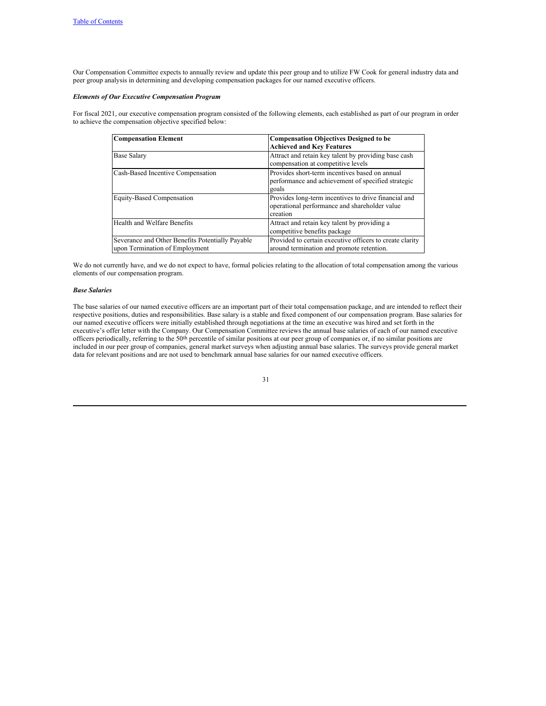Our Compensation Committee expects to annually review and update this peer group and to utilize FW Cook for general industry data and peer group analysis in determining and developing compensation packages for our named executive officers.

# *Elements of Our Executive Compensation Program*

For fiscal 2021, our executive compensation program consisted of the following elements, each established as part of our program in order to achieve the compensation objective specified below:

| <b>Compensation Element</b>                                                        | <b>Compensation Objectives Designed to be</b><br><b>Achieved and Key Features</b>                                 |
|------------------------------------------------------------------------------------|-------------------------------------------------------------------------------------------------------------------|
| <b>Base Salary</b>                                                                 | Attract and retain key talent by providing base cash<br>compensation at competitive levels                        |
| Cash-Based Incentive Compensation                                                  | Provides short-term incentives based on annual<br>performance and achievement of specified strategic<br>goals     |
| Equity-Based Compensation                                                          | Provides long-term incentives to drive financial and<br>operational performance and shareholder value<br>creation |
| Health and Welfare Benefits                                                        | Attract and retain key talent by providing a<br>competitive benefits package                                      |
| Severance and Other Benefits Potentially Payable<br>upon Termination of Employment | Provided to certain executive officers to create clarity<br>around termination and promote retention.             |

We do not currently have, and we do not expect to have, formal policies relating to the allocation of total compensation among the various elements of our compensation program.

# *Base Salaries*

The base salaries of our named executive officers are an important part of their total compensation package, and are intended to reflect their respective positions, duties and responsibilities. Base salary is a stable and fixed component of our compensation program. Base salaries for our named executive officers were initially established through negotiations at the time an executive was hired and set forth in the executive's offer letter with the Company. Our Compensation Committee reviews the annual base salaries of each of our named executive officers periodically, referring to the 50<sup>th</sup> percentile of similar positions at our peer group of companies or, if no similar positions are included in our peer group of companies, general market surveys when adjusting annual base salaries. The surveys provide general market data for relevant positions and are not used to benchmark annual base salaries for our named executive officers.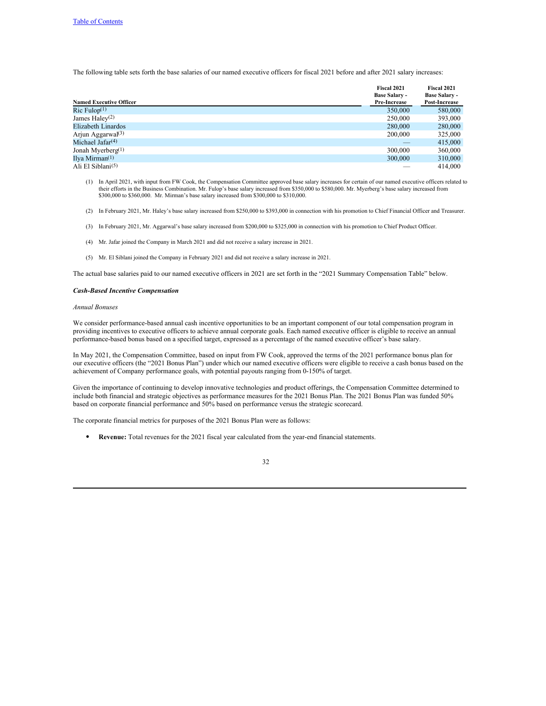The following table sets forth the base salaries of our named executive officers for fiscal 2021 before and after 2021 salary increases:

| <b>Named Executive Officer</b> | Fiscal 2021<br><b>Base Salary -</b><br>Pre-Increase | Fiscal 2021<br><b>Base Salary -</b><br>Post-Increase |
|--------------------------------|-----------------------------------------------------|------------------------------------------------------|
| Ric Fulop <sup>(1)</sup>       | 350,000                                             | 580,000                                              |
| James Haley $(2)$              | 250,000                                             | 393,000                                              |
| Elizabeth Linardos             | 280,000                                             | 280,000                                              |
| Arjun Aggarwal <sup>(3)</sup>  | 200,000                                             | 325,000                                              |
| Michael Jafar $(4)$            |                                                     | 415,000                                              |
| Jonah Myerberg <sup>(1)</sup>  | 300,000                                             | 360,000                                              |
| Ilya Mirman $(1)$              | 300,000                                             | 310,000                                              |
| Ali El Siblani <sup>(5)</sup>  |                                                     | 414,000                                              |

- (1) In April 2021, with input from FW Cook, the Compensation Committee approved base salary increases for certain of our named executive officers related to their efforts in the Business Combination. Mr. Fulop's base salar \$300,000 to \$360,000. Mr. Mirman's base salary increased from \$300,000 to \$310,000.
- (2) In February 2021, Mr. Haley's base salary increased from \$250,000 to \$393,000 in connection with his promotion to Chief Financial Officer and Treasurer.
- (3) In February 2021, Mr. Aggarwal's base salary increased from \$200,000 to \$325,000 in connection with his promotion to Chief Product Officer.
- (4) Mr. Jafar joined the Company in March 2021 and did not receive a salary increase in 2021.
- (5) Mr. El Siblani joined the Company in February 2021 and did not receive a salary increase in 2021.

The actual base salaries paid to our named executive officers in 2021 are set forth in the "2021 Summary Compensation Table" below.

#### *Cash-Based Incentive Compensation*

# *Annual Bonuses*

We consider performance-based annual cash incentive opportunities to be an important component of our total compensation program in providing incentives to executive officers to achieve annual corporate goals. Each named executive officer is eligible to receive an annual performance-based bonus based on a specified target, expressed as a percentage of the named executive officer's base salary.

In May 2021, the Compensation Committee, based on input from FW Cook, approved the terms of the 2021 performance bonus plan for our executive officers (the "2021 Bonus Plan") under which our named executive officers were eligible to receive a cash bonus based on the achievement of Company performance goals, with potential payouts ranging from 0-150% of target.

Given the importance of continuing to develop innovative technologies and product offerings, the Compensation Committee determined to include both financial and strategic objectives as performance measures for the 2021 Bonus Plan. The 2021 Bonus Plan was funded 50% based on corporate financial performance and 50% based on performance versus the strategic scorecard.

The corporate financial metrics for purposes of the 2021 Bonus Plan were as follows:

● **Revenue:** Total revenues for the 2021 fiscal year calculated from the year-end financial statements.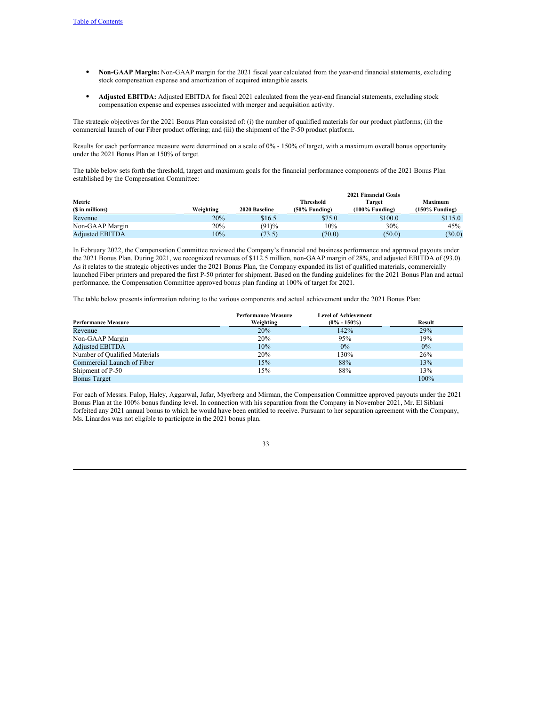- **Non-GAAP Margin:** Non-GAAP margin for the 2021 fiscal year calculated from the year-end financial statements, excluding stock compensation expense and amortization of acquired intangible assets.
- **Adjusted EBITDA:** Adjusted EBITDA for fiscal 2021 calculated from the year-end financial statements, excluding stock compensation expense and expenses associated with merger and acquisition activity.

The strategic objectives for the 2021 Bonus Plan consisted of: (i) the number of qualified materials for our product platforms; (ii) the commercial launch of our Fiber product offering; and (iii) the shipment of the P-50 product platform.

Results for each performance measure were determined on a scale of 0% - 150% of target, with a maximum overall bonus opportunity under the 2021 Bonus Plan at 150% of target.

The table below sets forth the threshold, target and maximum goals for the financial performance components of the 2021 Bonus Plan established by the Compensation Committee:

|                        |           |               |                  | <b>2021 Financial Goals</b> |                |
|------------------------|-----------|---------------|------------------|-----------------------------|----------------|
| Metric                 |           |               | <b>Threshold</b> | Target                      | Maximum        |
| (\$ in millions)       | Weighting | 2020 Baseline | $(50\%$ Funding) | $(100\%$ Funding)           | (150% Funding) |
| Revenue                | 20%       | \$16.5        | \$75.0           | \$100.0                     | \$115.0        |
| Non-GAAP Margin        | 20%       | (91)%         | 10%              | 30%                         | 45%            |
| <b>Adjusted EBITDA</b> | 10%       | (73.5)        | (70.0)           | (50.0)                      | (30.0)         |

In February 2022, the Compensation Committee reviewed the Company's financial and business performance and approved payouts under the 2021 Bonus Plan. During 2021, we recognized revenues of \$112.5 million, non-GAAP margin of 28%, and adjusted EBITDA of (93.0). As it relates to the strategic objectives under the 2021 Bonus Plan, the Company expanded its list of qualified materials, commercially launched Fiber printers and prepared the first P-50 printer for shipment. Based on the funding guidelines for the 2021 Bonus Plan and actual performance, the Compensation Committee approved bonus plan funding at 100% of target for 2021.

The table below presents information relating to the various components and actual achievement under the 2021 Bonus Plan:

|                               | <b>Performance Measure</b> | <b>Level of Achievement</b> |        |
|-------------------------------|----------------------------|-----------------------------|--------|
| <b>Performance Measure</b>    | Weighting                  | $(0\% - 150\%)$             | Result |
| Revenue                       | 20%                        | 142%                        | 29%    |
| Non-GAAP Margin               | 20%                        | 95%                         | 19%    |
| <b>Adjusted EBITDA</b>        | 10%                        | $0\%$                       | $0\%$  |
| Number of Qualified Materials | 20%                        | 130%                        | 26%    |
| Commercial Launch of Fiber    | 15%                        | 88%                         | 13%    |
| Shipment of P-50              | 15%                        | 88%                         | 13%    |
| <b>Bonus Target</b>           |                            |                             | 100%   |

For each of Messrs. Fulop, Haley, Aggarwal, Jafar, Myerberg and Mirman, the Compensation Committee approved payouts under the 2021 Bonus Plan at the 100% bonus funding level. In connection with his separation from the Company in November 2021, Mr. El Siblani forfeited any 2021 annual bonus to which he would have been entitled to receive. Pursuant to her separation agreement with the Company, Ms. Linardos was not eligible to participate in the 2021 bonus plan.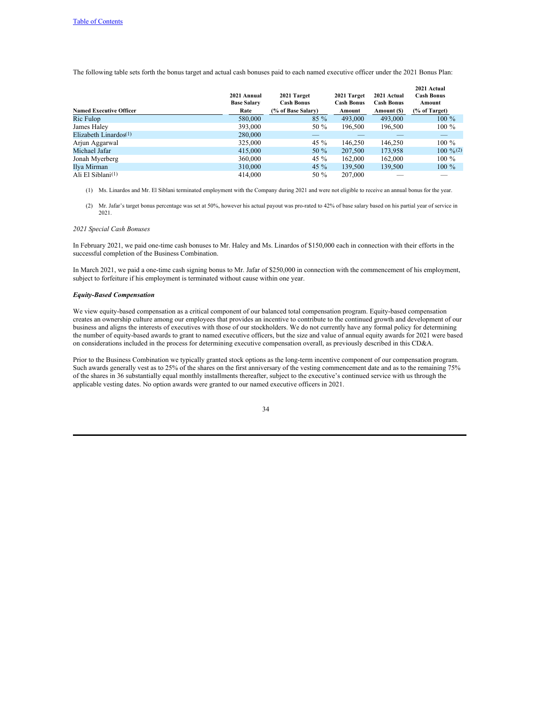The following table sets forth the bonus target and actual cash bonuses paid to each named executive officer under the 2021 Bonus Plan:

|                                | 2021 Annual<br><b>Base Salary</b> | 2021 Target<br><b>Cash Bonus</b> | 2021 Target<br><b>Cash Bonus</b> | 2021 Actual<br><b>Cash Bonus</b> | 2021 Actual<br><b>Cash Bonus</b><br>Amount |
|--------------------------------|-----------------------------------|----------------------------------|----------------------------------|----------------------------------|--------------------------------------------|
| <b>Named Executive Officer</b> | Rate                              | (% of Base Salary)               | Amount                           | Amount (\$)                      | (% of Target)                              |
| Ric Fulop                      | 580,000                           | $85\%$                           | 493,000                          | 493,000                          | $100 \%$                                   |
| James Haley                    | 393,000                           | 50 %                             | 196,500                          | 196,500                          | $100\%$                                    |
| Elizabeth Linardos $(1)$       | 280,000                           |                                  |                                  |                                  |                                            |
| Arjun Aggarwal                 | 325,000                           | 45 $\%$                          | 146,250                          | 146,250                          | $100\%$                                    |
| Michael Jafar                  | 415,000                           | 50 %                             | 207,500                          | 173,958                          | $100 \frac{9}{6}$ (2)                      |
| Jonah Myerberg                 | 360,000                           | 45 $\%$                          | 162,000                          | 162,000                          | $100\%$                                    |
| Ilya Mirman                    | 310,000                           | 45 $\%$                          | 139,500                          | 139,500                          | $100\%$                                    |
| Ali El Siblani <sup>(1)</sup>  | 414,000                           | 50 %                             | 207,000                          |                                  |                                            |

(1) Ms. Linardos and Mr. El Siblani terminated employment with the Company during 2021 and were not eligible to receive an annual bonus for the year.

(2) Mr. Jafar's target bonus percentage was set at 50%, however his actual payout was pro-rated to 42% of base salary based on his partial year of service in 2021.

## *2021 Special Cash Bonuses*

In February 2021, we paid one-time cash bonuses to Mr. Haley and Ms. Linardos of \$150,000 each in connection with their efforts in the successful completion of the Business Combination.

In March 2021, we paid a one-time cash signing bonus to Mr. Jafar of \$250,000 in connection with the commencement of his employment, subject to forfeiture if his employment is terminated without cause within one year.

# *Equity-Based Compensation*

We view equity-based compensation as a critical component of our balanced total compensation program. Equity-based compensation creates an ownership culture among our employees that provides an incentive to contribute to the continued growth and development of our business and aligns the interests of executives with those of our stockholders. We do not currently have any formal policy for determining the number of equity-based awards to grant to named executive officers, but the size and value of annual equity awards for 2021 were based on considerations included in the process for determining executive compensation overall, as previously described in this CD&A.

Prior to the Business Combination we typically granted stock options as the long-term incentive component of our compensation program. Such awards generally vest as to 25% of the shares on the first anniversary of the vesting commencement date and as to the remaining 75% of the shares in 36 substantially equal monthly installments thereafter, subject to the executive's continued service with us through the applicable vesting dates. No option awards were granted to our named executive officers in 2021.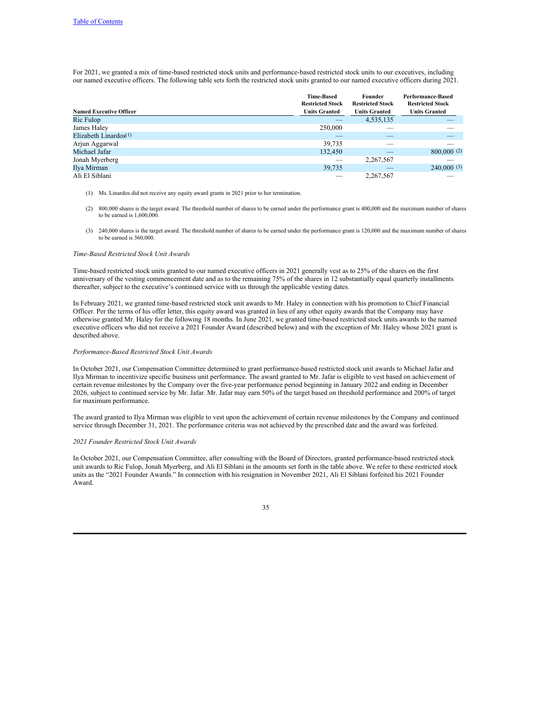For 2021, we granted a mix of time-based restricted stock units and performance-based restricted stock units to our executives, including our named executive officers. The following table sets forth the restricted stock units granted to our named executive officers during 2021.

|                                | <b>Time-Based</b><br><b>Restricted Stock</b> | Founder<br><b>Restricted Stock</b> | Performance-Based<br><b>Restricted Stock</b> |
|--------------------------------|----------------------------------------------|------------------------------------|----------------------------------------------|
| <b>Named Executive Officer</b> | <b>Units Granted</b>                         | <b>Units Granted</b>               | <b>Units Granted</b>                         |
| Ric Fulop                      |                                              | 4,535,135                          |                                              |
| James Haley                    | 250,000                                      |                                    |                                              |
| Elizabeth Linardos $(1)$       | _                                            |                                    | _                                            |
| Arjun Aggarwal                 | 39,735                                       |                                    |                                              |
| Michael Jafar                  | 132,450                                      | _                                  | 800,000(2)                                   |
| Jonah Myerberg                 |                                              | 2,267,567                          |                                              |
| Ilya Mirman                    | 39,735                                       | _                                  | 240,000(3)                                   |
| Ali El Siblani                 |                                              | 2,267,567                          |                                              |

- (1) Ms. Linardos did not receive any equity award grants in 2021 prior to her termination.
- (2) 800,000 shares is the target award. The threshold number of shares to be earned under the performance grant is 400,000 and the maximum number of shares to be earned is 1,600,000.
- (3) 240,000 shares is the target award. The threshold number of shares to be earned under the performance grant is 120,000 and the maximum number of shares to be earned is 360,000.

### *Time-Based Restricted Stock Unit Awards*

Time-based restricted stock units granted to our named executive officers in 2021 generally vest as to 25% of the shares on the first anniversary of the vesting commencement date and as to the remaining 75% of the shares in 12 substantially equal quarterly installments thereafter, subject to the executive's continued service with us through the applicable vesting dates.

In February 2021, we granted time-based restricted stock unit awards to Mr. Haley in connection with his promotion to Chief Financial Officer. Per the terms of his offer letter, this equity award was granted in lieu of any other equity awards that the Company may have otherwise granted Mr. Haley for the following 18 months. In June 2021, we granted time-based restricted stock units awards to the named executive officers who did not receive a 2021 Founder Award (described below) and with the exception of Mr. Haley whose 2021 grant is described above.

#### *Performance-Based Restricted Stock Unit Awards*

In October 2021, our Compensation Committee determined to grant performance-based restricted stock unit awards to Michael Jafar and Ilya Mirman to incentivize specific business unit performance. The award granted to Mr. Jafar is eligible to vest based on achievement of certain revenue milestones by the Company over the five-year performance period beginning in January 2022 and ending in December 2026, subject to continued service by Mr. Jafar. Mr. Jafar may earn 50% of the target based on threshold performance and 200% of target for maximum performance.

The award granted to Ilya Mirman was eligible to vest upon the achievement of certain revenue milestones by the Company and continued service through December 31, 2021. The performance criteria was not achieved by the prescribed date and the award was forfeited.

#### *2021 Founder Restricted Stock Unit Awards*

In October 2021, our Compensation Committee, after consulting with the Board of Directors, granted performance-based restricted stock unit awards to Ric Fulop, Jonah Myerberg, and Ali El Siblani in the amounts set forth in the table above. We refer to these restricted stock units as the "2021 Founder Awards." In connection with his resignation in November 2021, Ali El Siblani forfeited his 2021 Founder Award.

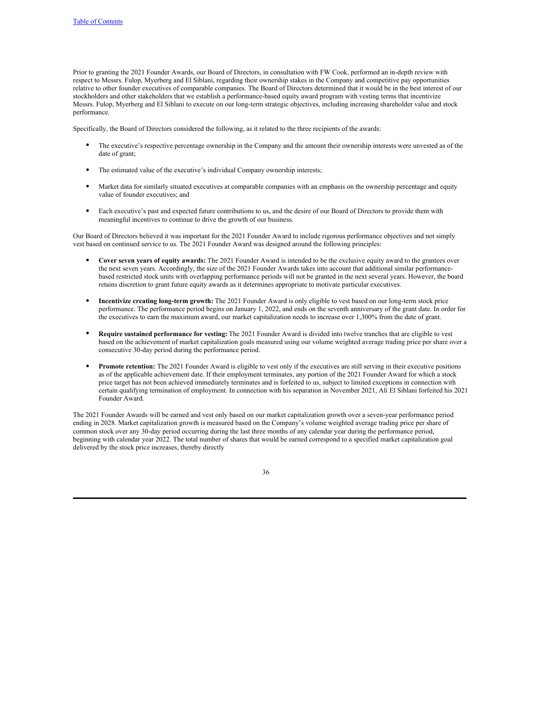Prior to granting the 2021 Founder Awards, our Board of Directors, in consultation with FW Cook, performed an in-depth review with respect to Messrs. Fulop, Myerberg and El Siblani, regarding their ownership stakes in the Company and competitive pay opportunities relative to other founder executives of comparable companies. The Board of Directors determined that it would be in the best interest of our stockholders and other stakeholders that we establish a performance-based equity award program with vesting terms that incentivize Messrs. Fulop, Myerberg and El Siblani to execute on our long-term strategic objectives, including increasing shareholder value and stock performance.

Specifically, the Board of Directors considered the following, as it related to the three recipients of the awards:

- The executive's respective percentage ownership in the Company and the amount their ownership interests were unvested as of the date of grant;
- The estimated value of the executive's individual Company ownership interests;
- Market data for similarly situated executives at comparable companies with an emphasis on the ownership percentage and equity value of founder executives; and
- Each executive's past and expected future contributions to us, and the desire of our Board of Directors to provide them with meaningful incentives to continue to drive the growth of our business.

Our Board of Directors believed it was important for the 2021 Founder Award to include rigorous performance objectives and not simply vest based on continued service to us. The 2021 Founder Award was designed around the following principles:

- **Cover seven years of equity awards:** The 2021 Founder Award is intended to be the exclusive equity award to the grantees over the next seven years. Accordingly, the size of the 2021 Founder Awards takes into account that additional similar performancebased restricted stock units with overlapping performance periods will not be granted in the next several years. However, the board retains discretion to grant future equity awards as it determines appropriate to motivate particular executives.
- **Incentivize creating long-term growth:** The 2021 Founder Award is only eligible to vest based on our long-term stock price performance. The performance period begins on January 1, 2022, and ends on the seventh anniversary of the grant date. In order for the executives to earn the maximum award, our market capitalization needs to increase over 1,300% from the date of grant.
- **Require sustained performance for vesting:** The 2021 Founder Award is divided into twelve tranches that are eligible to vest based on the achievement of market capitalization goals measured using our volume weighted average trading price per share over a consecutive 30-day period during the performance period.
- Promote retention: The 2021 Founder Award is eligible to vest only if the executives are still serving in their executive positions as of the applicable achievement date. If their employment terminates, any portion of the 2021 Founder Award for which a stock price target has not been achieved immediately terminates and is forfeited to us, subject to limited exceptions in connection with certain qualifying termination of employment. In connection with his separation in November 2021, Ali El Siblani forfeited his 2021 Founder Award.

The 2021 Founder Awards will be earned and vest only based on our market capitalization growth over a seven-year performance period ending in 2028. Market capitalization growth is measured based on the Company's volume weighted average trading price per share of common stock over any 30-day period occurring during the last three months of any calendar year during the performance period, beginning with calendar year 2022. The total number of shares that would be earned correspond to a specified market capitalization goal delivered by the stock price increases, thereby directly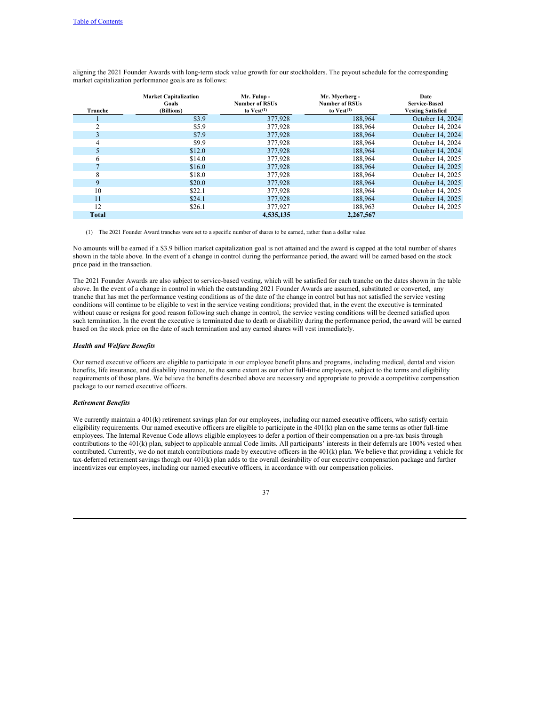| Tranche        | <b>Market Capitalization</b><br>Goals<br>(Billions) | Mr. Fulop -<br><b>Number of RSUs</b><br>to $Vest(1)$ | Mr. Myerberg -<br><b>Number of RSUs</b><br>to $Vest(1)$ | Date<br><b>Service-Based</b><br><b>Vesting Satisfied</b> |
|----------------|-----------------------------------------------------|------------------------------------------------------|---------------------------------------------------------|----------------------------------------------------------|
|                | \$3.9                                               | 377,928                                              | 188,964                                                 | October 14, 2024                                         |
| $\overline{c}$ | \$5.9                                               | 377,928                                              | 188,964                                                 | October 14, 2024                                         |
| 3              | \$7.9                                               | 377,928                                              | 188,964                                                 | October 14, 2024                                         |
| 4              | \$9.9                                               | 377,928                                              | 188.964                                                 | October 14, 2024                                         |
| 5              | \$12.0                                              | 377,928                                              | 188,964                                                 | October 14, 2024                                         |
| 6              | \$14.0                                              | 377,928                                              | 188,964                                                 | October 14, 2025                                         |
|                | \$16.0                                              | 377,928                                              | 188,964                                                 | October 14, 2025                                         |
| 8              | \$18.0                                              | 377,928                                              | 188,964                                                 | October 14, 2025                                         |
| 9              | \$20.0                                              | 377,928                                              | 188,964                                                 | October 14, 2025                                         |
| 10             | \$22.1                                              | 377,928                                              | 188,964                                                 | October 14, 2025                                         |
| 11             | \$24.1                                              | 377,928                                              | 188,964                                                 | October 14, 2025                                         |
| 12             | \$26.1                                              | 377,927                                              | 188,963                                                 | October 14, 2025                                         |
| <b>Total</b>   |                                                     | 4,535,135                                            | 2,267,567                                               |                                                          |

aligning the 2021 Founder Awards with long-term stock value growth for our stockholders. The payout schedule for the corresponding market capitalization performance goals are as follows:

(1) The 2021 Founder Award tranches were set to a specific number of shares to be earned, rather than a dollar value.

No amounts will be earned if a \$3.9 billion market capitalization goal is not attained and the award is capped at the total number of shares shown in the table above. In the event of a change in control during the performance period, the award will be earned based on the stock price paid in the transaction.

The 2021 Founder Awards are also subject to service-based vesting, which will be satisfied for each tranche on the dates shown in the table above. In the event of a change in control in which the outstanding 2021 Founder Awards are assumed, substituted or converted, any tranche that has met the performance vesting conditions as of the date of the change in control but has not satisfied the service vesting conditions will continue to be eligible to vest in the service vesting conditions; provided that, in the event the executive is terminated without cause or resigns for good reason following such change in control, the service vesting conditions will be deemed satisfied upon such termination. In the event the executive is terminated due to death or disability during the performance period, the award will be earned based on the stock price on the date of such termination and any earned shares will vest immediately.

#### *Health and Welfare Benefits*

Our named executive officers are eligible to participate in our employee benefit plans and programs, including medical, dental and vision benefits, life insurance, and disability insurance, to the same extent as our other full-time employees, subject to the terms and eligibility requirements of those plans. We believe the benefits described above are necessary and appropriate to provide a competitive compensation package to our named executive officers.

# *Retirement Benefits*

We currently maintain a 401(k) retirement savings plan for our employees, including our named executive officers, who satisfy certain eligibility requirements. Our named executive officers are eligible to participate in the 401(k) plan on the same terms as other full-time employees. The Internal Revenue Code allows eligible employees to defer a portion of their compensation on a pre-tax basis through contributions to the 401(k) plan, subject to applicable annual Code limits. All participants' interests in their deferrals are 100% vested when contributed. Currently, we do not match contributions made by executive officers in the 401(k) plan. We believe that providing a vehicle for tax-deferred retirement savings though our 401(k) plan adds to the overall desirability of our executive compensation package and further incentivizes our employees, including our named executive officers, in accordance with our compensation policies.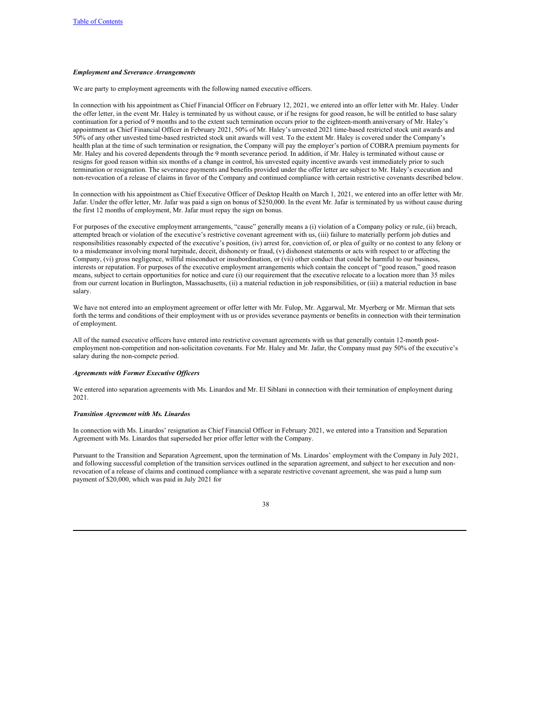#### *Employment and Severance Arrangements*

We are party to employment agreements with the following named executive officers.

In connection with his appointment as Chief Financial Officer on February 12, 2021, we entered into an offer letter with Mr. Haley. Under the offer letter, in the event Mr. Haley is terminated by us without cause, or if he resigns for good reason, he will be entitled to base salary continuation for a period of 9 months and to the extent such termination occurs prior to the eighteen-month anniversary of Mr. Haley's appointment as Chief Financial Officer in February 2021, 50% of Mr. Haley's unvested 2021 time-based restricted stock unit awards and 50% of any other unvested time-based restricted stock unit awards will vest. To the extent Mr. Haley is covered under the Company's health plan at the time of such termination or resignation, the Company will pay the employer's portion of COBRA premium payments for Mr. Haley and his covered dependents through the 9 month severance period. In addition, if Mr. Haley is terminated without cause or resigns for good reason within six months of a change in control, his unvested equity incentive awards vest immediately prior to such termination or resignation. The severance payments and benefits provided under the offer letter are subject to Mr. Haley's execution and non-revocation of a release of claims in favor of the Company and continued compliance with certain restrictive covenants described below.

In connection with his appointment as Chief Executive Officer of Desktop Health on March 1, 2021, we entered into an offer letter with Mr. Jafar. Under the offer letter, Mr. Jafar was paid a sign on bonus of \$250,000. In the event Mr. Jafar is terminated by us without cause during the first 12 months of employment, Mr. Jafar must repay the sign on bonus.

For purposes of the executive employment arrangements, "cause" generally means a (i) violation of a Company policy or rule, (ii) breach, attempted breach or violation of the executive's restrictive covenant agreement with us, (iii) failure to materially perform job duties and responsibilities reasonably expected of the executive's position, (iv) arrest for, conviction of, or plea of guilty or no contest to any felony or to a misdemeanor involving moral turpitude, deceit, dishonesty or fraud, (v) dishonest statements or acts with respect to or affecting the Company, (vi) gross negligence, willful misconduct or insubordination, or (vii) other conduct that could be harmful to our business, interests or reputation. For purposes of the executive employment arrangements which contain the concept of "good reason," good reason means, subject to certain opportunities for notice and cure (i) our requirement that the executive relocate to a location more than 35 miles from our current location in Burlington, Massachusetts, (ii) a material reduction in job responsibilities, or (iii) a material reduction in base salary.

We have not entered into an employment agreement or offer letter with Mr. Fulop, Mr. Aggarwal, Mr. Myerberg or Mr. Mirman that sets forth the terms and conditions of their employment with us or provides severance payments or benefits in connection with their termination of employment.

All of the named executive officers have entered into restrictive covenant agreements with us that generally contain 12-month postemployment non-competition and non-solicitation covenants. For Mr. Haley and Mr. Jafar, the Company must pay 50% of the executive's salary during the non-compete period.

#### *Agreements with Former Executive Of icers*

We entered into separation agreements with Ms. Linardos and Mr. El Siblani in connection with their termination of employment during 2021.

#### *Transition Agreement with Ms. Linardos*

In connection with Ms. Linardos' resignation as Chief Financial Officer in February 2021, we entered into a Transition and Separation Agreement with Ms. Linardos that superseded her prior offer letter with the Company.

Pursuant to the Transition and Separation Agreement, upon the termination of Ms. Linardos' employment with the Company in July 2021, and following successful completion of the transition services outlined in the separation agreement, and subject to her execution and nonrevocation of a release of claims and continued compliance with a separate restrictive covenant agreement, she was paid a lump sum payment of \$20,000, which was paid in July 2021 for

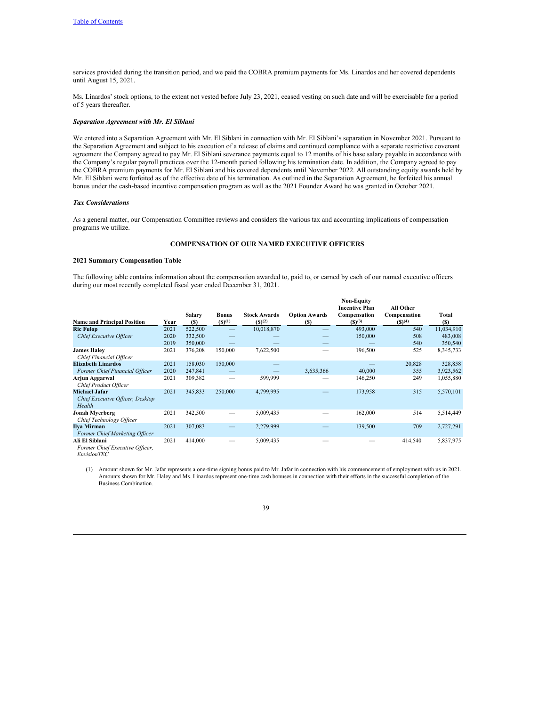services provided during the transition period, and we paid the COBRA premium payments for Ms. Linardos and her covered dependents until August 15, 2021.

Ms. Linardos' stock options, to the extent not vested before July 23, 2021, ceased vesting on such date and will be exercisable for a period of 5 years thereafter.

# *Separation Agreement with Mr. El Siblani*

We entered into a Separation Agreement with Mr. El Siblani in connection with Mr. El Siblani's separation in November 2021. Pursuant to the Separation Agreement and subject to his execution of a release of claims and continued compliance with a separate restrictive covenant agreement the Company agreed to pay Mr. El Siblani severance payments equal to 12 months of his base salary payable in accordance with the Company's regular payroll practices over the 12-month period following his termination date. In addition, the Company agreed to pay the COBRA premium payments for Mr. El Siblani and his covered dependents until November 2022. All outstanding equity awards held by Mr. El Siblani were forfeited as of the effective date of his termination. As outlined in the Separation Agreement, he forfeited his annual bonus under the cash-based incentive compensation program as well as the 2021 Founder Award he was granted in October 2021.

# *Tax Considerations*

As a general matter, our Compensation Committee reviews and considers the various tax and accounting implications of compensation programs we utilize.

# <span id="page-41-0"></span>**COMPENSATION OF OUR NAMED EXECUTIVE OFFICERS**

#### **2021 Summary Compensation Table**

The following table contains information about the compensation awarded to, paid to, or earned by each of our named executive officers during our most recently completed fiscal year ended December 31, 2021.

| <b>Name and Principal Position</b>                                 | Year | Salary<br><b>(S)</b> | Bonus<br>(S)(1) | <b>Stock Awards</b><br>(S)(2) | <b>Option Awards</b><br>(S) | <b>Non-Equity</b><br><b>Incentive Plan</b><br>Compensation<br>(S)(3) | All Other<br>Compensation<br>$($ \$) $(4)$ | Total<br>(S) |
|--------------------------------------------------------------------|------|----------------------|-----------------|-------------------------------|-----------------------------|----------------------------------------------------------------------|--------------------------------------------|--------------|
| <b>Ric Fulop</b>                                                   | 2021 | 522,500              | -               | 10,018,870                    |                             | 493,000                                                              | 540                                        | 11,034,910   |
| Chief Executive Officer                                            | 2020 | 332,500              |                 |                               |                             | 150,000                                                              | 508                                        | 483,008      |
|                                                                    | 2019 | 350,000              |                 |                               |                             |                                                                      | 540                                        | 350,540      |
| <b>James Halev</b><br>Chief Financial Officer                      | 2021 | 376,208              | 150,000         | 7,622,500                     |                             | 196,500                                                              | 525                                        | 8,345,733    |
| <b>Elizabeth Linardos</b>                                          | 2021 | 158,030              | 150,000         |                               |                             |                                                                      | 20,828                                     | 328,858      |
| Former Chief Financial Officer                                     | 2020 | 247,841              |                 |                               | 3,635,366                   | 40,000                                                               | 355                                        | 3,923,562    |
| Arjun Aggarwal<br><b>Chief Product Officer</b>                     | 2021 | 309,382              |                 | 599,999                       |                             | 146,250                                                              | 249                                        | 1,055,880    |
| <b>Michael Jafar</b><br>Chief Executive Officer, Desktop<br>Health | 2021 | 345,833              | 250,000         | 4,799,995                     |                             | 173,958                                                              | 315                                        | 5,570,101    |
| Jonah Myerberg<br>Chief Technology Officer                         | 2021 | 342,500              |                 | 5,009,435                     |                             | 162,000                                                              | 514                                        | 5,514,449    |
| Ilya Mirman<br><b>Former Chief Marketing Officer</b>               | 2021 | 307,083              |                 | 2,279,999                     |                             | 139,500                                                              | 709                                        | 2,727,291    |
| Ali El Siblani<br>Former Chief Executive Officer,                  | 2021 | 414,000              |                 | 5,009,435                     |                             |                                                                      | 414,540                                    | 5,837,975    |

*EnvisionTEC*

(1) Amount shown for Mr. Jafar represents a one-time signing bonus paid to Mr. Jafar in connection with his commencement of employment with us in 2021. Amounts shown for Mr. Haley and Ms. Linardos represent one-time cash bonuses in connection with their efforts in the successful completion of the Business Combination.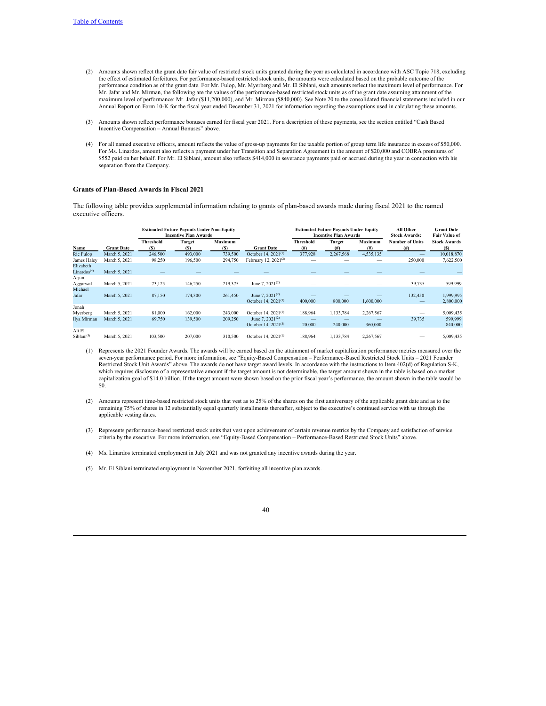- (2) Amounts shown reflect the grant date fair value of restricted stock units granted during the year as calculated in accordance with ASC Topic 718, excluding the effect of estimated forfeitures. For performance-based restricted stock units, the amounts were calculated based on the probable outcome of the performance condition as of the grant date. For Mr. Fulop, Mr. Myerberg and Mr. El Siblani, such amounts reflect the maximum level of performance. For Mr. Jafar and Mr. Mirman, the following are the values of the performance-based restricted stock units as of the grant date assuming attainment of the maximum level of performance: Mr. Jafar (\$11,200,000), and Mr. Mirman (\$840,000). See Note 20 to the consolidated financial statements included in our Annual Report on Form 10-K for the fiscal year ended December 31, 2021 for information regarding the assumptions used in calculating these amounts.
- (3) Amounts shown reflect performance bonuses earned for fiscal year 2021. For a description of these payments, see the section entitled "Cash Based Incentive Compensation – Annual Bonuses" above.
- (4) For all named executive officers, amount reflects the value of gross-up payments for the taxable portion of group term life insurance in excess of \$50,000. For Ms. Linardos, amount also reflects a payment under her Transition and Separation Agreement in the amount of \$20,000 and COBRA premiums of \$552 paid on her behalf. For Mr. El Siblani, amount also reflects \$414,000 in severance payments paid or accrued during the year in connection with his separation from the Company.

#### **Grants of Plan-Based Awards in Fiscal 2021**

The following table provides supplemental information relating to grants of plan-based awards made during fiscal 2021 to the named executive officers.

|                                      |                   |                         | <b>Estimated Future Payouts Under Non-Equity</b><br><b>Incentive Plan Awards</b> |                | <b>Estimated Future Payouts Under Equity</b><br><b>Incentive Plan Awards</b> |                       |                       |                        | All Other<br><b>Stock Awards:</b>   | <b>Grant Date</b><br><b>Fair Value of</b> |  |
|--------------------------------------|-------------------|-------------------------|----------------------------------------------------------------------------------|----------------|------------------------------------------------------------------------------|-----------------------|-----------------------|------------------------|-------------------------------------|-------------------------------------------|--|
| Name                                 | <b>Grant Date</b> | <b>Threshold</b><br>(S) | <b>Target</b><br>(S)                                                             | Maximum<br>(S) | <b>Grant Date</b>                                                            | Threshold<br>$^{(#)}$ | <b>Target</b><br>(# ) | <b>Maximum</b><br>(# ) | <b>Number of Units</b><br>(# )      | <b>Stock Awards</b><br>(S)                |  |
| Ric Fulop                            | March 5, 2021     | 246,500                 | 493,000                                                                          | 739,500        | October 14, $2021^{(1)}$                                                     | 377,928               | 2,267,568             | 4,535,135              |                                     | 10,018,870                                |  |
| James Haley                          | March 5, 2021     | 98,250                  | 196,500                                                                          | 294,750        | February 12, $2021^{(2)}$                                                    |                       |                       |                        | 250,000                             | 7,622,500                                 |  |
| Elizabeth<br>Linardos <sup>(4)</sup> | March 5, 2021     |                         |                                                                                  |                |                                                                              |                       |                       |                        |                                     |                                           |  |
| Arjun<br>Aggarwal                    | March 5, 2021     | 73,125                  | 146,250                                                                          | 219,375        | June 7, $2021^{(2)}$                                                         |                       |                       |                        | 39,735                              | 599,999                                   |  |
| Michael<br>Jafar                     | March 5, 2021     | 87,150                  | 174,300                                                                          | 261.450        | June 7, $2021^{(2)}$<br>October 14, 2021 <sup>(3)</sup>                      | 400,000               | 800,000               | 1.600.000              | 132,450<br>$\overline{\phantom{a}}$ | 1,999,995<br>2,800,000                    |  |
| Jonah                                |                   |                         |                                                                                  |                |                                                                              |                       |                       |                        |                                     |                                           |  |
| Myerberg                             | March 5, 2021     | 81,000                  | 162,000                                                                          | 243,000        | October 14, $2021^{(1)}$                                                     | 188,964               | 1,133,784             | 2,267,567              |                                     | 5,009,435                                 |  |
| Ilya Mirman                          | March 5, 2021     | 69,750                  | 139,500                                                                          | 209,250        | June 7, $2021^{(2)}$<br>October 14, 2021 $(3)$                               | 120,000               | 240,000               | 360,000                | 39,735                              | 599,999<br>840,000                        |  |
| Ali El<br>Siblani <sup>(5)</sup>     | March 5, 2021     | 103,500                 | 207,000                                                                          | 310,500        | October 14, $2021^{(1)}$                                                     | 188,964               | 1,133,784             | 2,267,567              |                                     | 5,009,435                                 |  |

- (1) Represents the 2021 Founder Awards. The awards will be earned based on the attainment of market capitalization performance metrics measured over the seven-year performance period. For more information, see "Equity-Based Compensation – Performance-Based Restricted Stock Units – 2021 Founder Restricted Stock Unit Awards" above. The awards do not have target award levels. In accordance with the instructions to Item 402(d) of Regulation S-K, which requires disclosure of a representative amount if the target amount is not determinable, the target amount shown in the table is based on a market capitalization goal of \$14.0 billion. If the target amount were shown based on the prior fiscal year's performance, the amount shown in the table would be \$0.
- (2) Amounts represent time-based restricted stock units that vest as to 25% of the shares on the first anniversary of the applicable grant date and as to the remaining 75% of shares in 12 substantially equal quarterly installments thereafter, subject to the executive's continued service with us through the applicable vesting dates.
- (3) Represents performance-based restricted stock units that vest upon achievement of certain revenue metrics by the Company and satisfaction of service criteria by the executive. For more information, see "Equity-Based Compensation – Performance-Based Restricted Stock Units" above.
- (4) Ms. Linardos terminated employment in July 2021 and was not granted any incentive awards during the year.

(5) Mr. El Siblani terminated employment in November 2021, forfeiting all incentive plan awards.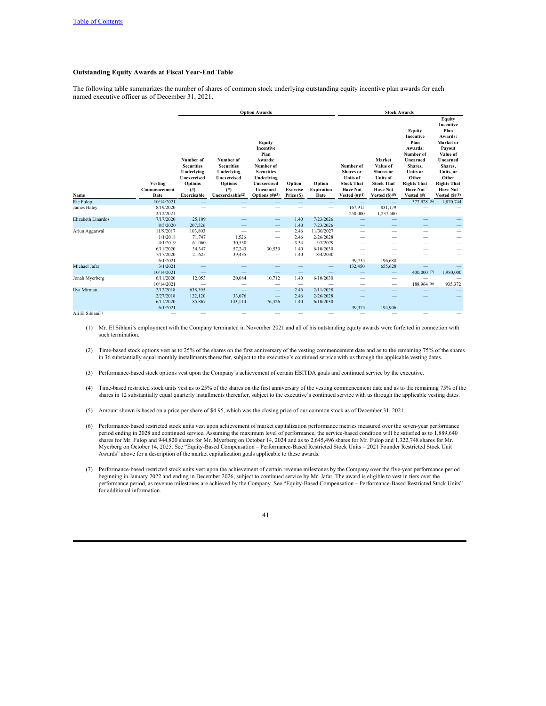# **Outstanding Equity Awards at Fiscal Year-End Table**

The following table summarizes the number of shares of common stock underlying outstanding equity incentive plan awards for each named executive officer as of December 31, 2021.

|                               |                                 |                                                                                                                  | <b>Option Awards</b>                                                                                         |                                                                                                                                                         |                                         |                                     |                                                                                                                 | <b>Stock Awards</b>                                                                                              |                                                                                                                                                               |                                                                                                                                                                                       |  |  |  |  |
|-------------------------------|---------------------------------|------------------------------------------------------------------------------------------------------------------|--------------------------------------------------------------------------------------------------------------|---------------------------------------------------------------------------------------------------------------------------------------------------------|-----------------------------------------|-------------------------------------|-----------------------------------------------------------------------------------------------------------------|------------------------------------------------------------------------------------------------------------------|---------------------------------------------------------------------------------------------------------------------------------------------------------------|---------------------------------------------------------------------------------------------------------------------------------------------------------------------------------------|--|--|--|--|
| Name                          | Vesting<br>Commencement<br>Date | Number of<br><b>Securities</b><br>Underlying<br><b>Unexercised</b><br><b>Options</b><br>$($ # $)$<br>Exercisable | Number of<br><b>Securities</b><br>Underlying<br>Unexercised<br><b>Options</b><br>(f#)<br>Unexercisable $(2)$ | <b>Equity</b><br>Incentive<br>Plan<br>Awards:<br>Number of<br><b>Securities</b><br>Underlying<br><b>Unexercised</b><br>Unearned<br>Options $(\#)^{(3)}$ | Option<br><b>Exercise</b><br>Price (\$) | Option<br><b>Expiration</b><br>Date | Number of<br><b>Shares</b> or<br><b>Units of</b><br><b>Stock That</b><br><b>Have Not</b><br>Vested $(\#)^{(4)}$ | Market<br>Value of<br>Shares or<br><b>Units</b> of<br><b>Stock That</b><br><b>Have Not</b><br>Vested $(S)^{(5)}$ | Equity<br>Incentive<br>Plan<br>Awards:<br>Number of<br>Unearned<br>Shares,<br><b>Units or</b><br>Other<br><b>Rights That</b><br><b>Have Not</b><br>Vested (#) | Equity<br>Incentive<br>Plan<br>Awards:<br>Market or<br>Payout<br>Value of<br>Unearned<br>Shares,<br>Units, or<br>Other<br><b>Rights That</b><br><b>Have Not</b><br>Vested $(S)^{(5)}$ |  |  |  |  |
| <b>Ric Fulop</b>              | 10/14/2021                      |                                                                                                                  |                                                                                                              |                                                                                                                                                         |                                         |                                     | $\qquad \qquad$                                                                                                 | $\qquad \qquad =$                                                                                                | 377,928 (6)                                                                                                                                                   | 1,870,744                                                                                                                                                                             |  |  |  |  |
| James Haley                   | 8/19/2020                       |                                                                                                                  |                                                                                                              |                                                                                                                                                         |                                         | $\overline{\phantom{0}}$            | 167,915                                                                                                         | 831,179                                                                                                          | -                                                                                                                                                             |                                                                                                                                                                                       |  |  |  |  |
|                               | 2/12/2021                       |                                                                                                                  |                                                                                                              |                                                                                                                                                         |                                         | $\overline{\phantom{0}}$            | 250,000                                                                                                         | 1,237,500                                                                                                        |                                                                                                                                                               |                                                                                                                                                                                       |  |  |  |  |
| <b>Elizabeth Linardos</b>     | 7/17/2020                       | 25,109                                                                                                           |                                                                                                              | $\qquad \qquad -$                                                                                                                                       | 1.40                                    | 7/23/2026                           |                                                                                                                 |                                                                                                                  |                                                                                                                                                               |                                                                                                                                                                                       |  |  |  |  |
|                               | 8/5/2020                        | 207.526                                                                                                          |                                                                                                              | $\hspace{0.1mm}-\hspace{0.1mm}$                                                                                                                         | 1.40                                    | 7/23/2026                           |                                                                                                                 |                                                                                                                  |                                                                                                                                                               | $\overline{\phantom{0}}$                                                                                                                                                              |  |  |  |  |
| Arjun Aggarwal                | 11/9/2017                       | 103,803                                                                                                          | $\overline{\phantom{0}}$                                                                                     | $\qquad \qquad$                                                                                                                                         | 2.46                                    | 11/30/2027                          | $\overline{\phantom{a}}$                                                                                        | -                                                                                                                | -                                                                                                                                                             | —                                                                                                                                                                                     |  |  |  |  |
|                               | 1/1/2018                        | 71,747                                                                                                           | 1,526                                                                                                        |                                                                                                                                                         | 2.46                                    | 2/26/2028                           |                                                                                                                 |                                                                                                                  |                                                                                                                                                               |                                                                                                                                                                                       |  |  |  |  |
|                               | 4/1/2019                        | 61,060                                                                                                           | 30,530                                                                                                       | $\overline{\phantom{m}}$                                                                                                                                | 3.34                                    | 5/7/2029                            |                                                                                                                 |                                                                                                                  | -                                                                                                                                                             |                                                                                                                                                                                       |  |  |  |  |
|                               | 6/11/2020                       | 34,347                                                                                                           | 57,243                                                                                                       | 30.530                                                                                                                                                  | 1.40                                    | 6/10/2030                           |                                                                                                                 |                                                                                                                  |                                                                                                                                                               |                                                                                                                                                                                       |  |  |  |  |
|                               | 7/17/2020                       | 21,625                                                                                                           | 39,435                                                                                                       |                                                                                                                                                         | 1.40                                    | 8/4/2030                            | $\overline{\phantom{0}}$                                                                                        |                                                                                                                  |                                                                                                                                                               |                                                                                                                                                                                       |  |  |  |  |
|                               | 6/1/2021                        |                                                                                                                  |                                                                                                              |                                                                                                                                                         | -                                       | $\overline{\phantom{0}}$            | 39,735                                                                                                          | 196,688                                                                                                          | -                                                                                                                                                             |                                                                                                                                                                                       |  |  |  |  |
| Michael Jafar                 | 3/1/2021<br>10/14/2021          |                                                                                                                  |                                                                                                              |                                                                                                                                                         |                                         | —                                   | 132,450                                                                                                         | 655,628                                                                                                          | 400,000 (7)                                                                                                                                                   |                                                                                                                                                                                       |  |  |  |  |
| Jonah Myerberg                | 6/11/2020                       |                                                                                                                  | 20,084                                                                                                       | -<br>10,712                                                                                                                                             | -<br>1.40                               | 6/10/2030                           |                                                                                                                 | $\qquad \qquad -$                                                                                                |                                                                                                                                                               | 1,980,000                                                                                                                                                                             |  |  |  |  |
|                               | 10/14/2021                      | 12,053                                                                                                           |                                                                                                              | $\qquad \qquad$                                                                                                                                         | $\qquad \qquad$                         | $\overline{\phantom{0}}$            | -<br>—                                                                                                          | $\overline{\phantom{m}}$<br>$\qquad \qquad$                                                                      | 188,964 (6)                                                                                                                                                   | 935,372                                                                                                                                                                               |  |  |  |  |
| Ilya Mirman                   | 2/12/2018                       | 638,595                                                                                                          |                                                                                                              | -                                                                                                                                                       | 2.46                                    | 2/11/2028                           |                                                                                                                 |                                                                                                                  |                                                                                                                                                               |                                                                                                                                                                                       |  |  |  |  |
|                               | 2/27/2018                       | 122,120                                                                                                          | 33,076                                                                                                       | $\qquad \qquad -$                                                                                                                                       | 2.46                                    | 2/26/2028                           |                                                                                                                 |                                                                                                                  |                                                                                                                                                               |                                                                                                                                                                                       |  |  |  |  |
|                               | 6/11/2020                       | 85,867                                                                                                           | 143,110                                                                                                      | 76,326                                                                                                                                                  | 1.40                                    | 6/10/2030                           |                                                                                                                 |                                                                                                                  |                                                                                                                                                               |                                                                                                                                                                                       |  |  |  |  |
|                               | 6/1/2021                        |                                                                                                                  |                                                                                                              |                                                                                                                                                         |                                         |                                     | 39,375                                                                                                          | 194,906                                                                                                          |                                                                                                                                                               | $\overline{\phantom{0}}$                                                                                                                                                              |  |  |  |  |
| Ali El Siblani <sup>1</sup> ) |                                 |                                                                                                                  |                                                                                                              |                                                                                                                                                         | -                                       | -                                   |                                                                                                                 |                                                                                                                  | -                                                                                                                                                             | -                                                                                                                                                                                     |  |  |  |  |

Ali El Siblani<sup>1</sup>)

(1) Mr. El Siblani's employment with the Company terminated in November 2021 and all of his outstanding equity awards were forfeited in connection with such termination.

(2) Time-based stock options vest as to 25% of the shares on the first anniversary of the vesting commencement date and as to the remaining 75% of the shares in 36 substantially equal monthly installments thereafter, subject to the executive's continued service with us through the applicable vesting dates.

(3) Performance-based stock options vest upon the Company's achievement of certain EBITDA goals and continued service by the executive.

- (4) Time-based restricted stock units vest as to 25% of the shares on the first anniversary of the vesting commencement date and as to the remaining 75% of the shares in 12 substantially equal quarterly installments thereafter, subject to the executive's continued service with us through the applicable vesting dates.
- (5) Amount shown is based on a price per share of \$4.95, which was the closing price of our common stock as of December 31, 2021.
- (6) Performance-based restricted stock units vest upon achievement of market capitalization performance metrics measured over the seven-year performance period ending in 2028 and continued service. Assuming the maximum level of performance, the service-based condition will be satisfied as to 1,889,640 shares for Mr. Fulop and 944,820 shares for Mr. Myerberg on October 14, 2024 and as to 2,645,496 shares for Mr. Fulop and 1,322,748 shares for Mr. Myerberg on October 14, 2025. See "Equity-Based Compensation – Performance-Based Restricted Stock Units – 2021 Founder Restricted Stock Unit Awards" above for a description of the market capitalization goals applicable to these awards.
- (7) Performance-based restricted stock units vest upon the achievement of certain revenue milestones by the Company over the five-year performance period beginning in January 2022 and ending in December 2026, subject to continued service by Mr. Jafar. The award is eligible to vest in tiers over the performance period, as revenue milestones are achieved by the Company. See "Equity-Based Compensation – Performance-Based Restricted Stock Units" for additional information.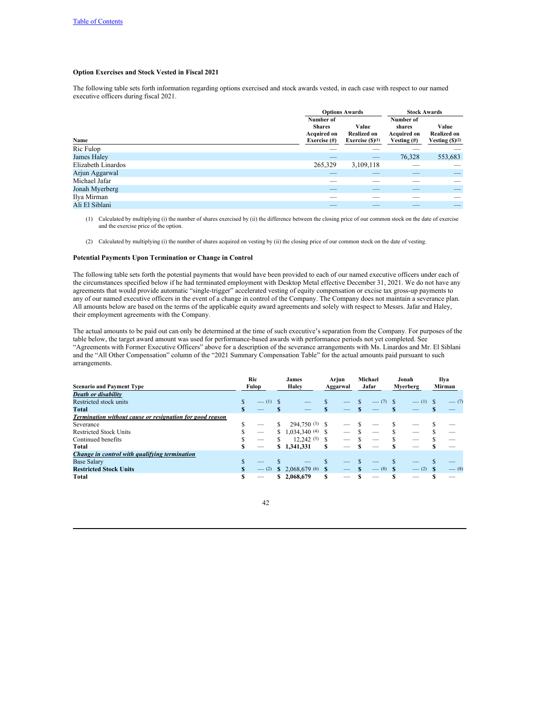# **Option Exercises and Stock Vested in Fiscal 2021**

The following table sets forth information regarding options exercised and stock awards vested, in each case with respect to our named executive officers during fiscal 2021.

|                    |                                                                  | <b>Options Awards</b>                            |                                                             | <b>Stock Awards</b>                             |
|--------------------|------------------------------------------------------------------|--------------------------------------------------|-------------------------------------------------------------|-------------------------------------------------|
| Name               | Number of<br><b>Shares</b><br><b>Acquired on</b><br>Exercise (#) | Value<br><b>Realized on</b><br>Exercise $(S)(1)$ | Number of<br>shares<br><b>Acquired on</b><br>Vesting $(\#)$ | Value<br><b>Realized on</b><br>Vesting $(S)(2)$ |
| Ric Fulop          |                                                                  |                                                  |                                                             |                                                 |
| James Haley        | __                                                               | _                                                | 76,328                                                      | 553,683                                         |
| Elizabeth Linardos | 265,329                                                          | 3,109,118                                        |                                                             |                                                 |
| Arjun Aggarwal     |                                                                  | $-$                                              | _                                                           | _                                               |
| Michael Jafar      | ___                                                              | __                                               |                                                             |                                                 |
| Jonah Myerberg     | _                                                                | _                                                |                                                             | _                                               |
| Ilya Mirman        | ___                                                              |                                                  |                                                             |                                                 |
| Ali El Siblani     | _                                                                |                                                  |                                                             | _                                               |

(1) Calculated by multiplying (i) the number of shares exercised by (ii) the difference between the closing price of our common stock on the date of exercise and the exercise price of the option.

(2) Calculated by multiplying (i) the number of shares acquired on vesting by (ii) the closing price of our common stock on the date of vesting.

### **Potential Payments Upon Termination or Change in Control**

The following table sets forth the potential payments that would have been provided to each of our named executive officers under each of the circumstances specified below if he had terminated employment with Desktop Metal effective December 31, 2021. We do not have any agreements that would provide automatic "single-trigger" accelerated vesting of equity compensation or excise tax gross-up payments to any of our named executive officers in the event of a change in control of the Company. The Company does not maintain a severance plan. All amounts below are based on the terms of the applicable equity award agreements and solely with respect to Messrs. Jafar and Haley, their employment agreements with the Company.

The actual amounts to be paid out can only be determined at the time of such executive's separation from the Company. For purposes of the table below, the target award amount was used for performance-based awards with performance periods not yet completed. See "Agreements with Former Executive Officers" above for a description of the severance arrangements with Ms. Linardos and Mr. El Siblani and the "All Other Compensation" column of the "2021 Summary Compensation Table" for the actual amounts paid pursuant to such arrangements.

|                                                          | Ric |         |   | James             | Arjun    |                          |     | Michael | Jonah    |            | Ilya    |
|----------------------------------------------------------|-----|---------|---|-------------------|----------|--------------------------|-----|---------|----------|------------|---------|
| <b>Scenario and Payment Type</b>                         |     | Fulop   |   | Haley             |          | Aggarwal                 |     | Jafar   | Mverberg |            | Mirman  |
| <b>Death or disability</b>                               |     |         |   |                   |          |                          |     |         |          |            |         |
| Restricted stock units                                   | S   | $-$ (1) |   |                   |          |                          | \$. |         |          | $- (1)$ \$ | $-$ (7) |
| Total                                                    | S   |         |   |                   | S        |                          |     |         |          |            |         |
| Termination without cause or resignation for good reason |     |         |   |                   |          |                          |     |         |          |            |         |
| Severance                                                | ъ   |         | S | 294,750 (3) \$    |          |                          |     |         |          |            |         |
| <b>Restricted Stock Units</b>                            |     |         | S | $1,034,340(4)$ \$ |          |                          |     |         |          |            |         |
| Continued benefits                                       |     |         | S | $12.242(5)$ \$    |          |                          |     |         |          |            |         |
| Total                                                    | S   |         |   | \$1,341,331       | S        |                          |     |         |          |            |         |
| Change in control with qualifying termination            |     |         |   |                   |          |                          |     |         |          |            |         |
| <b>Base Salary</b>                                       | S   |         |   |                   | <b>S</b> |                          |     |         |          |            |         |
| <b>Restricted Stock Units</b>                            |     | $-$ (2) |   | \$2,068,679(6)    | - \$     |                          |     | $-$ (8) | - \$     | $-$ (2)    | $-$ (8) |
| Total                                                    | S   |         |   | \$2,068,679       | S        | $\overline{\phantom{0}}$ |     |         |          |            |         |

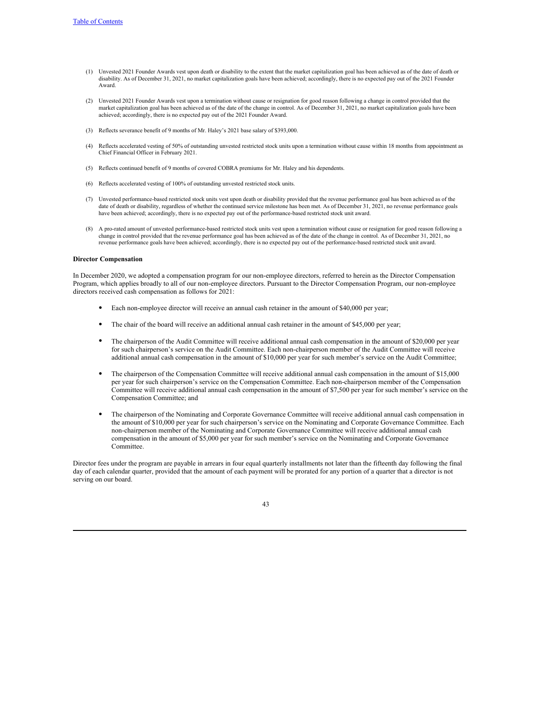- (1) Unvested 2021 Founder Awards vest upon death or disability to the extent that the market capitalization goal has been achieved as of the date of death or disability. As of December 31, 2021, no market capitalization goals have been achieved; accordingly, there is no expected pay out of the 2021 Founder Award.
- (2) Unvested 2021 Founder Awards vest upon a termination without cause or resignation for good reason following a change in control provided that the market capitalization goal has been achieved as of the date of the change in control. As of December 31, 2021, no market capitalization goals have been achieved; accordingly, there is no expected pay out of the 2021 Founder Award.
- (3) Reflects severance benefit of 9 months of Mr. Haley's 2021 base salary of \$393,000.
- (4) Reflects accelerated vesting of 50% of outstanding unvested restricted stock units upon a termination without cause within 18 months from appointment as Chief Financial Officer in February 2021.
- (5) Reflects continued benefit of 9 months of covered COBRA premiums for Mr. Haley and his dependents.
- (6) Reflects accelerated vesting of 100% of outstanding unvested restricted stock units.
- (7) Unvested performance-based restricted stock units vest upon death or disability provided that the revenue performance goal has been achieved as of the date of death or disability, regardless of whether the continued service milestone has been met. As of December 31, 2021, no revenue performance goals have been achieved; accordingly, there is no expected pay out of the performance-based restricted stock unit award.
- (8) A pro-rated amount of unvested performance-based restricted stock units vest upon a termination without cause or resignation for good reason following a change in control provided that the revenue performance goal has been achieved as of the date of the change in control. As of December 31, 2021, no revenue performance goals have been achieved; accordingly, there is no expected pay out of the performance-based restricted stock unit award.

### **Director Compensation**

In December 2020, we adopted a compensation program for our non-employee directors, referred to herein as the Director Compensation Program, which applies broadly to all of our non-employee directors. Pursuant to the Director Compensation Program, our non-employee directors received cash compensation as follows for 2021:

- Each non-employee director will receive an annual cash retainer in the amount of \$40,000 per year;
- The chair of the board will receive an additional annual cash retainer in the amount of \$45,000 per year;
- The chairperson of the Audit Committee will receive additional annual cash compensation in the amount of \$20,000 per year for such chairperson's service on the Audit Committee. Each non-chairperson member of the Audit Committee will receive additional annual cash compensation in the amount of \$10,000 per year for such member's service on the Audit Committee;
- The chairperson of the Compensation Committee will receive additional annual cash compensation in the amount of \$15,000 per year for such chairperson's service on the Compensation Committee. Each non-chairperson member of the Compensation Committee will receive additional annual cash compensation in the amount of \$7,500 per year for such member's service on the Compensation Committee; and
- The chairperson of the Nominating and Corporate Governance Committee will receive additional annual cash compensation in the amount of \$10,000 per year for such chairperson's service on the Nominating and Corporate Governance Committee. Each non-chairperson member of the Nominating and Corporate Governance Committee will receive additional annual cash compensation in the amount of \$5,000 per year for such member's service on the Nominating and Corporate Governance Committee.

Director fees under the program are payable in arrears in four equal quarterly installments not later than the fifteenth day following the final day of each calendar quarter, provided that the amount of each payment will be prorated for any portion of a quarter that a director is not serving on our board.

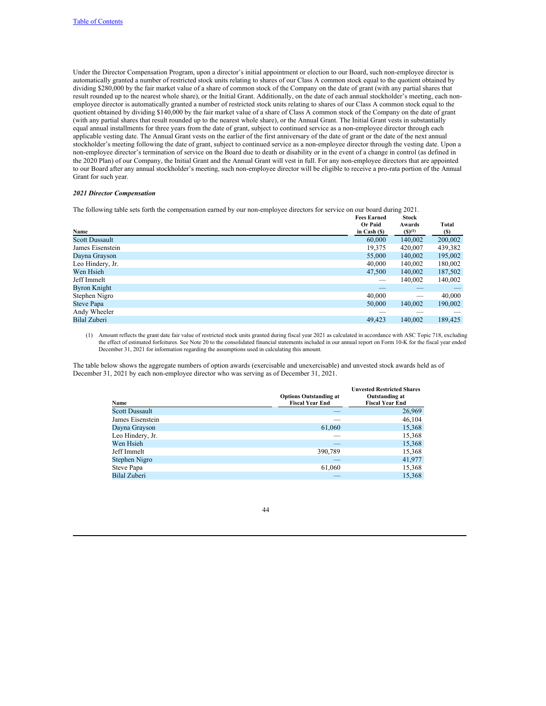Under the Director Compensation Program, upon a director's initial appointment or election to our Board, such non-employee director is automatically granted a number of restricted stock units relating to shares of our Class A common stock equal to the quotient obtained by dividing \$280,000 by the fair market value of a share of common stock of the Company on the date of grant (with any partial shares that result rounded up to the nearest whole share), or the Initial Grant. Additionally, on the date of each annual stockholder's meeting, each nonemployee director is automatically granted a number of restricted stock units relating to shares of our Class A common stock equal to the quotient obtained by dividing \$140,000 by the fair market value of a share of Class A common stock of the Company on the date of grant (with any partial shares that result rounded up to the nearest whole share), or the Annual Grant. The Initial Grant vests in substantially equal annual installments for three years from the date of grant, subject to continued service as a non-employee director through each applicable vesting date. The Annual Grant vests on the earlier of the first anniversary of the date of grant or the date of the next annual stockholder's meeting following the date of grant, subject to continued service as a non-employee director through the vesting date. Upon a non-employee director's termination of service on the Board due to death or disability or in the event of a change in control (as defined in the 2020 Plan) of our Company, the Initial Grant and the Annual Grant will vest in full. For any non-employee directors that are appointed to our Board after any annual stockholder's meeting, such non-employee director will be eligible to receive a pro-rata portion of the Annual Grant for such year.

# *2021 Director Compensation*

The following table sets forth the compensation earned by our non-employee directors for service on our board during 2021.

|                       | <b>Fees Earned</b> | <b>Stock</b> |         |
|-----------------------|--------------------|--------------|---------|
|                       | <b>Or Paid</b>     | Awards       | Total   |
| Name                  | in Cash $(S)$      | (S)(1)       | (S)     |
| <b>Scott Dussault</b> | 60,000             | 140,002      | 200,002 |
| James Eisenstein      | 19,375             | 420,007      | 439,382 |
| Dayna Grayson         | 55,000             | 140,002      | 195,002 |
| Leo Hindery, Jr.      | 40,000             | 140,002      | 180,002 |
| Wen Hsieh             | 47,500             | 140,002      | 187,502 |
| Jeff Immelt           |                    | 140,002      | 140,002 |
| Byron Knight          |                    | _            |         |
| Stephen Nigro         | 40,000             | _            | 40,000  |
| Steve Papa            | 50,000             | 140,002      | 190,002 |
| Andy Wheeler          |                    |              |         |
| Bilal Zuberi          | 49,423             | 140,002      | 189,425 |
|                       |                    |              |         |

(1) Amount reflects the grant date fair value of restricted stock units granted during fiscal year 2021 as calculated in accordance with ASC Topic 718, excluding the effect of estimated forfeitures. See Note 20 to the consolidated financial statements included in our annual report on Form 10-K for the fiscal year ended December 31, 2021 for information regarding the assumptions used in calculating this amount.

The table below shows the aggregate numbers of option awards (exercisable and unexercisable) and unvested stock awards held as of December 31, 2021 by each non-employee director who was serving as of December 31, 2021.

| Name                  | <b>Options Outstanding at</b><br><b>Fiscal Year End</b> | <b>Unvested Restricted Shares</b><br>Outstanding at<br><b>Fiscal Year End</b> |
|-----------------------|---------------------------------------------------------|-------------------------------------------------------------------------------|
| <b>Scott Dussault</b> |                                                         | 26,969                                                                        |
| James Eisenstein      |                                                         | 46,104                                                                        |
| Dayna Grayson         | 61,060                                                  | 15,368                                                                        |
| Leo Hindery, Jr.      |                                                         | 15,368                                                                        |
| Wen Hsieh             | _                                                       | 15,368                                                                        |
| Jeff Immelt           | 390,789                                                 | 15,368                                                                        |
| Stephen Nigro         |                                                         | 41,977                                                                        |
| Steve Papa            | 61,060                                                  | 15,368                                                                        |
| Bilal Zuberi          |                                                         | 15.368                                                                        |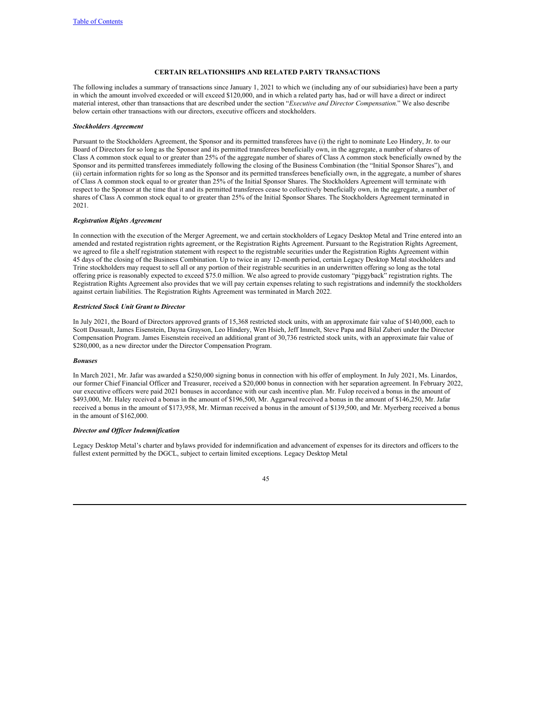# <span id="page-47-0"></span>**CERTAIN RELATIONSHIPS AND RELATED PARTY TRANSACTIONS**

The following includes a summary of transactions since January 1, 2021 to which we (including any of our subsidiaries) have been a party in which the amount involved exceeded or will exceed \$120,000, and in which a related party has, had or will have a direct or indirect material interest, other than transactions that are described under the section "*Executive and Director Compensation*." We also describe below certain other transactions with our directors, executive officers and stockholders.

#### *Stockholders Agreement*

Pursuant to the Stockholders Agreement, the Sponsor and its permitted transferees have (i) the right to nominate Leo Hindery, Jr. to our Board of Directors for so long as the Sponsor and its permitted transferees beneficially own, in the aggregate, a number of shares of Class A common stock equal to or greater than 25% of the aggregate number of shares of Class A common stock beneficially owned by the Sponsor and its permitted transferees immediately following the closing of the Business Combination (the "Initial Sponsor Shares"), and (ii) certain information rights for so long as the Sponsor and its permitted transferees beneficially own, in the aggregate, a number of shares of Class A common stock equal to or greater than 25% of the Initial Sponsor Shares. The Stockholders Agreement will terminate with respect to the Sponsor at the time that it and its permitted transferees cease to collectively beneficially own, in the aggregate, a number of shares of Class A common stock equal to or greater than 25% of the Initial Sponsor Shares. The Stockholders Agreement terminated in 2021.

#### *Registration Rights Agreement*

In connection with the execution of the Merger Agreement, we and certain stockholders of Legacy Desktop Metal and Trine entered into an amended and restated registration rights agreement, or the Registration Rights Agreement. Pursuant to the Registration Rights Agreement, we agreed to file a shelf registration statement with respect to the registrable securities under the Registration Rights Agreement within 45 days of the closing of the Business Combination. Up to twice in any 12-month period, certain Legacy Desktop Metal stockholders and Trine stockholders may request to sell all or any portion of their registrable securities in an underwritten offering so long as the total offering price is reasonably expected to exceed \$75.0 million. We also agreed to provide customary "piggyback" registration rights. The Registration Rights Agreement also provides that we will pay certain expenses relating to such registrations and indemnify the stockholders against certain liabilities. The Registration Rights Agreement was terminated in March 2022.

#### *Restricted Stock Unit Grant to Director*

In July 2021, the Board of Directors approved grants of 15,368 restricted stock units, with an approximate fair value of \$140,000, each to Scott Dussault, James Eisenstein, Dayna Grayson, Leo Hindery, Wen Hsieh, Jeff Immelt, Steve Papa and Bilal Zuberi under the Director Compensation Program. James Eisenstein received an additional grant of 30,736 restricted stock units, with an approximate fair value of \$280,000, as a new director under the Director Compensation Program.

#### *Bonuses*

In March 2021, Mr. Jafar was awarded a \$250,000 signing bonus in connection with his offer of employment. In July 2021, Ms. Linardos, our former Chief Financial Officer and Treasurer, received a \$20,000 bonus in connection with her separation agreement. In February 2022, our executive officers were paid 2021 bonuses in accordance with our cash incentive plan. Mr. Fulop received a bonus in the amount of \$493,000, Mr. Haley received a bonus in the amount of \$196,500, Mr. Aggarwal received a bonus in the amount of \$146,250, Mr. Jafar received a bonus in the amount of \$173,958, Mr. Mirman received a bonus in the amount of \$139,500, and Mr. Myerberg received a bonus in the amount of \$162,000.

### *Director and Of icer Indemnification*

Legacy Desktop Metal's charter and bylaws provided for indemnification and advancement of expenses for its directors and officers to the fullest extent permitted by the DGCL, subject to certain limited exceptions. Legacy Desktop Metal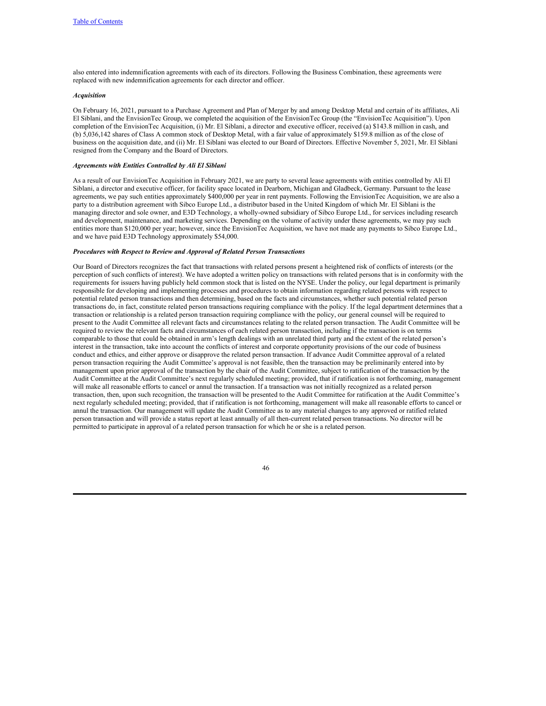also entered into indemnification agreements with each of its directors. Following the Business Combination, these agreements were replaced with new indemnification agreements for each director and officer.

#### *Acquisition*

On February 16, 2021, pursuant to a Purchase Agreement and Plan of Merger by and among Desktop Metal and certain of its affiliates, Ali El Siblani, and the EnvisionTec Group, we completed the acquisition of the EnvisionTec Group (the "EnvisionTec Acquisition"). Upon completion of the EnvisionTec Acquisition, (i) Mr. El Siblani, a director and executive officer, received (a) \$143.8 million in cash, and (b) 5,036,142 shares of Class A common stock of Desktop Metal, with a fair value of approximately \$159.8 million as of the close of business on the acquisition date, and (ii) Mr. El Siblani was elected to our Board of Directors. Effective November 5, 2021, Mr. El Siblani resigned from the Company and the Board of Directors.

### *Agreements with Entities Controlled by Ali El Siblani*

As a result of our EnvisionTec Acquisition in February 2021, we are party to several lease agreements with entities controlled by Ali El Siblani, a director and executive officer, for facility space located in Dearborn, Michigan and Gladbeck, Germany. Pursuant to the lease agreements, we pay such entities approximately \$400,000 per year in rent payments. Following the EnvisionTec Acquisition, we are also a party to a distribution agreement with Sibco Europe Ltd., a distributor based in the United Kingdom of which Mr. El Siblani is the managing director and sole owner, and E3D Technology, a wholly-owned subsidiary of Sibco Europe Ltd., for services including research and development, maintenance, and marketing services. Depending on the volume of activity under these agreements, we may pay such entities more than \$120,000 per year; however, since the EnvisionTec Acquisition, we have not made any payments to Sibco Europe Ltd., and we have paid E3D Technology approximately \$54,000.

#### *Procedures with Respect to Review and Approval of Related Person Transactions*

Our Board of Directors recognizes the fact that transactions with related persons present a heightened risk of conflicts of interests (or the perception of such conflicts of interest). We have adopted a written policy on transactions with related persons that is in conformity with the requirements for issuers having publicly held common stock that is listed on the NYSE. Under the policy, our legal department is primarily responsible for developing and implementing processes and procedures to obtain information regarding related persons with respect to potential related person transactions and then determining, based on the facts and circumstances, whether such potential related person transactions do, in fact, constitute related person transactions requiring compliance with the policy. If the legal department determines that a transaction or relationship is a related person transaction requiring compliance with the policy, our general counsel will be required to present to the Audit Committee all relevant facts and circumstances relating to the related person transaction. The Audit Committee will be required to review the relevant facts and circumstances of each related person transaction, including if the transaction is on terms comparable to those that could be obtained in arm's length dealings with an unrelated third party and the extent of the related person's interest in the transaction, take into account the conflicts of interest and corporate opportunity provisions of the our code of business conduct and ethics, and either approve or disapprove the related person transaction. If advance Audit Committee approval of a related person transaction requiring the Audit Committee's approval is not feasible, then the transaction may be preliminarily entered into by management upon prior approval of the transaction by the chair of the Audit Committee, subject to ratification of the transaction by the Audit Committee at the Audit Committee's next regularly scheduled meeting; provided, that if ratification is not forthcoming, management will make all reasonable efforts to cancel or annul the transaction. If a transaction was not initially recognized as a related person transaction, then, upon such recognition, the transaction will be presented to the Audit Committee for ratification at the Audit Committee's next regularly scheduled meeting; provided, that if ratification is not forthcoming, management will make all reasonable efforts to cancel or annul the transaction. Our management will update the Audit Committee as to any material changes to any approved or ratified related person transaction and will provide a status report at least annually of all then-current related person transactions. No director will be permitted to participate in approval of a related person transaction for which he or she is a related person.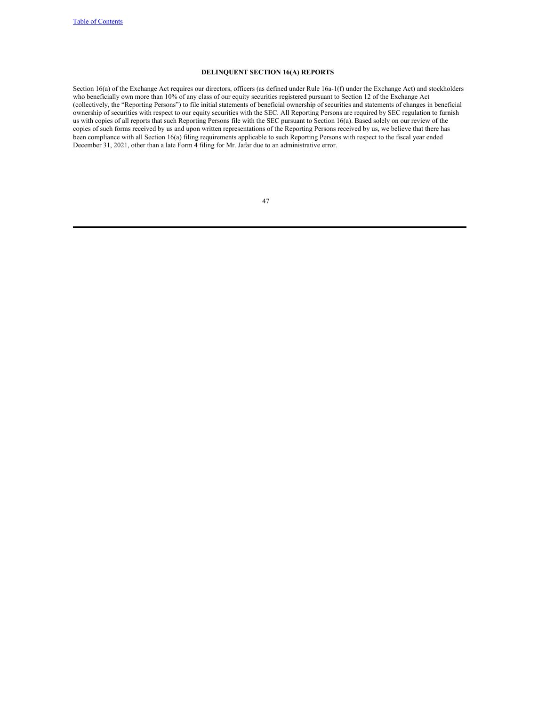# <span id="page-49-0"></span>**DELINQUENT SECTION 16(A) REPORTS**

Section 16(a) of the Exchange Act requires our directors, officers (as defined under Rule 16a-1(f) under the Exchange Act) and stockholders who beneficially own more than 10% of any class of our equity securities registered pursuant to Section 12 of the Exchange Act (collectively, the "Reporting Persons") to file initial statements of beneficial ownership of securities and statements of changes in beneficial ownership of securities with respect to our equity securities with the SEC. All Reporting Persons are required by SEC regulation to furnish us with copies of all reports that such Reporting Persons file with the SEC pursuant to Section 16(a). Based solely on our review of the copies of such forms received by us and upon written representations of the Reporting Persons received by us, we believe that there has been compliance with all Section 16(a) filing requirements applicable to such Reporting Persons with respect to the fiscal year ended December 31, 2021, other than a late Form 4 filing for Mr. Jafar due to an administrative error.

| ٦ |
|---|
|   |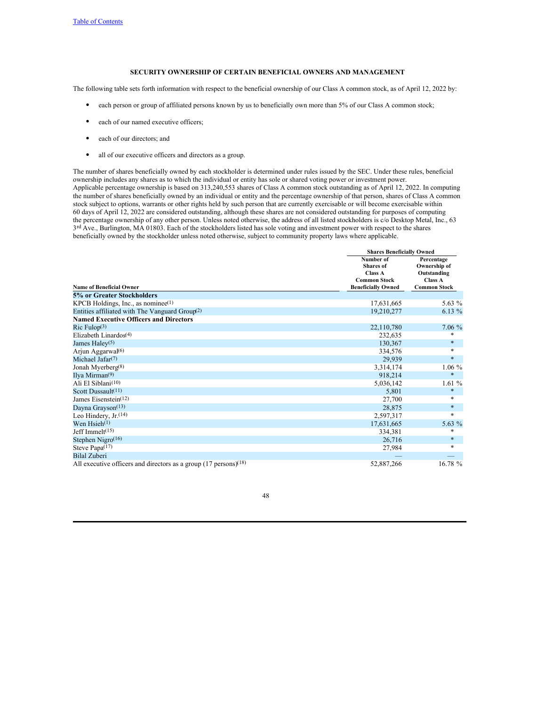# <span id="page-50-0"></span>**SECURITY OWNERSHIP OF CERTAIN BENEFICIAL OWNERS AND MANAGEMENT**

The following table sets forth information with respect to the beneficial ownership of our Class A common stock, as of April 12, 2022 by:

- each person or group of affiliated persons known by us to beneficially own more than 5% of our Class A common stock;
- each of our named executive officers;
- each of our directors; and
- all of our executive officers and directors as a group.

The number of shares beneficially owned by each stockholder is determined under rules issued by the SEC. Under these rules, beneficial ownership includes any shares as to which the individual or entity has sole or shared voting power or investment power. Applicable percentage ownership is based on 313,240,553 shares of Class A common stock outstanding as of April 12, 2022. In computing the number of shares beneficially owned by an individual or entity and the percentage ownership of that person, shares of Class A common stock subject to options, warrants or other rights held by such person that are currently exercisable or will become exercisable within 60 days of April 12, 2022 are considered outstanding, although these shares are not considered outstanding for purposes of computing the percentage ownership of any other person. Unless noted otherwise, the address of all listed stockholders is c/o Desktop Metal, Inc., 63 3rd Ave., Burlington, MA 01803. Each of the stockholders listed has sole voting and investment power with respect to the shares beneficially owned by the stockholder unless noted otherwise, subject to community property laws where applicable.

|                                                                               |                                                 | <b>Shares Beneficially Owned</b>                                                   |  |  |
|-------------------------------------------------------------------------------|-------------------------------------------------|------------------------------------------------------------------------------------|--|--|
|                                                                               | Number of<br><b>Shares</b> of<br><b>Class A</b> | Percentage<br>Ownership of<br>Outstanding<br><b>Class A</b><br><b>Common Stock</b> |  |  |
|                                                                               | <b>Common Stock</b>                             |                                                                                    |  |  |
| <b>Name of Beneficial Owner</b>                                               | <b>Beneficially Owned</b>                       |                                                                                    |  |  |
| 5% or Greater Stockholders                                                    |                                                 |                                                                                    |  |  |
| KPCB Holdings, Inc., as nominee $(1)$                                         | 17,631,665                                      | 5.63 %                                                                             |  |  |
| Entities affiliated with The Vanguard Group <sup>(2)</sup>                    | 19,210,277                                      | 6.13 %                                                                             |  |  |
| <b>Named Executive Officers and Directors</b>                                 |                                                 |                                                                                    |  |  |
| Ric Fulop(3)                                                                  | 22,110,780                                      | $7.06\%$                                                                           |  |  |
| Elizabeth Linardos $(4)$                                                      | 232,635                                         | $\ast$                                                                             |  |  |
| James Haley <sup>(5)</sup>                                                    | 130,367                                         | $\ast$                                                                             |  |  |
| Arjun Aggarwal <sup>(6)</sup>                                                 | 334,576                                         | $\ast$                                                                             |  |  |
| Michael Jafar <sup>(7)</sup>                                                  | 29,939                                          | $\ast$                                                                             |  |  |
| Jonah Myerberg(8)                                                             | 3,314,174                                       | $1.06\%$                                                                           |  |  |
| Ilya Mirman $(9)$                                                             | 918,214                                         | $\ast$                                                                             |  |  |
| Ali El Siblani <sup>(10)</sup>                                                | 5,036,142                                       | 1.61%                                                                              |  |  |
| Scott Dussault(11)                                                            | 5,801                                           | $\ast$                                                                             |  |  |
| James Eisenstein(12)                                                          | 27,700                                          | *                                                                                  |  |  |
| Dayna Grayson <sup>(13)</sup>                                                 | 28,875                                          | $\ast$                                                                             |  |  |
| Leo Hindery, $Jr(14)$                                                         | 2,597,317                                       | $\ast$                                                                             |  |  |
| Wen $Hsich(1)$                                                                | 17,631,665                                      | 5.63 %                                                                             |  |  |
| Jeff Immel $t$ <sup>(15)</sup>                                                | 334,381                                         | *                                                                                  |  |  |
| Stephen Nigro <sup>(16)</sup>                                                 | 26,716                                          | $\ast$                                                                             |  |  |
| Steve Papa(17)                                                                | 27,984                                          | $\ast$                                                                             |  |  |
| <b>Bilal Zuberi</b>                                                           |                                                 |                                                                                    |  |  |
| All executive officers and directors as a group $(17 \text{ persons})^{(18)}$ | 52,887,266                                      | 16.78 %                                                                            |  |  |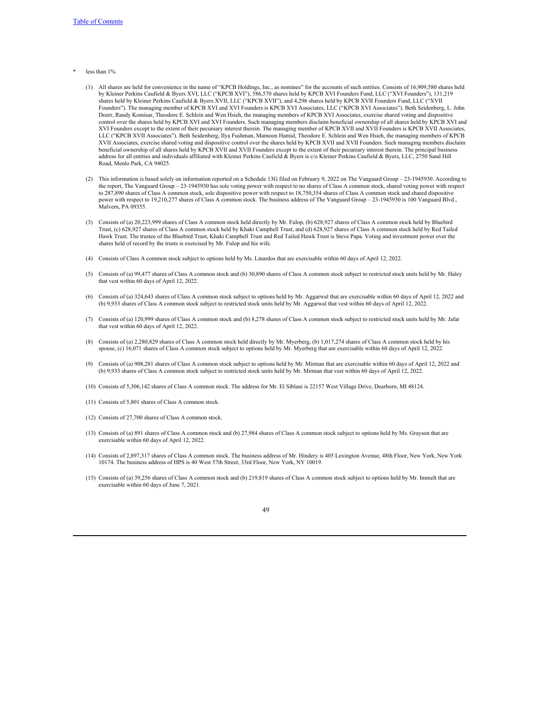- less than  $1\%$ 
	- (1) All shares are held for convenience in the name of "KPCB Holdings, Inc., as nominee" for the accounts of such entities. Consists of 16,909,580 shares held by Kleiner Perkins Caufield & Byers XVI, LLC ("KPCB XVI"), 586,570 shares held by KPCB XVI Founders Fund, LLC ("XVI Founders"), 131,219 shares held by Kleiner Perkins Caufield & Byers XVII, LLC ("KPCB XVII"), and 4,296 shares held by KPCB XVII Founders Fund, LLC ("XVII Founders"). The managing member of KPCB XVI and XVI Founders is KPCB XVI Associates, LLC ("KPCB XVI Associates"). Beth Seidenberg, L. John Doerr, Randy Komisar, Theodore E. Schlein and Wen Hsieh, the managing members of KPCB XVI Associates, exercise shared voting and dispositive control over the shares held by KPCB XVI and XVI Founders. Such managing members disclaim beneficial ownership of all shares held by KPCB XVI and XVI Founders except to the extent of their pecuniary interest therein. The managing member of KPCB XVII and XVII Founders is KPCB XVII Associates, LLC ("KPCB XVII Associates"). Beth Seidenberg, Ilya Fushman, Mamoon Hamid, Theodore E. Schlein and Wen Hsieh, the managing members of KPCB XVII Associates, exercise shared voting and dispositive control over the shares held by KPCB XVII and XVII Founders. Such managing members disclaim beneficial ownership of all shares held by KPCB XVII and XVII Founders except to the extent of their pecuniary interest therein. The principal business address for all entities and individuals affiliated with Kleiner Perkins Caufield & Byers is c/o Kleiner Perkins Caufield & Byers, LLC, 2750 Sand Hill Road, Menlo Park, CA 94025.
	- (2) This information is based solely on information reported on a Schedule 13G filed on February 9, 2022 on The Vanguard Group 23-1945930. According to the report, The Vanguard Group – 23-1945930 has sole voting power with respect to no shares of Class A common stock, shared voting power with respect to 287,890 shares of Class A common stock, sole dispositive power with respect to 18,750,354 shares of Class A common stock and shared dispositive power with respect to 19,210,277 shares of Class A common stock. The business address of The Vanguard Group – 23-1945930 is 100 Vanguard Blvd., Malvern, PA 09355.
	- (3) Consists of (a) 20,223,999 shares of Class A common stock held directly by Mr. Fulop, (b) 628,927 shares of Class A common stock held by Bluebird Trust, (c) 628,927 shares of Class A common stock held by Khaki Campbell Trust, and (d) 628,927 shares of Class A common stock held by Red Tailed Hawk Trust. The trustee of the Bluebird Trust, Khaki Campbell Trust and Red Tailed Hawk Trust is Steve Papa. Voting and investment power over the shares held of record by the trusts is exercised by Mr. Fulop and his wife.
	- (4) Consists of Class A common stock subject to options held by Ms. Linardos that are exercisable within 60 days of April 12, 2022.
	- (5) Consists of (a) 99,477 shares of Class A common stock and (b) 30,890 shares of Class A common stock subject to restricted stock units held by Mr. Haley that vest within 60 days of April 12, 2022.
	- (6) Consists of (a) 324,643 shares of Class A common stock subject to options held by Mr. Aggarwal that are exercisable within 60 days of April 12, 2022 and (b) 9,933 shares of Class A common stock subject to restricted stock units held by Mr. Aggarwal that vest within 60 days of April 12, 2022.
	- (7) Consists of (a) 120,999 shares of Class A common stock and (b) 8,278 shares of Class A common stock subject to restricted stock units held by Mr. Jafar that vest within 60 days of April 12, 2022.
	- (8) Consists of (a) 2,280,829 shares of Class A common stock held directly by Mr. Myerberg, (b) 1,017,274 shares of Class A common stock held by his spouse, (c) 16,071 shares of Class A common stock subject to options held by Mr. Myerberg that are exercisable within 60 days of April 12, 2022.
	- (9) Consists of (a) 908,281 shares of Class A common stock subject to options held by Mr. Mirman that are exercisable within 60 days of April 12, 2022 and (b) 9,933 shares of Class A common stock subject to restricted stock units held by Mr. Mirman that vest within 60 days of April 12, 2022.
	- (10) Consists of 5,306,142 shares of Class A common stock. The address for Mr. El Siblani is 22157 West Village Drive, Dearborn, MI 48124.
	- (11) Consists of 5,801 shares of Class A common stock.
	- (12) Consists of 27,700 shares of Class A common stock.
	- (13) Consists of (a) 891 shares of Class A common stock and (b) 27,984 shares of Class A common stock subject to options held by Ms. Grayson that are exercisable within 60 days of April 12, 2022.
	- (14) Consists of 2,897,317 shares of Class A common stock. The business address of Mr. Hindery is 405 Lexington Avenue, 48th Floor, New York, New York 10174. The business address of HPS is 40 West 57th Street, 33rd Floor, New York, NY 10019.
	- (15) Consists of (a) 39,256 shares of Class A common stock and (b) 219,819 shares of Class A common stock subject to options held by Mr. Immelt that are exercisable within 60 days of June 7, 2021.

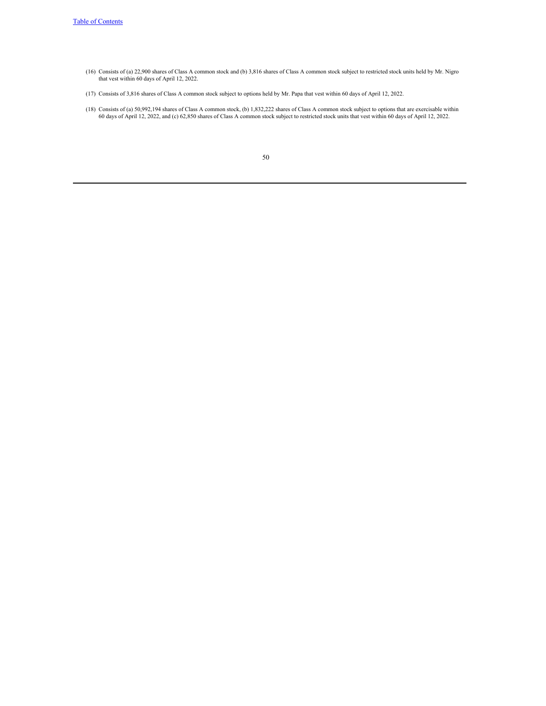- (16) Consists of (a) 22,900 shares of Class A common stock and (b) 3,816 shares of Class A common stock subject to restricted stock units held by Mr. Nigro that vest within 60 days of April 12, 2022.
- (17) Consists of 3,816 shares of Class A common stock subject to options held by Mr. Papa that vest within 60 days of April 12, 2022.
- (18) Consists of (a) 50,992,194 shares of Class A common stock, (b) 1,832,222 shares of Class A common stock subject to options that are exercisable within 60 days of April 12, 2022, and (c) 62,850 shares of Class A common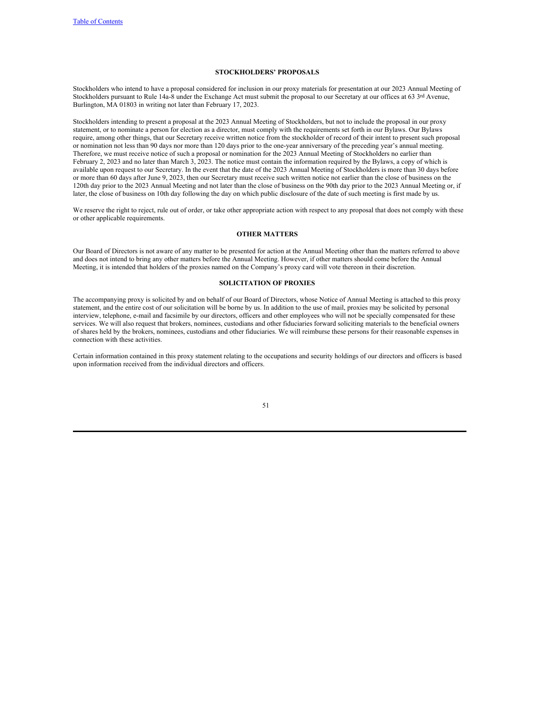# <span id="page-53-0"></span>**STOCKHOLDERS' PROPOSALS**

Stockholders who intend to have a proposal considered for inclusion in our proxy materials for presentation at our 2023 Annual Meeting of Stockholders pursuant to Rule 14a-8 under the Exchange Act must submit the proposal to our Secretary at our offices at 63 3rd Avenue, Burlington, MA 01803 in writing not later than February 17, 2023.

Stockholders intending to present a proposal at the 2023 Annual Meeting of Stockholders, but not to include the proposal in our proxy statement, or to nominate a person for election as a director, must comply with the requirements set forth in our Bylaws. Our Bylaws require, among other things, that our Secretary receive written notice from the stockholder of record of their intent to present such proposal or nomination not less than 90 days nor more than 120 days prior to the one-year anniversary of the preceding year's annual meeting. Therefore, we must receive notice of such a proposal or nomination for the 2023 Annual Meeting of Stockholders no earlier than February 2, 2023 and no later than March 3, 2023. The notice must contain the information required by the Bylaws, a copy of which is available upon request to our Secretary. In the event that the date of the 2023 Annual Meeting of Stockholders is more than 30 days before or more than 60 days after June 9, 2023, then our Secretary must receive such written notice not earlier than the close of business on the 120th day prior to the 2023 Annual Meeting and not later than the close of business on the 90th day prior to the 2023 Annual Meeting or, if later, the close of business on 10th day following the day on which public disclosure of the date of such meeting is first made by us.

We reserve the right to reject, rule out of order, or take other appropriate action with respect to any proposal that does not comply with these or other applicable requirements.

# <span id="page-53-2"></span><span id="page-53-1"></span>**OTHER MATTERS**

Our Board of Directors is not aware of any matter to be presented for action at the Annual Meeting other than the matters referred to above and does not intend to bring any other matters before the Annual Meeting. However, if other matters should come before the Annual Meeting, it is intended that holders of the proxies named on the Company's proxy card will vote thereon in their discretion.

# **SOLICITATION OF PROXIES**

The accompanying proxy is solicited by and on behalf of our Board of Directors, whose Notice of Annual Meeting is attached to this proxy statement, and the entire cost of our solicitation will be borne by us. In addition to the use of mail, proxies may be solicited by personal interview, telephone, e-mail and facsimile by our directors, officers and other employees who will not be specially compensated for these services. We will also request that brokers, nominees, custodians and other fiduciaries forward soliciting materials to the beneficial owners of shares held by the brokers, nominees, custodians and other fiduciaries. We will reimburse these persons for their reasonable expenses in connection with these activities.

Certain information contained in this proxy statement relating to the occupations and security holdings of our directors and officers is based upon information received from the individual directors and officers.

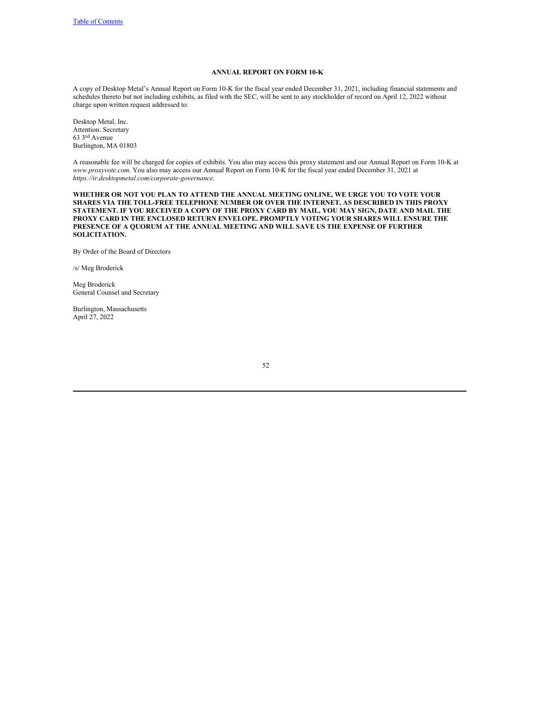### <span id="page-54-0"></span>**ANNUAL REPORT ON FORM 10-K**

A copy of Desktop Metal's Annual Report on Form 10-K for the fiscal year ended December 31, 2021, including financial statements and schedules thereto but not including exhibits, as filed with the SEC, will be sent to any stockholder of record on April 12, 2022 without charge upon written request addressed to:

Desktop Metal, Inc. Attention: Secretary 63 3rd Avenue Burlington, MA 01803

A reasonable fee will be charged for copies of exhibits. You also may access this proxy statement and our Annual Report on Form 10-K at *www.proxyvote.com*. You also may access our Annual Report on Form 10-K for the fiscal year ended December 31, 2021 at *https://ir.desktopmetal.com/corporate-governance*.

**WHETHER OR NOT YOU PLAN TO ATTEND THE ANNUAL MEETING ONLINE, WE URGE YOU TO VOTE YOUR SHARES VIA THE TOLL-FREE TELEPHONE NUMBER OR OVER THE INTERNET, AS DESCRIBED IN THIS PROXY** STATEMENT. IF YOU RECEIVED A COPY OF THE PROXY CARD BY MAIL, YOU MAY SIGN, DATE AND MAIL THE **PROXY CARD IN THE ENCLOSED RETURN ENVELOPE. PROMPTLY VOTING YOUR SHARES WILL ENSURE THE PRESENCE OF A QUORUM AT THE ANNUAL MEETING AND WILL SAVE US THE EXPENSE OF FURTHER SOLICITATION.**

By Order of the Board of Directors

/s/ Meg Broderick

Meg Broderick General Counsel and Secretary

Burlington, Massachusetts April 27, 2022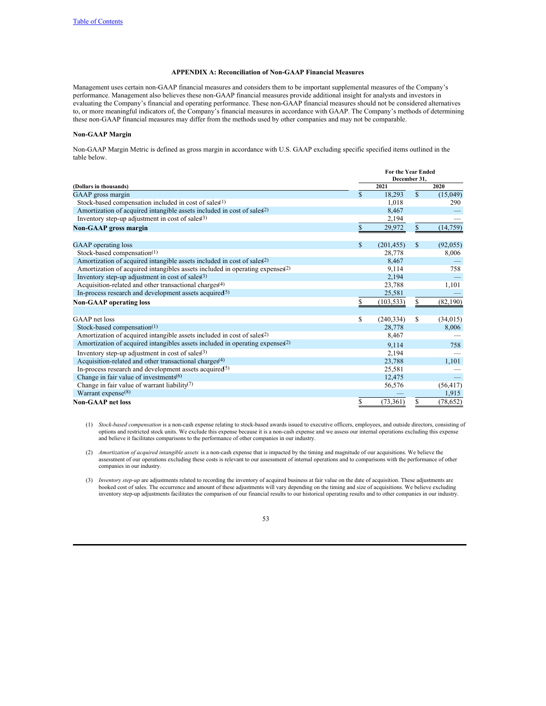# <span id="page-55-0"></span>**APPENDIX A: Reconciliation of Non-GAAP Financial Measures**

Management uses certain non-GAAP financial measures and considers them to be important supplemental measures of the Company's performance. Management also believes these non-GAAP financial measures provide additional insight for analysts and investors in evaluating the Company's financial and operating performance. These non-GAAP financial measures should not be considered alternatives to, or more meaningful indicators of, the Company's financial measures in accordance with GAAP. The Company's methods of determining these non-GAAP financial measures may differ from the methods used by other companies and may not be comparable.

# **Non-GAAP Margin**

Non-GAAP Margin Metric is defined as gross margin in accordance with U.S. GAAP excluding specific specified items outlined in the table below.

|                                                                                          |              | <b>For the Year Ended</b><br>December 31. |              |           |
|------------------------------------------------------------------------------------------|--------------|-------------------------------------------|--------------|-----------|
| (Dollars in thousands)                                                                   |              | 2021                                      |              | 2020      |
| GAAP gross margin                                                                        | $\mathbb{S}$ | 18,293                                    | $\mathbb{S}$ | (15,049)  |
| Stock-based compensation included in cost of sales <sup>(1)</sup>                        |              | 1.018                                     |              | 290       |
| Amortization of acquired intangible assets included in cost of sales <sup>2)</sup>       |              | 8,467                                     |              |           |
| Inventory step-up adjustment in cost of sales $(3)$                                      |              | 2,194                                     |              |           |
| <b>Non-GAAP</b> gross margin                                                             | $\mathbb{S}$ | 29,972                                    | $\mathbb{S}$ | (14, 759) |
| <b>GAAP</b> operating loss                                                               | \$           | (201, 455)                                | \$           | (92,055)  |
| Stock-based compensation <sup>(1)</sup>                                                  |              | 28,778                                    |              | 8,006     |
| Amortization of acquired intangible assets included in cost of sales <sup>2)</sup>       |              | 8,467                                     |              |           |
| Amortization of acquired intangibles assets included in operating expenses <sup>2)</sup> |              | 9,114                                     |              | 758       |
| Inventory step-up adjustment in cost of sales $(3)$                                      |              | 2,194                                     |              |           |
| Acquisition-related and other transactional charges <sup>(4)</sup>                       |              | 23,788                                    |              | 1,101     |
| In-process research and development assets acquired $(5)$                                |              | 25,581                                    |              |           |
| <b>Non-GAAP</b> operating loss                                                           |              | (103, 533)                                | \$           | (82,190)  |
|                                                                                          |              |                                           |              |           |
| GAAP net loss                                                                            | \$           | (240, 334)                                | \$           | (34, 015) |
| Stock-based compensation(1)                                                              |              | 28,778                                    |              | 8,006     |
| Amortization of acquired intangible assets included in cost of sales <sup>2)</sup>       |              | 8,467                                     |              |           |
| Amortization of acquired intangibles assets included in operating expenses <sup>2)</sup> |              | 9.114                                     |              | 758       |
| Inventory step-up adjustment in cost of sales $(3)$                                      |              | 2,194                                     |              |           |
| Acquisition-related and other transactional charges $(4)$                                |              | 23,788                                    |              | 1,101     |
| In-process research and development assets acquired $(5)$                                |              | 25,581                                    |              |           |
| Change in fair value of investments $(6)$                                                |              | 12,475                                    |              |           |
| Change in fair value of warrant liability <sup>(7)</sup>                                 |              | 56,576                                    |              | (56, 417) |
| Warrant expense $(8)$                                                                    |              |                                           |              | 1,915     |
| <b>Non-GAAP</b> net loss                                                                 | \$           | (73, 361)                                 | \$           | (78, 652) |

(1) *Stock-based compensation* is a non-cash expense relating to stock-based awards issued to executive officers, employees, and outside directors, consisting of options and restricted stock units. We exclude this expense because it is a non-cash expense and we assess our internal operations excluding this expense and believe it facilitates comparisons to the performance of other companies in our industry.

(2) *Amortization of acquired intangible assets* is a non-cash expense that is impacted by the timing and magnitude of our acquisitions. We believe the assessment of our operations excluding these costs is relevant to our assessment of internal operations and to comparisons with the performance of other companies in our industry.

(3) *Inventory step-up* are adjustments related to recording the inventory of acquired business at fair value on the date of acquisition. These adjustments are booked cost of sales. The occurrence and amount of these adjustments will vary depending on the timing and size of acquisitions. We believe excluding inventory step-up adjustments facilitates the comparison of our financial results to our historical operating results and to other companies in our industry.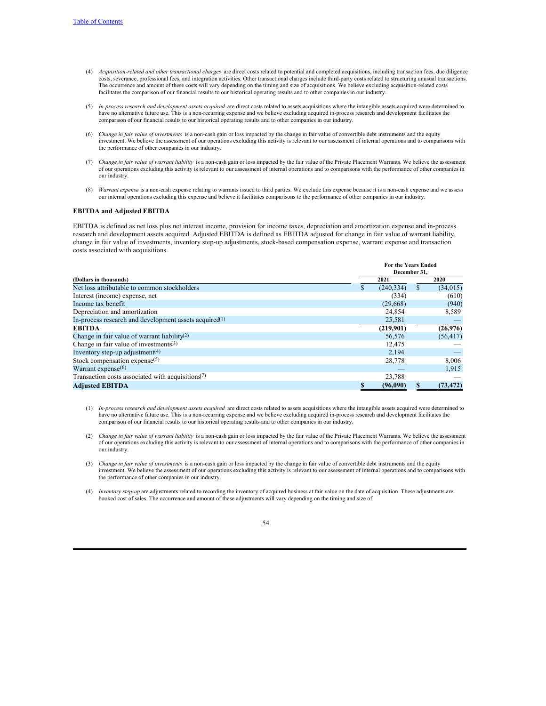- (4) *Acquisition-related and other transactional charges* are direct costs related to potential and completed acquisitions, including transaction fees, due diligence costs, severance, professional fees, and integration activities. Other transactional charges include third-party costs related to structuring unusual transactions. The occurrence and amount of these costs will vary depending on the timing and size of acquisitions. We believe excluding acquisition-related costs facilitates the comparison of our financial results to our historical operating results and to other companies in our industry.
- (5) *In-process research and development assets acquired* are direct costs related to assets acquisitions where the intangible assets acquired were determined to have no alternative future use. This is a non-recurring expense and we believe excluding acquired in-process research and development facilitates the comparison of our financial results to our historical operating results and to other companies in our industry.
- (6) *Change in fair value of investments* is a non-cash gain or loss impacted by the change in fair value of convertible debt instruments and the equity investment. We believe the assessment of our operations excluding this activity is relevant to our assessment of internal operations and to comparisons with the performance of other companies in our industry.
- (7) *Change in fair value of warrant liability* is a non-cash gain or loss impacted by the fair value of the Private Placement Warrants. We believe the assessment of our operations excluding this activity is relevant to our assessment of internal operations and to comparisons with the performance of other companies in our industry.
- (8) *Warrant expense* is a non-cash expense relating to warrants issued to third parties. We exclude this expense because it is a non-cash expense and we assess our internal operations excluding this expense and believe it facilitates comparisons to the performance of other companies in our industry.

# **EBITDA and Adjusted EBITDA**

EBITDA is defined as net loss plus net interest income, provision for income taxes, depreciation and amortization expense and in-process research and development assets acquired. Adjusted EBITDA is defined as EBITDA adjusted for change in fair value of warrant liability, change in fair value of investments, inventory step-up adjustments, stock-based compensation expense, warrant expense and transaction costs associated with acquisitions.

|                                                                            | <b>For the Years Ended</b><br>December 31. |                 |           |  |
|----------------------------------------------------------------------------|--------------------------------------------|-----------------|-----------|--|
| (Dollars in thousands)                                                     |                                            | 2021            | 2020      |  |
| Net loss attributable to common stockholders                               |                                            | (240.334)<br>\$ | (34, 015) |  |
| Interest (income) expense, net                                             |                                            | (334)           | (610)     |  |
| Income tax benefit                                                         |                                            | (29,668)        | (940)     |  |
| Depreciation and amortization                                              |                                            | 24,854          | 8,589     |  |
| In-process research and development assets acquired <sup>(1)</sup>         |                                            | 25,581          |           |  |
| <b>EBITDA</b>                                                              |                                            | (219,901)       | (26,976)  |  |
| Change in fair value of warrant liability <sup>(2)</sup>                   |                                            | 56,576          | (56, 417) |  |
| Change in fair value of investments $(3)$                                  |                                            | 12.475          |           |  |
| Inventory step-up adjustment <sup>(4)</sup>                                |                                            | 2.194           |           |  |
| Stock compensation expense <sup>(5)</sup>                                  |                                            | 28,778          | 8,006     |  |
| Warrant expense <sup>(6)</sup>                                             |                                            |                 | 1,915     |  |
| Transaction costs associated with acquisitions <sup><math>(7)</math></sup> |                                            | 23,788          |           |  |
| <b>Adjusted EBITDA</b>                                                     |                                            | (96.090)        | (73, 472) |  |

- (1) *In-process research and development assets acquired* are direct costs related to assets acquisitions where the intangible assets acquired were determined to have no alternative future use. This is a non-recurring expense and we believe excluding acquired in-process research and development facilitates the comparison of our financial results to our historical operating results and to other companies in our industry.
- (2) *Change in fair value of warrant liability* is a non-cash gain or loss impacted by the fair value of the Private Placement Warrants. We believe the assessment of our operations excluding this activity is relevant to our assessment of internal operations and to comparisons with the performance of other companies in our industry.
- (3) *Change in fair value of investments* is a non-cash gain or loss impacted by the change in fair value of convertible debt instruments and the equity investment. We believe the assessment of our operations excluding this activity is relevant to our assessment of internal operations and to comparisons with the performance of other companies in our industry.
- (4) *Inventory step-up* are adjustments related to recording the inventory of acquired business at fair value on the date of acquisition. These adjustments are booked cost of sales. The occurrence and amount of these adjustments will vary depending on the timing and size of

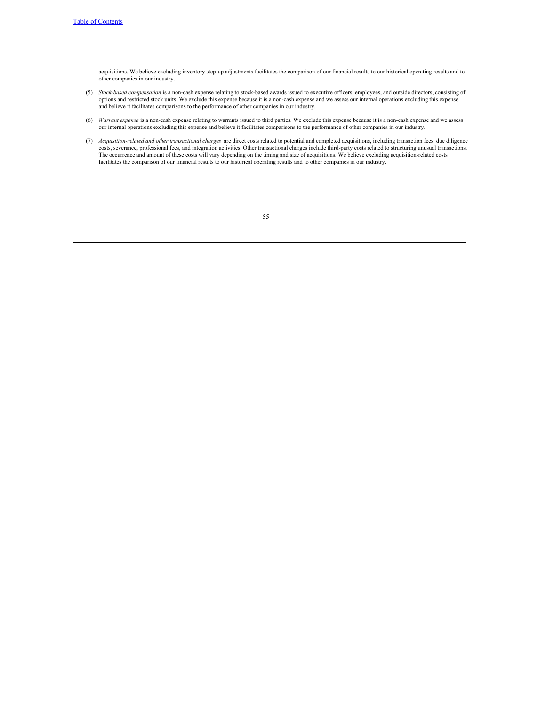acquisitions. We believe excluding inventory step-up adjustments facilitates the comparison of our financial results to our historical operating results and to other companies in our industry.

- (5) *Stock-based compensation* is a non-cash expense relating to stock-based awards issued to executive officers, employees, and outside directors, consisting of options and restricted stock units. We exclude this expense because it is a non-cash expense and we assess our internal operations excluding this expense<br>and believe it facilitates comparisons to the performance of other c
- (6) *Warrant expense* is a non-cash expense relating to warrants issued to third parties. We exclude this expense because it is a non-cash expense and we assess our internal operations excluding this expense and believe it facilitates comparisons to the performance of other companies in our industry.
- (7) *Acquisition-related and other transactional charges* are direct costs related to potential and completed acquisitions, including transaction fees, due diligence costs, severance, professional fees, and integration activities. Other transactional charges include third-party costs related to structuring unusual transactions. The occurrence and amount of these costs will vary depending on the timing and size of acquisitions. We believe excluding acquisition-related costs facilitates the comparison of our financial results to our historical operating results and to other companies in our industry.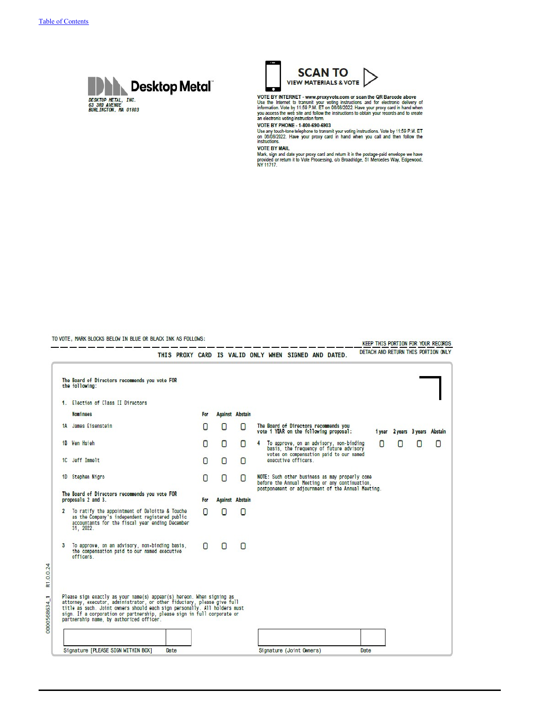R1.0.0.24

0000568634 1





VOTE BY INTERNET - www.proxyvote.com or scan the QR Barcode above<br>Use the Internet to transmit your voting instructions and for electronic delivery of<br>information. Vote by 11:59 P.M. ET on 0808/2022. Have your proxy card i an electronic voting instruction form.

**VOTE BY PHONE - 1-800-690-6903** 

Use any touch-tone telephone to transmit your voting instructions. Vote by 11:59 P.M. ET<br>on 08/08/2022. Have your proxy card in hand when you call and then follow the<br>instructions.

**VOTE BY MAIL** 

Mark, sign and date your proxy card and return it in the postage-paid envelope we have<br>provided or return it to Vote Processing, c/o Broadridge, 51 Mercedes Way, Edgewood,<br>NY 11717.

TO VOTE, MARK BLOCKS BELOW IN BLUE OR BLACK INK AS FOLLOWS:

KEEP THIS PORTION FOR YOUR RECORDS DETACH AND RETURN THTS PORTTON ONLY THIS PROXY CARD IS VALID ONLY WHEN SIGNED AND DATED. The Board of Directors recommends you vote FOR<br>the following: 1. Election of Class II Directors **Nominees Against Abstain** For The Board of Directors recommends you<br>vote 1 YEAR on the following proposal: 1A James Eisenstein  $\overline{O}$  $\Box$  $\Box$ 1 year 2 years 3 years Abstain To approve, on an advisory, non-binding<br>basis, the frequency of future advisory<br>votes on compensation paid to our named<br>executive officers. 1B Wen Hsieh 0 0  $\Box$ 4 n  $\Box$ 0  $\Box$ 10 Jeff Immelt 0  $\Box$  $\Box$ 1D Stephen Nigro 0  $\Box$ NOTE: Such other business as may properly come<br>before the Annual Meeting or any continuation,  $\Box$ postponement or adjournment of the Annual Meeting. The Board of Directors recommends you vote FOR **Against Abstain** proposals 2 and 3. For 2 To ratify the appointment of Deloitte & Touche<br>as the Company's independent registered public<br>accountants for the fiscal year ending December<br>31, 2022. 0  $\Box$  $\Box$ 3 To approve, on an advisory, non-binding basis,<br>the compensation paid to our named executive<br>officers.  $\Box$  $\Box$  $\Box$ Please sign exactly as your name(s) appear(s) hereon. When signing as<br>attorney, executor, administrator, or other fiduciary, please give full<br>title as such. Joint owners should each sign personally. All holders must<br>sign. Signature [PLEASE SIGN WITHIN BOX] Date Date Signature (Joint Owners)